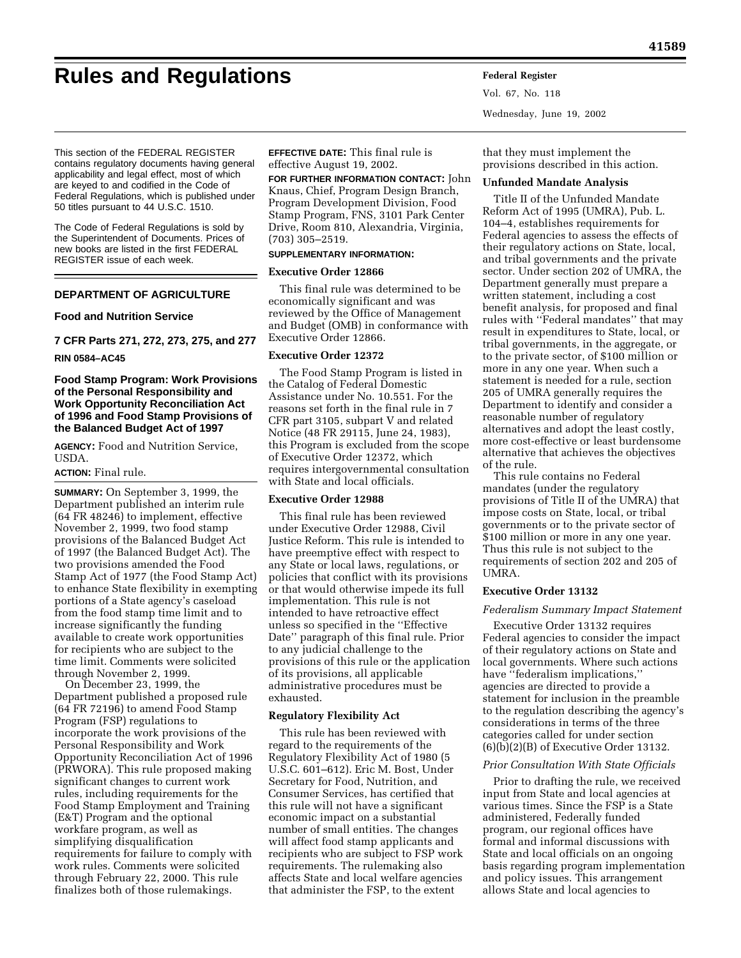# **Rules and Regulations Federal Register**

Vol. 67, No. 118 Wednesday, June 19, 2002

This section of the FEDERAL REGISTER contains regulatory documents having general applicability and legal effect, most of which are keyed to and codified in the Code of Federal Regulations, which is published under 50 titles pursuant to 44 U.S.C. 1510.

The Code of Federal Regulations is sold by the Superintendent of Documents. Prices of new books are listed in the first FEDERAL REGISTER issue of each week.

# **DEPARTMENT OF AGRICULTURE**

# **Food and Nutrition Service**

**7 CFR Parts 271, 272, 273, 275, and 277 RIN 0584–AC45** 

# **Food Stamp Program: Work Provisions of the Personal Responsibility and Work Opportunity Reconciliation Act of 1996 and Food Stamp Provisions of the Balanced Budget Act of 1997**

**AGENCY:** Food and Nutrition Service, USDA.

# **ACTION:** Final rule.

**SUMMARY:** On September 3, 1999, the Department published an interim rule (64 FR 48246) to implement, effective November 2, 1999, two food stamp provisions of the Balanced Budget Act of 1997 (the Balanced Budget Act). The two provisions amended the Food Stamp Act of 1977 (the Food Stamp Act) to enhance State flexibility in exempting portions of a State agency's caseload from the food stamp time limit and to increase significantly the funding available to create work opportunities for recipients who are subject to the time limit. Comments were solicited through November 2, 1999.

On December 23, 1999, the Department published a proposed rule (64 FR 72196) to amend Food Stamp Program (FSP) regulations to incorporate the work provisions of the Personal Responsibility and Work Opportunity Reconciliation Act of 1996 (PRWORA). This rule proposed making significant changes to current work rules, including requirements for the Food Stamp Employment and Training (E&T) Program and the optional workfare program, as well as simplifying disqualification requirements for failure to comply with work rules. Comments were solicited through February 22, 2000. This rule finalizes both of those rulemakings.

**EFFECTIVE DATE:** This final rule is effective August 19, 2002.

# **FOR FURTHER INFORMATION CONTACT:** John

Knaus, Chief, Program Design Branch, Program Development Division, Food Stamp Program, FNS, 3101 Park Center Drive, Room 810, Alexandria, Virginia, (703) 305–2519.

## **SUPPLEMENTARY INFORMATION:**

## **Executive Order 12866**

This final rule was determined to be economically significant and was reviewed by the Office of Management and Budget (OMB) in conformance with Executive Order 12866.

#### **Executive Order 12372**

The Food Stamp Program is listed in the Catalog of Federal Domestic Assistance under No. 10.551. For the reasons set forth in the final rule in 7 CFR part 3105, subpart V and related Notice (48 FR 29115, June 24, 1983), this Program is excluded from the scope of Executive Order 12372, which requires intergovernmental consultation with State and local officials.

#### **Executive Order 12988**

This final rule has been reviewed under Executive Order 12988, Civil Justice Reform. This rule is intended to have preemptive effect with respect to any State or local laws, regulations, or policies that conflict with its provisions or that would otherwise impede its full implementation. This rule is not intended to have retroactive effect unless so specified in the ''Effective Date'' paragraph of this final rule. Prior to any judicial challenge to the provisions of this rule or the application of its provisions, all applicable administrative procedures must be exhausted.

# **Regulatory Flexibility Act**

This rule has been reviewed with regard to the requirements of the Regulatory Flexibility Act of 1980 (5 U.S.C. 601–612). Eric M. Bost, Under Secretary for Food, Nutrition, and Consumer Services, has certified that this rule will not have a significant economic impact on a substantial number of small entities. The changes will affect food stamp applicants and recipients who are subject to FSP work requirements. The rulemaking also affects State and local welfare agencies that administer the FSP, to the extent

that they must implement the provisions described in this action.

#### **Unfunded Mandate Analysis**

Title II of the Unfunded Mandate Reform Act of 1995 (UMRA), Pub. L. 104–4, establishes requirements for Federal agencies to assess the effects of their regulatory actions on State, local, and tribal governments and the private sector. Under section 202 of UMRA, the Department generally must prepare a written statement, including a cost benefit analysis, for proposed and final rules with ''Federal mandates'' that may result in expenditures to State, local, or tribal governments, in the aggregate, or to the private sector, of \$100 million or more in any one year. When such a statement is needed for a rule, section 205 of UMRA generally requires the Department to identify and consider a reasonable number of regulatory alternatives and adopt the least costly, more cost-effective or least burdensome alternative that achieves the objectives of the rule.

This rule contains no Federal mandates (under the regulatory provisions of Title II of the UMRA) that impose costs on State, local, or tribal governments or to the private sector of \$100 million or more in any one year. Thus this rule is not subject to the requirements of section 202 and 205 of UMRA.

# **Executive Order 13132**

## *Federalism Summary Impact Statement*

Executive Order 13132 requires Federal agencies to consider the impact of their regulatory actions on State and local governments. Where such actions have ''federalism implications,'' agencies are directed to provide a statement for inclusion in the preamble to the regulation describing the agency's considerations in terms of the three categories called for under section (6)(b)(2)(B) of Executive Order 13132.

## *Prior Consultation With State Officials*

Prior to drafting the rule, we received input from State and local agencies at various times. Since the FSP is a State administered, Federally funded program, our regional offices have formal and informal discussions with State and local officials on an ongoing basis regarding program implementation and policy issues. This arrangement allows State and local agencies to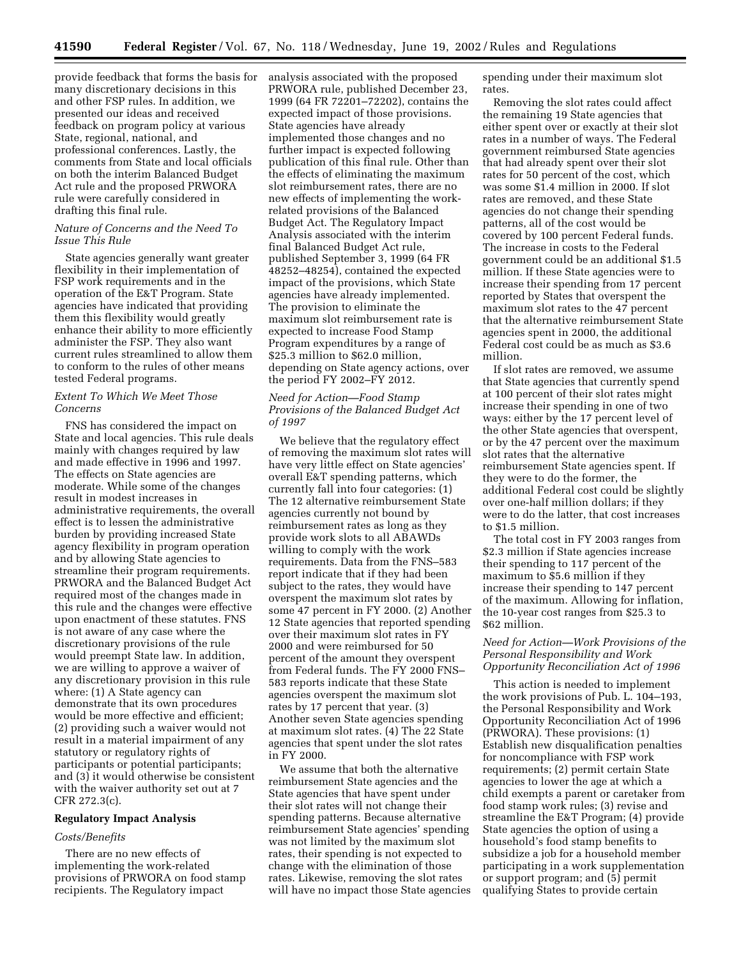provide feedback that forms the basis for many discretionary decisions in this and other FSP rules. In addition, we presented our ideas and received feedback on program policy at various State, regional, national, and professional conferences. Lastly, the comments from State and local officials on both the interim Balanced Budget Act rule and the proposed PRWORA rule were carefully considered in drafting this final rule.

## *Nature of Concerns and the Need To Issue This Rule*

State agencies generally want greater flexibility in their implementation of FSP work requirements and in the operation of the E&T Program. State agencies have indicated that providing them this flexibility would greatly enhance their ability to more efficiently administer the FSP. They also want current rules streamlined to allow them to conform to the rules of other means tested Federal programs.

# *Extent To Which We Meet Those Concerns*

FNS has considered the impact on State and local agencies. This rule deals mainly with changes required by law and made effective in 1996 and 1997. The effects on State agencies are moderate. While some of the changes result in modest increases in administrative requirements, the overall effect is to lessen the administrative burden by providing increased State agency flexibility in program operation and by allowing State agencies to streamline their program requirements. PRWORA and the Balanced Budget Act required most of the changes made in this rule and the changes were effective upon enactment of these statutes. FNS is not aware of any case where the discretionary provisions of the rule would preempt State law. In addition, we are willing to approve a waiver of any discretionary provision in this rule where: (1) A State agency can demonstrate that its own procedures would be more effective and efficient; (2) providing such a waiver would not result in a material impairment of any statutory or regulatory rights of participants or potential participants; and (3) it would otherwise be consistent with the waiver authority set out at 7 CFR 272.3(c).

#### **Regulatory Impact Analysis**

#### *Costs/Benefits*

There are no new effects of implementing the work-related provisions of PRWORA on food stamp recipients. The Regulatory impact

analysis associated with the proposed PRWORA rule, published December 23, 1999 (64 FR 72201–72202), contains the expected impact of those provisions. State agencies have already implemented those changes and no further impact is expected following publication of this final rule. Other than the effects of eliminating the maximum slot reimbursement rates, there are no new effects of implementing the workrelated provisions of the Balanced Budget Act. The Regulatory Impact Analysis associated with the interim final Balanced Budget Act rule, published September 3, 1999 (64 FR 48252–48254), contained the expected impact of the provisions, which State agencies have already implemented. The provision to eliminate the maximum slot reimbursement rate is expected to increase Food Stamp Program expenditures by a range of \$25.3 million to \$62.0 million, depending on State agency actions, over the period FY 2002–FY 2012.

# *Need for Action—Food Stamp Provisions of the Balanced Budget Act of 1997*

We believe that the regulatory effect of removing the maximum slot rates will have very little effect on State agencies' overall E&T spending patterns, which currently fall into four categories: (1) The 12 alternative reimbursement State agencies currently not bound by reimbursement rates as long as they provide work slots to all ABAWDs willing to comply with the work requirements. Data from the FNS–583 report indicate that if they had been subject to the rates, they would have overspent the maximum slot rates by some 47 percent in FY 2000. (2) Another 12 State agencies that reported spending over their maximum slot rates in FY 2000 and were reimbursed for 50 percent of the amount they overspent from Federal funds. The FY 2000 FNS– 583 reports indicate that these State agencies overspent the maximum slot rates by 17 percent that year. (3) Another seven State agencies spending at maximum slot rates. (4) The 22 State agencies that spent under the slot rates in FY 2000.

We assume that both the alternative reimbursement State agencies and the State agencies that have spent under their slot rates will not change their spending patterns. Because alternative reimbursement State agencies' spending was not limited by the maximum slot rates, their spending is not expected to change with the elimination of those rates. Likewise, removing the slot rates will have no impact those State agencies spending under their maximum slot rates.

Removing the slot rates could affect the remaining 19 State agencies that either spent over or exactly at their slot rates in a number of ways. The Federal government reimbursed State agencies that had already spent over their slot rates for 50 percent of the cost, which was some \$1.4 million in 2000. If slot rates are removed, and these State agencies do not change their spending patterns, all of the cost would be covered by 100 percent Federal funds. The increase in costs to the Federal government could be an additional \$1.5 million. If these State agencies were to increase their spending from 17 percent reported by States that overspent the maximum slot rates to the 47 percent that the alternative reimbursement State agencies spent in 2000, the additional Federal cost could be as much as \$3.6 million.

If slot rates are removed, we assume that State agencies that currently spend at 100 percent of their slot rates might increase their spending in one of two ways: either by the 17 percent level of the other State agencies that overspent, or by the 47 percent over the maximum slot rates that the alternative reimbursement State agencies spent. If they were to do the former, the additional Federal cost could be slightly over one-half million dollars; if they were to do the latter, that cost increases to \$1.5 million.

The total cost in FY 2003 ranges from \$2.3 million if State agencies increase their spending to 117 percent of the maximum to \$5.6 million if they increase their spending to 147 percent of the maximum. Allowing for inflation, the 10-year cost ranges from \$25.3 to \$62 million.

# *Need for Action—Work Provisions of the Personal Responsibility and Work Opportunity Reconciliation Act of 1996*

This action is needed to implement the work provisions of Pub. L. 104–193, the Personal Responsibility and Work Opportunity Reconciliation Act of 1996 (PRWORA). These provisions: (1) Establish new disqualification penalties for noncompliance with FSP work requirements; (2) permit certain State agencies to lower the age at which a child exempts a parent or caretaker from food stamp work rules; (3) revise and streamline the E&T Program; (4) provide State agencies the option of using a household's food stamp benefits to subsidize a job for a household member participating in a work supplementation or support program; and (5) permit qualifying States to provide certain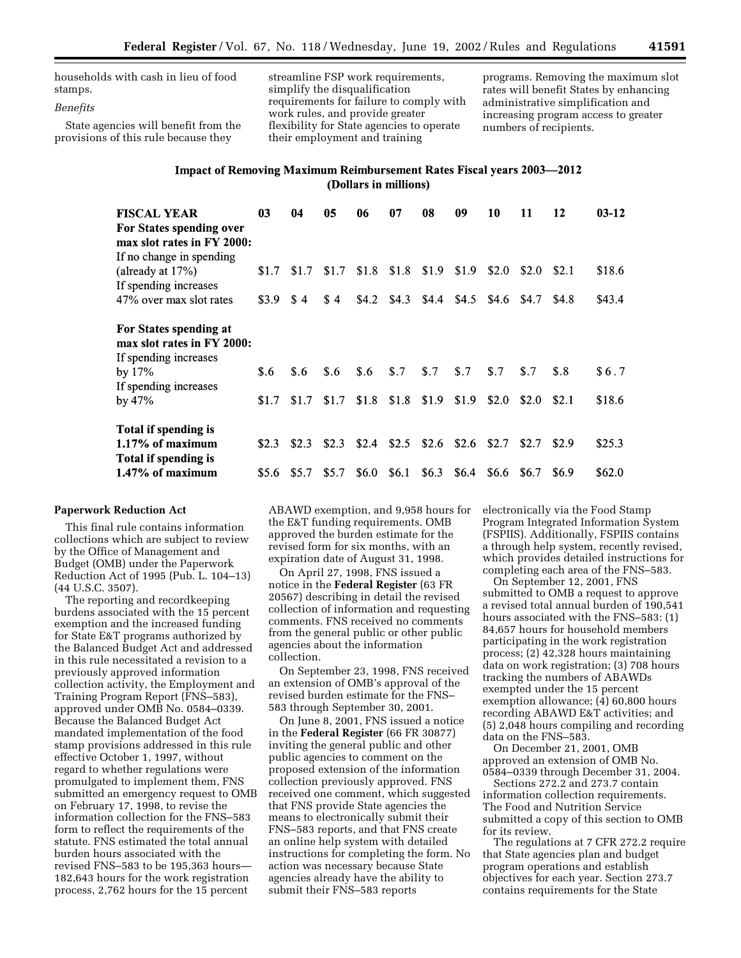households with cash in lieu of food stamps.

## *Benefits*

State agencies will benefit from the provisions of this rule because they

streamline FSP work requirements, simplify the disqualification requirements for failure to comply with work rules, and provide greater flexibility for State agencies to operate their employment and training

programs. Removing the maximum slot rates will benefit States by enhancing administrative simplification and increasing program access to greater numbers of recipients.

# Impact of Removing Maximum Reimbursement Rates Fiscal years 2003-2012 (Dollars in millions)

| <b>FISCAL YEAR</b><br>For States spending over<br>max slot rates in FY 2000:<br>If no change in spending | 03    | 04    | 05    | 06      | 07    | 08      | 09    | 10    | 11    | 12    | $03-12$ |
|----------------------------------------------------------------------------------------------------------|-------|-------|-------|---------|-------|---------|-------|-------|-------|-------|---------|
| (already at $17\%$ )                                                                                     | \$1.7 | \$1.7 | \$1.7 | \$1.8   | \$1.8 | \$1.9   | \$1.9 | \$2.0 | \$2.0 | \$2.1 | \$18.6  |
| If spending increases                                                                                    |       |       |       |         |       |         |       |       |       |       |         |
| 47% over max slot rates                                                                                  | \$3.9 | \$4   | \$4   | \$4.2\$ | \$4.3 | \$4.4   | \$4.5 | \$4.6 | \$4.7 | \$4.8 | \$43.4  |
| For States spending at<br>max slot rates in FY 2000:<br>If spending increases                            |       |       |       |         |       |         |       |       |       |       |         |
| by $17\%$                                                                                                | \$.6  | \$.6  | \$.6  | \$.6    | \$.7  | \$.7    | \$.7  | \$.7  | \$.7  | \$.8  | \$6.7   |
| If spending increases                                                                                    |       |       |       |         |       |         |       |       |       |       |         |
| by $47\%$                                                                                                | \$1.7 | \$1.7 | \$1.7 | \$1.8   | \$1.8 | \$1.9   | \$1.9 | \$2.0 | \$2.0 | \$2.1 | \$18.6  |
| Total if spending is                                                                                     |       |       |       |         |       |         |       |       |       |       |         |
| $1.17\%$ of maximum                                                                                      | \$2.3 | \$2.3 | \$2.3 | \$2.4   | \$2.5 | \$2.6   | \$2.6 | \$2.7 | \$2.7 | \$2.9 | \$25.3  |
| Total if spending is                                                                                     |       |       |       |         |       |         |       |       |       |       |         |
| 1.47% of maximum                                                                                         | \$5.6 | \$5.7 | \$5.7 | \$6.0   | \$6.1 | \$6.3\$ | \$6.4 | \$6.6 | \$6.7 | \$6.9 | \$62.0  |

# **Paperwork Reduction Act**

This final rule contains information collections which are subject to review by the Office of Management and Budget (OMB) under the Paperwork Reduction Act of 1995 (Pub. L. 104–13) (44 U.S.C. 3507).

The reporting and recordkeeping burdens associated with the 15 percent exemption and the increased funding for State E&T programs authorized by the Balanced Budget Act and addressed in this rule necessitated a revision to a previously approved information collection activity, the Employment and Training Program Report (FNS–583), approved under OMB No. 0584–0339. Because the Balanced Budget Act mandated implementation of the food stamp provisions addressed in this rule effective October 1, 1997, without regard to whether regulations were promulgated to implement them, FNS submitted an emergency request to OMB on February 17, 1998, to revise the information collection for the FNS–583 form to reflect the requirements of the statute. FNS estimated the total annual burden hours associated with the revised FNS–583 to be 195,363 hours— 182,643 hours for the work registration process, 2,762 hours for the 15 percent

ABAWD exemption, and 9,958 hours for the E&T funding requirements. OMB approved the burden estimate for the revised form for six months, with an expiration date of August 31, 1998.

On April 27, 1998, FNS issued a notice in the **Federal Register** (63 FR 20567) describing in detail the revised collection of information and requesting comments. FNS received no comments from the general public or other public agencies about the information collection.

On September 23, 1998, FNS received an extension of OMB's approval of the revised burden estimate for the FNS– 583 through September 30, 2001.

On June 8, 2001, FNS issued a notice in the **Federal Register** (66 FR 30877) inviting the general public and other public agencies to comment on the proposed extension of the information collection previously approved. FNS received one comment, which suggested that FNS provide State agencies the means to electronically submit their FNS–583 reports, and that FNS create an online help system with detailed instructions for completing the form. No action was necessary because State agencies already have the ability to submit their FNS–583 reports

electronically via the Food Stamp Program Integrated Information System (FSPIIS). Additionally, FSPIIS contains a through help system, recently revised, which provides detailed instructions for completing each area of the FNS–583.

On September 12, 2001, FNS submitted to OMB a request to approve a revised total annual burden of 190,541 hours associated with the FNS–583: (1) 84,657 hours for household members participating in the work registration process; (2) 42,328 hours maintaining data on work registration; (3) 708 hours tracking the numbers of ABAWDs exempted under the 15 percent exemption allowance; (4) 60,800 hours recording ABAWD E&T activities; and (5) 2,048 hours compiling and recording data on the FNS–583.

On December 21, 2001, OMB approved an extension of OMB No. 0584–0339 through December 31, 2004.

Sections 272.2 and 273.7 contain information collection requirements. The Food and Nutrition Service submitted a copy of this section to OMB for its review.

The regulations at 7 CFR 272.2 require that State agencies plan and budget program operations and establish objectives for each year. Section 273.7 contains requirements for the State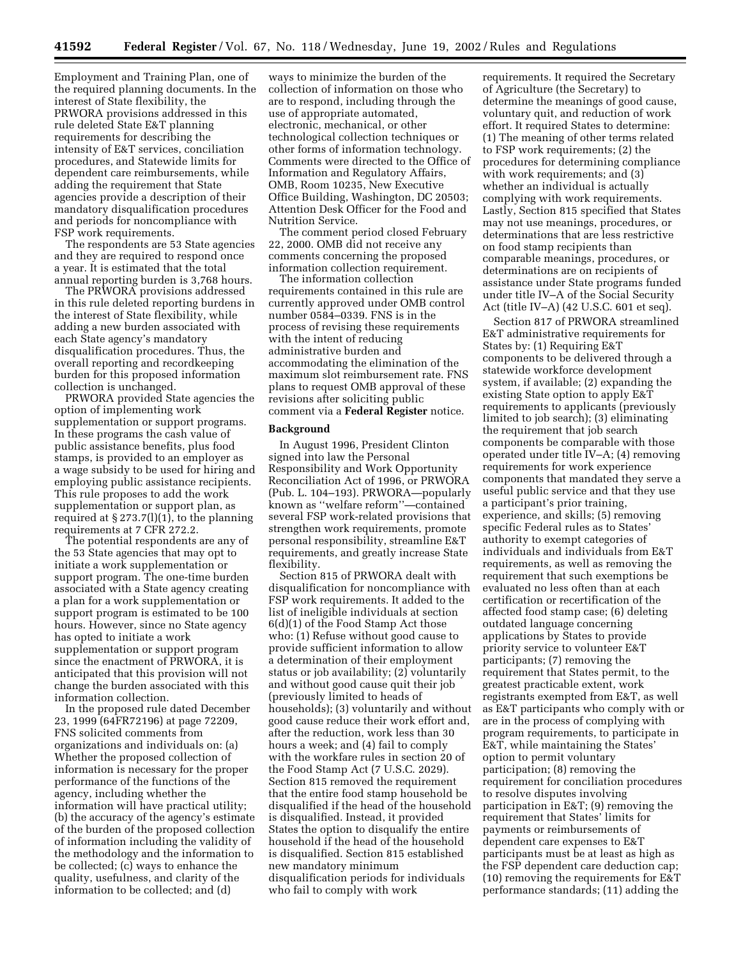Employment and Training Plan, one of the required planning documents. In the interest of State flexibility, the PRWORA provisions addressed in this rule deleted State E&T planning requirements for describing the intensity of E&T services, conciliation procedures, and Statewide limits for dependent care reimbursements, while adding the requirement that State agencies provide a description of their mandatory disqualification procedures and periods for noncompliance with FSP work requirements.

The respondents are 53 State agencies and they are required to respond once a year. It is estimated that the total annual reporting burden is 3,768 hours.

The PRWORA provisions addressed in this rule deleted reporting burdens in the interest of State flexibility, while adding a new burden associated with each State agency's mandatory disqualification procedures. Thus, the overall reporting and recordkeeping burden for this proposed information collection is unchanged.

PRWORA provided State agencies the option of implementing work supplementation or support programs. In these programs the cash value of public assistance benefits, plus food stamps, is provided to an employer as a wage subsidy to be used for hiring and employing public assistance recipients. This rule proposes to add the work supplementation or support plan, as required at § 273.7(l)(1), to the planning requirements at 7 CFR 272.2.

The potential respondents are any of the 53 State agencies that may opt to initiate a work supplementation or support program. The one-time burden associated with a State agency creating a plan for a work supplementation or support program is estimated to be 100 hours. However, since no State agency has opted to initiate a work supplementation or support program since the enactment of PRWORA, it is anticipated that this provision will not change the burden associated with this information collection.

In the proposed rule dated December 23, 1999 (64FR72196) at page 72209, FNS solicited comments from organizations and individuals on: (a) Whether the proposed collection of information is necessary for the proper performance of the functions of the agency, including whether the information will have practical utility; (b) the accuracy of the agency's estimate of the burden of the proposed collection of information including the validity of the methodology and the information to be collected; (c) ways to enhance the quality, usefulness, and clarity of the information to be collected; and (d)

ways to minimize the burden of the collection of information on those who are to respond, including through the use of appropriate automated, electronic, mechanical, or other technological collection techniques or other forms of information technology. Comments were directed to the Office of Information and Regulatory Affairs, OMB, Room 10235, New Executive Office Building, Washington, DC 20503; Attention Desk Officer for the Food and Nutrition Service.

The comment period closed February 22, 2000. OMB did not receive any comments concerning the proposed information collection requirement.

The information collection requirements contained in this rule are currently approved under OMB control number 0584–0339. FNS is in the process of revising these requirements with the intent of reducing administrative burden and accommodating the elimination of the maximum slot reimbursement rate. FNS plans to request OMB approval of these revisions after soliciting public comment via a **Federal Register** notice.

#### **Background**

In August 1996, President Clinton signed into law the Personal Responsibility and Work Opportunity Reconciliation Act of 1996, or PRWORA (Pub. L. 104–193). PRWORA—popularly known as ''welfare reform''—contained several FSP work-related provisions that strengthen work requirements, promote personal responsibility, streamline E&T requirements, and greatly increase State flexibility.

Section 815 of PRWORA dealt with disqualification for noncompliance with FSP work requirements. It added to the list of ineligible individuals at section 6(d)(1) of the Food Stamp Act those who: (1) Refuse without good cause to provide sufficient information to allow a determination of their employment status or job availability; (2) voluntarily and without good cause quit their job (previously limited to heads of households); (3) voluntarily and without good cause reduce their work effort and, after the reduction, work less than 30 hours a week; and (4) fail to comply with the workfare rules in section 20 of the Food Stamp Act (7 U.S.C. 2029). Section 815 removed the requirement that the entire food stamp household be disqualified if the head of the household is disqualified. Instead, it provided States the option to disqualify the entire household if the head of the household is disqualified. Section 815 established new mandatory minimum disqualification periods for individuals who fail to comply with work

requirements. It required the Secretary of Agriculture (the Secretary) to determine the meanings of good cause, voluntary quit, and reduction of work effort. It required States to determine: (1) The meaning of other terms related to FSP work requirements; (2) the procedures for determining compliance with work requirements; and (3) whether an individual is actually complying with work requirements. Lastly, Section 815 specified that States may not use meanings, procedures, or determinations that are less restrictive on food stamp recipients than comparable meanings, procedures, or determinations are on recipients of assistance under State programs funded under title IV–A of the Social Security Act (title IV–A) (42 U.S.C. 601 et seq).

Section 817 of PRWORA streamlined E&T administrative requirements for States by: (1) Requiring E&T components to be delivered through a statewide workforce development system, if available; (2) expanding the existing State option to apply E&T requirements to applicants (previously limited to job search); (3) eliminating the requirement that job search components be comparable with those operated under title IV–A; (4) removing requirements for work experience components that mandated they serve a useful public service and that they use a participant's prior training, experience, and skills; (5) removing specific Federal rules as to States' authority to exempt categories of individuals and individuals from E&T requirements, as well as removing the requirement that such exemptions be evaluated no less often than at each certification or recertification of the affected food stamp case; (6) deleting outdated language concerning applications by States to provide priority service to volunteer E&T participants; (7) removing the requirement that States permit, to the greatest practicable extent, work registrants exempted from E&T, as well as E&T participants who comply with or are in the process of complying with program requirements, to participate in E&T, while maintaining the States' option to permit voluntary participation; (8) removing the requirement for conciliation procedures to resolve disputes involving participation in E&T; (9) removing the requirement that States' limits for payments or reimbursements of dependent care expenses to E&T participants must be at least as high as the FSP dependent care deduction cap; (10) removing the requirements for E&T performance standards; (11) adding the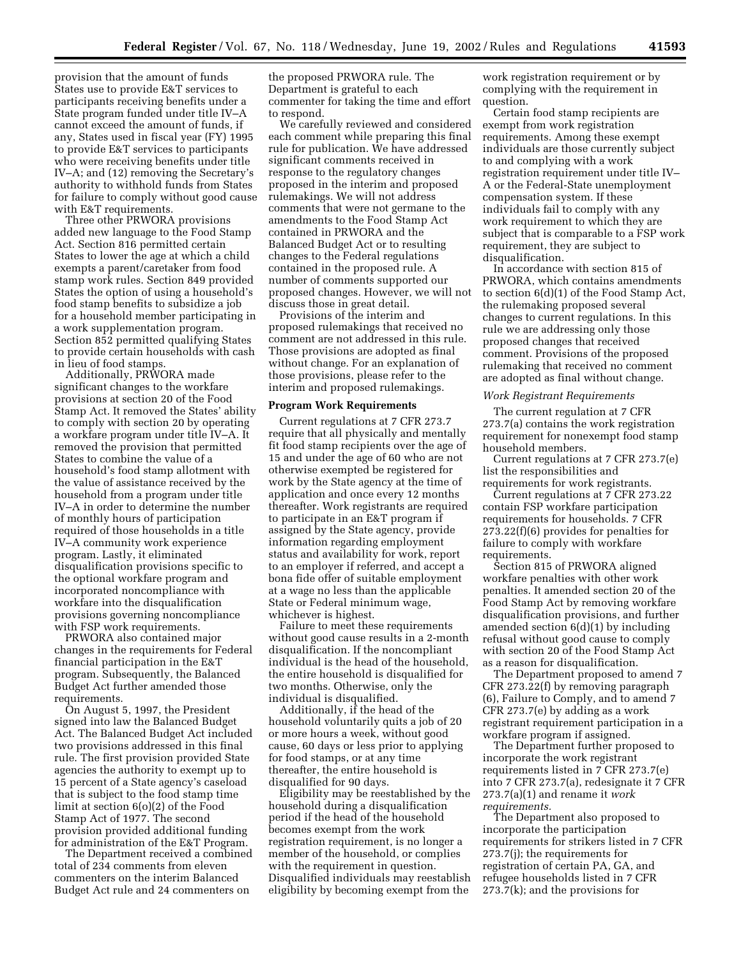provision that the amount of funds States use to provide E&T services to participants receiving benefits under a State program funded under title IV–A cannot exceed the amount of funds, if any, States used in fiscal year (FY) 1995 to provide E&T services to participants who were receiving benefits under title IV–A; and (12) removing the Secretary's authority to withhold funds from States for failure to comply without good cause with E&T requirements.

Three other PRWORA provisions added new language to the Food Stamp Act. Section 816 permitted certain States to lower the age at which a child exempts a parent/caretaker from food stamp work rules. Section 849 provided States the option of using a household's food stamp benefits to subsidize a job for a household member participating in a work supplementation program. Section 852 permitted qualifying States to provide certain households with cash in lieu of food stamps.

Additionally, PRWORA made significant changes to the workfare provisions at section 20 of the Food Stamp Act. It removed the States' ability to comply with section 20 by operating a workfare program under title IV–A. It removed the provision that permitted States to combine the value of a household's food stamp allotment with the value of assistance received by the household from a program under title IV–A in order to determine the number of monthly hours of participation required of those households in a title IV–A community work experience program. Lastly, it eliminated disqualification provisions specific to the optional workfare program and incorporated noncompliance with workfare into the disqualification provisions governing noncompliance with FSP work requirements.

PRWORA also contained major changes in the requirements for Federal financial participation in the E&T program. Subsequently, the Balanced Budget Act further amended those requirements.

On August 5, 1997, the President signed into law the Balanced Budget Act. The Balanced Budget Act included two provisions addressed in this final rule. The first provision provided State agencies the authority to exempt up to 15 percent of a State agency's caseload that is subject to the food stamp time limit at section 6(o)(2) of the Food Stamp Act of 1977. The second provision provided additional funding for administration of the E&T Program.

The Department received a combined total of 234 comments from eleven commenters on the interim Balanced Budget Act rule and 24 commenters on

the proposed PRWORA rule. The Department is grateful to each commenter for taking the time and effort to respond.

We carefully reviewed and considered each comment while preparing this final rule for publication. We have addressed significant comments received in response to the regulatory changes proposed in the interim and proposed rulemakings. We will not address comments that were not germane to the amendments to the Food Stamp Act contained in PRWORA and the Balanced Budget Act or to resulting changes to the Federal regulations contained in the proposed rule. A number of comments supported our proposed changes. However, we will not discuss those in great detail.

Provisions of the interim and proposed rulemakings that received no comment are not addressed in this rule. Those provisions are adopted as final without change. For an explanation of those provisions, please refer to the interim and proposed rulemakings.

## **Program Work Requirements**

Current regulations at 7 CFR 273.7 require that all physically and mentally fit food stamp recipients over the age of 15 and under the age of 60 who are not otherwise exempted be registered for work by the State agency at the time of application and once every 12 months thereafter. Work registrants are required to participate in an E&T program if assigned by the State agency, provide information regarding employment status and availability for work, report to an employer if referred, and accept a bona fide offer of suitable employment at a wage no less than the applicable State or Federal minimum wage, whichever is highest.

Failure to meet these requirements without good cause results in a 2-month disqualification. If the noncompliant individual is the head of the household, the entire household is disqualified for two months. Otherwise, only the individual is disqualified.

Additionally, if the head of the household voluntarily quits a job of 20 or more hours a week, without good cause, 60 days or less prior to applying for food stamps, or at any time thereafter, the entire household is disqualified for 90 days.

Eligibility may be reestablished by the household during a disqualification period if the head of the household becomes exempt from the work registration requirement, is no longer a member of the household, or complies with the requirement in question. Disqualified individuals may reestablish eligibility by becoming exempt from the

work registration requirement or by complying with the requirement in question.

Certain food stamp recipients are exempt from work registration requirements. Among these exempt individuals are those currently subject to and complying with a work registration requirement under title IV– A or the Federal-State unemployment compensation system. If these individuals fail to comply with any work requirement to which they are subject that is comparable to a FSP work requirement, they are subject to disqualification.

In accordance with section 815 of PRWORA, which contains amendments to section 6(d)(1) of the Food Stamp Act, the rulemaking proposed several changes to current regulations. In this rule we are addressing only those proposed changes that received comment. Provisions of the proposed rulemaking that received no comment are adopted as final without change.

#### *Work Registrant Requirements*

The current regulation at 7 CFR 273.7(a) contains the work registration requirement for nonexempt food stamp household members.

Current regulations at 7 CFR 273.7(e) list the responsibilities and requirements for work registrants.

Current regulations at  $\overline{7}$  CFR 273.22 contain FSP workfare participation requirements for households. 7 CFR 273.22(f)(6) provides for penalties for failure to comply with workfare requirements.

Section 815 of PRWORA aligned workfare penalties with other work penalties. It amended section 20 of the Food Stamp Act by removing workfare disqualification provisions, and further amended section 6(d)(1) by including refusal without good cause to comply with section 20 of the Food Stamp Act as a reason for disqualification.

The Department proposed to amend 7 CFR 273.22(f) by removing paragraph (6), Failure to Comply, and to amend 7 CFR 273.7(e) by adding as a work registrant requirement participation in a workfare program if assigned.

The Department further proposed to incorporate the work registrant requirements listed in 7 CFR 273.7(e) into 7 CFR 273.7(a), redesignate it 7 CFR 273.7(a)(1) and rename it *work requirements.*

The Department also proposed to incorporate the participation requirements for strikers listed in 7 CFR 273.7(j); the requirements for registration of certain PA, GA, and refugee households listed in 7 CFR 273.7(k); and the provisions for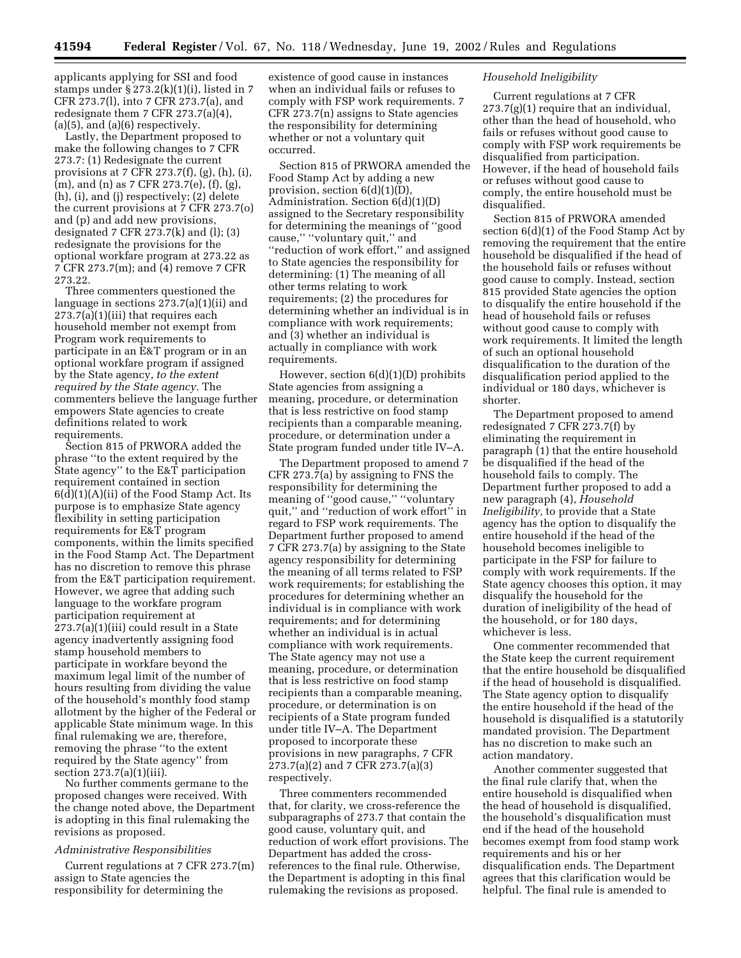applicants applying for SSI and food stamps under  $\S 273.2(k)(1)(i)$ , listed in 7 CFR 273.7(l), into 7 CFR 273.7(a), and redesignate them 7 CFR 273.7(a)(4),  $(a)(5)$ , and  $(a)(6)$  respectively.

Lastly, the Department proposed to make the following changes to 7 CFR 273.7: (1) Redesignate the current provisions at 7 CFR 273.7(f), (g), (h), (i), (m), and (n) as 7 CFR 273.7(e), (f), (g), (h), (i), and (j) respectively; (2) delete the current provisions at 7 CFR 273.7(o) and (p) and add new provisions, designated 7 CFR 273.7(k) and (l); (3) redesignate the provisions for the optional workfare program at 273.22 as 7 CFR 273.7(m); and (4) remove 7 CFR 273.22.

Three commenters questioned the language in sections 273.7(a)(1)(ii) and 273.7(a)(1)(iii) that requires each household member not exempt from Program work requirements to participate in an E&T program or in an optional workfare program if assigned by the State agency, *to the extent required by the State agency.* The commenters believe the language further empowers State agencies to create definitions related to work requirements.

Section 815 of PRWORA added the phrase ''to the extent required by the State agency'' to the E&T participation requirement contained in section  $6(d)(1)(A)(ii)$  of the Food Stamp Act. Its purpose is to emphasize State agency flexibility in setting participation requirements for E&T program components, within the limits specified in the Food Stamp Act. The Department has no discretion to remove this phrase from the E&T participation requirement. However, we agree that adding such language to the workfare program participation requirement at 273.7(a)(1)(iii) could result in a State agency inadvertently assigning food stamp household members to participate in workfare beyond the maximum legal limit of the number of hours resulting from dividing the value of the household's monthly food stamp allotment by the higher of the Federal or applicable State minimum wage. In this final rulemaking we are, therefore, removing the phrase ''to the extent required by the State agency'' from section 273.7(a)(1)(iii).

No further comments germane to the proposed changes were received. With the change noted above, the Department is adopting in this final rulemaking the revisions as proposed.

# *Administrative Responsibilities*

Current regulations at 7 CFR 273.7(m) assign to State agencies the responsibility for determining the

existence of good cause in instances when an individual fails or refuses to comply with FSP work requirements. 7 CFR 273.7(n) assigns to State agencies the responsibility for determining whether or not a voluntary quit occurred.

Section 815 of PRWORA amended the Food Stamp Act by adding a new provision, section 6(d)(1)(D), Administration. Section 6(d)(1)(D) assigned to the Secretary responsibility for determining the meanings of ''good cause,'' ''voluntary quit,'' and ''reduction of work effort,'' and assigned to State agencies the responsibility for determining: (1) The meaning of all other terms relating to work requirements; (2) the procedures for determining whether an individual is in compliance with work requirements; and (3) whether an individual is actually in compliance with work requirements.

However, section 6(d)(1)(D) prohibits State agencies from assigning a meaning, procedure, or determination that is less restrictive on food stamp recipients than a comparable meaning, procedure, or determination under a State program funded under title IV–A.

The Department proposed to amend 7 CFR 273.7(a) by assigning to FNS the responsibility for determining the meaning of ''good cause,'' ''voluntary quit,'' and ''reduction of work effort'' in regard to FSP work requirements. The Department further proposed to amend 7 CFR 273.7(a) by assigning to the State agency responsibility for determining the meaning of all terms related to FSP work requirements; for establishing the procedures for determining whether an individual is in compliance with work requirements; and for determining whether an individual is in actual compliance with work requirements. The State agency may not use a meaning, procedure, or determination that is less restrictive on food stamp recipients than a comparable meaning, procedure, or determination is on recipients of a State program funded under title IV–A. The Department proposed to incorporate these provisions in new paragraphs, 7 CFR 273.7(a)(2) and 7 CFR 273.7(a)(3) respectively.

Three commenters recommended that, for clarity, we cross-reference the subparagraphs of 273.7 that contain the good cause, voluntary quit, and reduction of work effort provisions. The Department has added the crossreferences to the final rule. Otherwise, the Department is adopting in this final rulemaking the revisions as proposed.

## *Household Ineligibility*

Current regulations at 7 CFR  $273.7(g)(1)$  require that an individual, other than the head of household, who fails or refuses without good cause to comply with FSP work requirements be disqualified from participation. However, if the head of household fails or refuses without good cause to comply, the entire household must be disqualified.

Section 815 of PRWORA amended section 6(d)(1) of the Food Stamp Act by removing the requirement that the entire household be disqualified if the head of the household fails or refuses without good cause to comply. Instead, section 815 provided State agencies the option to disqualify the entire household if the head of household fails or refuses without good cause to comply with work requirements. It limited the length of such an optional household disqualification to the duration of the disqualification period applied to the individual or 180 days, whichever is shorter.

The Department proposed to amend redesignated 7 CFR 273.7(f) by eliminating the requirement in paragraph (1) that the entire household be disqualified if the head of the household fails to comply. The Department further proposed to add a new paragraph (4), *Household Ineligibility,* to provide that a State agency has the option to disqualify the entire household if the head of the household becomes ineligible to participate in the FSP for failure to comply with work requirements. If the State agency chooses this option, it may disqualify the household for the duration of ineligibility of the head of the household, or for 180 days, whichever is less.

One commenter recommended that the State keep the current requirement that the entire household be disqualified if the head of household is disqualified. The State agency option to disqualify the entire household if the head of the household is disqualified is a statutorily mandated provision. The Department has no discretion to make such an action mandatory.

Another commenter suggested that the final rule clarify that, when the entire household is disqualified when the head of household is disqualified, the household's disqualification must end if the head of the household becomes exempt from food stamp work requirements and his or her disqualification ends. The Department agrees that this clarification would be helpful. The final rule is amended to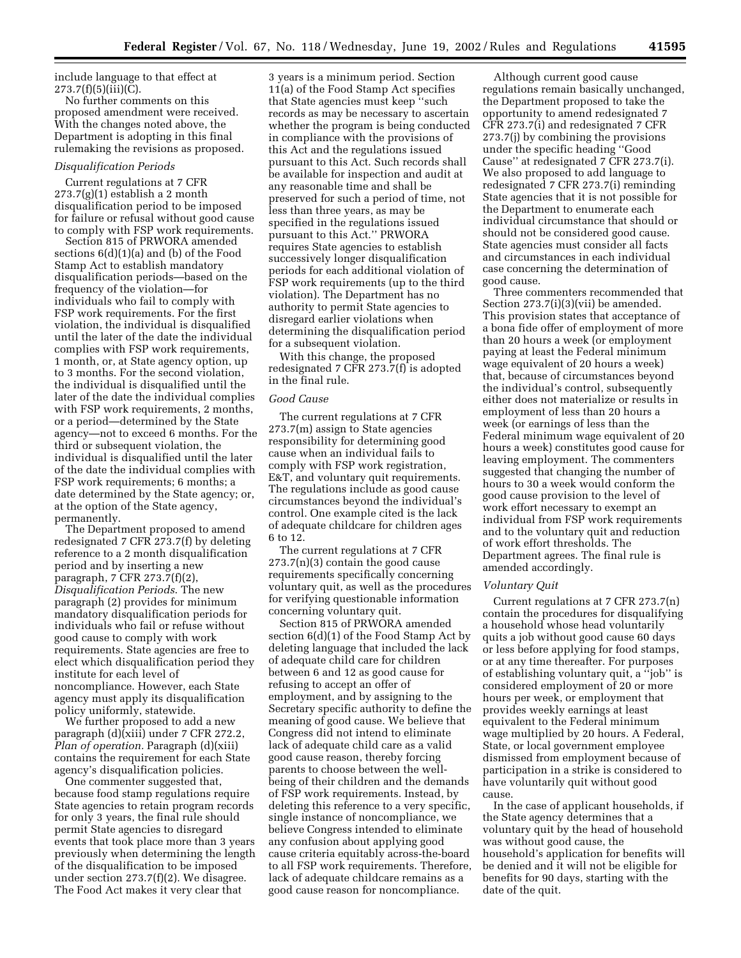include language to that effect at  $273.7(f)(5)(iii)(C)$ .

No further comments on this proposed amendment were received. With the changes noted above, the Department is adopting in this final rulemaking the revisions as proposed.

## *Disqualification Periods*

Current regulations at 7 CFR  $273.7(g)(1)$  establish a 2 month disqualification period to be imposed for failure or refusal without good cause to comply with FSP work requirements.

Section 815 of PRWORA amended sections 6(d)(1)(a) and (b) of the Food Stamp Act to establish mandatory disqualification periods—based on the frequency of the violation—for individuals who fail to comply with FSP work requirements. For the first violation, the individual is disqualified until the later of the date the individual complies with FSP work requirements, 1 month, or, at State agency option, up to 3 months. For the second violation, the individual is disqualified until the later of the date the individual complies with FSP work requirements, 2 months, or a period—determined by the State agency—not to exceed 6 months. For the third or subsequent violation, the individual is disqualified until the later of the date the individual complies with FSP work requirements; 6 months; a date determined by the State agency; or, at the option of the State agency, permanently.

The Department proposed to amend redesignated 7 CFR 273.7(f) by deleting reference to a 2 month disqualification period and by inserting a new paragraph, 7 CFR 273.7(f)(2), *Disqualification Periods*. The new paragraph (2) provides for minimum mandatory disqualification periods for individuals who fail or refuse without good cause to comply with work requirements. State agencies are free to elect which disqualification period they institute for each level of noncompliance. However, each State agency must apply its disqualification policy uniformly, statewide.

We further proposed to add a new paragraph (d)(xiii) under 7 CFR 272.2, *Plan of operation.* Paragraph (d)(xiii) contains the requirement for each State agency's disqualification policies.

One commenter suggested that, because food stamp regulations require State agencies to retain program records for only 3 years, the final rule should permit State agencies to disregard events that took place more than 3 years previously when determining the length of the disqualification to be imposed under section 273.7(f)(2). We disagree. The Food Act makes it very clear that

3 years is a minimum period. Section 11(a) of the Food Stamp Act specifies that State agencies must keep ''such records as may be necessary to ascertain whether the program is being conducted in compliance with the provisions of this Act and the regulations issued pursuant to this Act. Such records shall be available for inspection and audit at any reasonable time and shall be preserved for such a period of time, not less than three years, as may be specified in the regulations issued pursuant to this Act.'' PRWORA requires State agencies to establish successively longer disqualification periods for each additional violation of FSP work requirements (up to the third violation). The Department has no authority to permit State agencies to disregard earlier violations when determining the disqualification period for a subsequent violation.

With this change, the proposed redesignated 7 CFR 273.7(f) is adopted in the final rule.

#### *Good Cause*

The current regulations at 7 CFR 273.7(m) assign to State agencies responsibility for determining good cause when an individual fails to comply with FSP work registration, E&T, and voluntary quit requirements. The regulations include as good cause circumstances beyond the individual's control. One example cited is the lack of adequate childcare for children ages 6 to 12.

The current regulations at 7 CFR 273.7(n)(3) contain the good cause requirements specifically concerning voluntary quit, as well as the procedures for verifying questionable information concerning voluntary quit.

Section 815 of PRWORA amended section 6(d)(1) of the Food Stamp Act by deleting language that included the lack of adequate child care for children between 6 and 12 as good cause for refusing to accept an offer of employment, and by assigning to the Secretary specific authority to define the meaning of good cause. We believe that Congress did not intend to eliminate lack of adequate child care as a valid good cause reason, thereby forcing parents to choose between the wellbeing of their children and the demands of FSP work requirements. Instead, by deleting this reference to a very specific, single instance of noncompliance, we believe Congress intended to eliminate any confusion about applying good cause criteria equitably across-the-board to all FSP work requirements. Therefore, lack of adequate childcare remains as a good cause reason for noncompliance.

Although current good cause regulations remain basically unchanged, the Department proposed to take the opportunity to amend redesignated 7 CFR 273.7(i) and redesignated 7 CFR 273.7(j) by combining the provisions under the specific heading ''Good Cause'' at redesignated 7 CFR 273.7(i). We also proposed to add language to redesignated 7 CFR 273.7(i) reminding State agencies that it is not possible for the Department to enumerate each individual circumstance that should or should not be considered good cause. State agencies must consider all facts and circumstances in each individual case concerning the determination of good cause.

Three commenters recommended that Section 273.7(i)(3)(vii) be amended. This provision states that acceptance of a bona fide offer of employment of more than 20 hours a week (or employment paying at least the Federal minimum wage equivalent of 20 hours a week) that, because of circumstances beyond the individual's control, subsequently either does not materialize or results in employment of less than 20 hours a week (or earnings of less than the Federal minimum wage equivalent of 20 hours a week) constitutes good cause for leaving employment. The commenters suggested that changing the number of hours to 30 a week would conform the good cause provision to the level of work effort necessary to exempt an individual from FSP work requirements and to the voluntary quit and reduction of work effort thresholds. The Department agrees. The final rule is amended accordingly.

## *Voluntary Quit*

Current regulations at 7 CFR 273.7(n) contain the procedures for disqualifying a household whose head voluntarily quits a job without good cause 60 days or less before applying for food stamps, or at any time thereafter. For purposes of establishing voluntary quit, a ''job'' is considered employment of 20 or more hours per week, or employment that provides weekly earnings at least equivalent to the Federal minimum wage multiplied by 20 hours. A Federal, State, or local government employee dismissed from employment because of participation in a strike is considered to have voluntarily quit without good cause.

In the case of applicant households, if the State agency determines that a voluntary quit by the head of household was without good cause, the household's application for benefits will be denied and it will not be eligible for benefits for 90 days, starting with the date of the quit.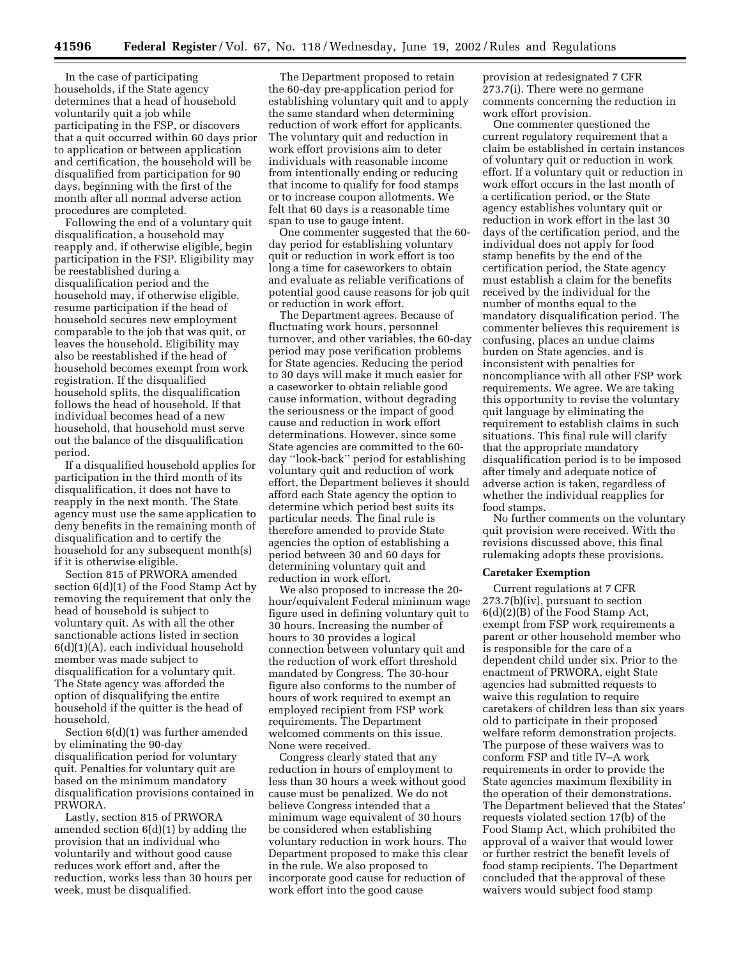In the case of participating households, if the State agency determines that a head of household voluntarily quit a job while participating in the FSP, or discovers that a quit occurred within 60 days prior to application or between application and certification, the household will be disqualified from participation for 90 days, beginning with the first of the month after all normal adverse action procedures are completed.

Following the end of a voluntary quit disqualification, a household may reapply and, if otherwise eligible, begin participation in the FSP. Eligibility may be reestablished during a disqualification period and the household may, if otherwise eligible, resume participation if the head of household secures new employment comparable to the job that was quit, or leaves the household. Eligibility may also be reestablished if the head of household becomes exempt from work registration. If the disqualified household splits, the disqualification follows the head of household. If that individual becomes head of a new household, that household must serve out the balance of the disqualification period.

If a disqualified household applies for participation in the third month of its disqualification, it does not have to reapply in the next month. The State agency must use the same application to deny benefits in the remaining month of disqualification and to certify the household for any subsequent month(s) if it is otherwise eligible.

Section 815 of PRWORA amended section 6(d)(1) of the Food Stamp Act by removing the requirement that only the head of household is subject to voluntary quit. As with all the other sanctionable actions listed in section 6(d)(1)(A), each individual household member was made subject to disqualification for a voluntary quit. The State agency was afforded the option of disqualifying the entire household if the quitter is the head of household.

Section 6(d)(1) was further amended by eliminating the 90-day disqualification period for voluntary quit. Penalties for voluntary quit are based on the minimum mandatory disqualification provisions contained in PRWORA.

Lastly, section 815 of PRWORA amended section 6(d)(1) by adding the provision that an individual who voluntarily and without good cause reduces work effort and, after the reduction, works less than 30 hours per week, must be disqualified.

The Department proposed to retain the 60-day pre-application period for establishing voluntary quit and to apply the same standard when determining reduction of work effort for applicants. The voluntary quit and reduction in work effort provisions aim to deter individuals with reasonable income from intentionally ending or reducing that income to qualify for food stamps or to increase coupon allotments. We felt that 60 days is a reasonable time span to use to gauge intent.

One commenter suggested that the 60 day period for establishing voluntary quit or reduction in work effort is too long a time for caseworkers to obtain and evaluate as reliable verifications of potential good cause reasons for job quit or reduction in work effort.

The Department agrees. Because of fluctuating work hours, personnel turnover, and other variables, the 60-day period may pose verification problems for State agencies. Reducing the period to 30 days will make it much easier for a caseworker to obtain reliable good cause information, without degrading the seriousness or the impact of good cause and reduction in work effort determinations. However, since some State agencies are committed to the 60 day ''look-back'' period for establishing voluntary quit and reduction of work effort, the Department believes it should afford each State agency the option to determine which period best suits its particular needs. The final rule is therefore amended to provide State agencies the option of establishing a period between 30 and 60 days for determining voluntary quit and reduction in work effort.

We also proposed to increase the 20 hour/equivalent Federal minimum wage figure used in defining voluntary quit to 30 hours. Increasing the number of hours to 30 provides a logical connection between voluntary quit and the reduction of work effort threshold mandated by Congress. The 30-hour figure also conforms to the number of hours of work required to exempt an employed recipient from FSP work requirements. The Department welcomed comments on this issue. None were received.

Congress clearly stated that any reduction in hours of employment to less than 30 hours a week without good cause must be penalized. We do not believe Congress intended that a minimum wage equivalent of 30 hours be considered when establishing voluntary reduction in work hours. The Department proposed to make this clear in the rule. We also proposed to incorporate good cause for reduction of work effort into the good cause

provision at redesignated 7 CFR 273.7(i). There were no germane comments concerning the reduction in work effort provision.

One commenter questioned the current regulatory requirement that a claim be established in certain instances of voluntary quit or reduction in work effort. If a voluntary quit or reduction in work effort occurs in the last month of a certification period, or the State agency establishes voluntary quit or reduction in work effort in the last 30 days of the certification period, and the individual does not apply for food stamp benefits by the end of the certification period, the State agency must establish a claim for the benefits received by the individual for the number of months equal to the mandatory disqualification period. The commenter believes this requirement is confusing, places an undue claims burden on State agencies, and is inconsistent with penalties for noncompliance with all other FSP work requirements. We agree. We are taking this opportunity to revise the voluntary quit language by eliminating the requirement to establish claims in such situations. This final rule will clarify that the appropriate mandatory disqualification period is to be imposed after timely and adequate notice of adverse action is taken, regardless of whether the individual reapplies for food stamps.

No further comments on the voluntary quit provision were received. With the revisions discussed above, this final rulemaking adopts these provisions.

# **Caretaker Exemption**

Current regulations at 7 CFR 273.7(b)(iv), pursuant to section 6(d)(2)(B) of the Food Stamp Act, exempt from FSP work requirements a parent or other household member who is responsible for the care of a dependent child under six. Prior to the enactment of PRWORA, eight State agencies had submitted requests to waive this regulation to require caretakers of children less than six years old to participate in their proposed welfare reform demonstration projects. The purpose of these waivers was to conform FSP and title IV–A work requirements in order to provide the State agencies maximum flexibility in the operation of their demonstrations. The Department believed that the States' requests violated section 17(b) of the Food Stamp Act, which prohibited the approval of a waiver that would lower or further restrict the benefit levels of food stamp recipients. The Department concluded that the approval of these waivers would subject food stamp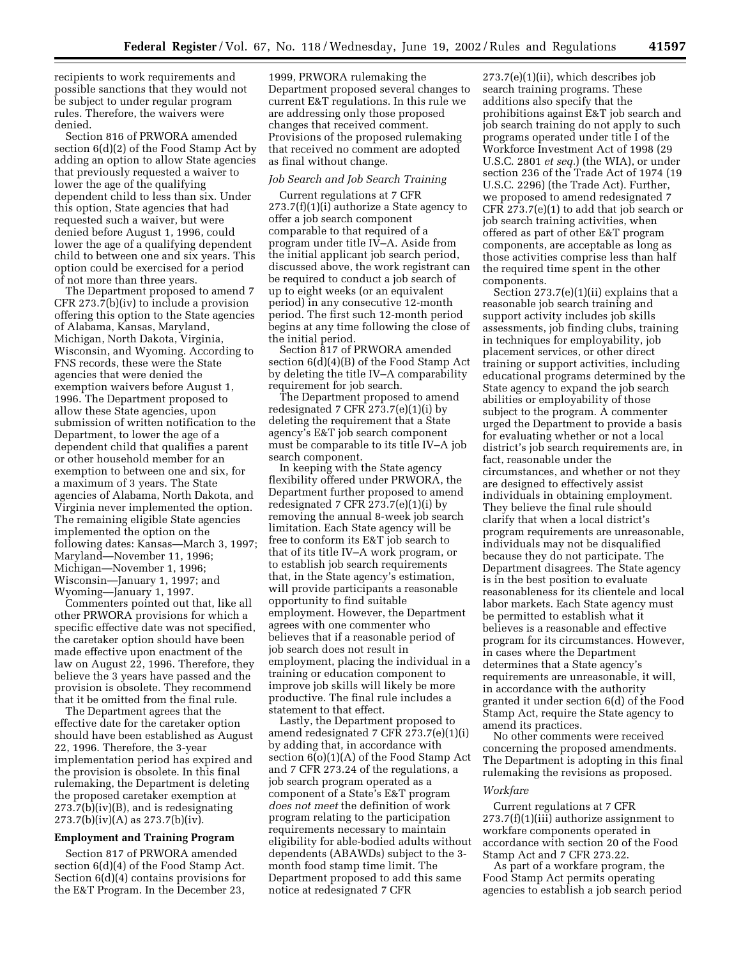recipients to work requirements and possible sanctions that they would not be subject to under regular program rules. Therefore, the waivers were denied.

Section 816 of PRWORA amended section 6(d)(2) of the Food Stamp Act by adding an option to allow State agencies that previously requested a waiver to lower the age of the qualifying dependent child to less than six. Under this option, State agencies that had requested such a waiver, but were denied before August 1, 1996, could lower the age of a qualifying dependent child to between one and six years. This option could be exercised for a period of not more than three years.

The Department proposed to amend 7 CFR 273.7(b)(iv) to include a provision offering this option to the State agencies of Alabama, Kansas, Maryland, Michigan, North Dakota, Virginia, Wisconsin, and Wyoming. According to FNS records, these were the State agencies that were denied the exemption waivers before August 1, 1996. The Department proposed to allow these State agencies, upon submission of written notification to the Department, to lower the age of a dependent child that qualifies a parent or other household member for an exemption to between one and six, for a maximum of 3 years. The State agencies of Alabama, North Dakota, and Virginia never implemented the option. The remaining eligible State agencies implemented the option on the following dates: Kansas—March 3, 1997; Maryland—November 11, 1996; Michigan—November 1, 1996; Wisconsin—January 1, 1997; and Wyoming—January 1, 1997.

Commenters pointed out that, like all other PRWORA provisions for which a specific effective date was not specified, the caretaker option should have been made effective upon enactment of the law on August 22, 1996. Therefore, they believe the 3 years have passed and the provision is obsolete. They recommend that it be omitted from the final rule.

The Department agrees that the effective date for the caretaker option should have been established as August 22, 1996. Therefore, the 3-year implementation period has expired and the provision is obsolete. In this final rulemaking, the Department is deleting the proposed caretaker exemption at 273.7(b)(iv)(B), and is redesignating  $273.7(b)(iv)(A)$  as  $273.7(b)(iv)$ .

## **Employment and Training Program**

Section 817 of PRWORA amended section 6(d)(4) of the Food Stamp Act. Section 6(d)(4) contains provisions for the E&T Program. In the December 23,

1999, PRWORA rulemaking the Department proposed several changes to current E&T regulations. In this rule we are addressing only those proposed changes that received comment. Provisions of the proposed rulemaking that received no comment are adopted as final without change.

#### *Job Search and Job Search Training*

Current regulations at 7 CFR  $273.7(f)(1)(i)$  authorize a State agency to offer a job search component comparable to that required of a program under title IV–A. Aside from the initial applicant job search period, discussed above, the work registrant can be required to conduct a job search of up to eight weeks (or an equivalent period) in any consecutive 12-month period. The first such 12-month period begins at any time following the close of the initial period.

Section 817 of PRWORA amended section 6(d)(4)(B) of the Food Stamp Act by deleting the title IV–A comparability requirement for job search.

The Department proposed to amend redesignated 7 CFR  $273.7(e)(1)(i)$  by deleting the requirement that a State agency's E&T job search component must be comparable to its title IV–A job search component.

In keeping with the State agency flexibility offered under PRWORA, the Department further proposed to amend redesignated 7 CFR  $273.7(e)(1)(i)$  by removing the annual 8-week job search limitation. Each State agency will be free to conform its E&T job search to that of its title IV–A work program, or to establish job search requirements that, in the State agency's estimation, will provide participants a reasonable opportunity to find suitable employment. However, the Department agrees with one commenter who believes that if a reasonable period of job search does not result in employment, placing the individual in a training or education component to improve job skills will likely be more productive. The final rule includes a statement to that effect.

Lastly, the Department proposed to amend redesignated 7 CFR 273.7(e)(1)(i) by adding that, in accordance with section 6(o)(1)(A) of the Food Stamp Act and 7 CFR 273.24 of the regulations, a job search program operated as a component of a State's E&T program *does not meet* the definition of work program relating to the participation requirements necessary to maintain eligibility for able-bodied adults without dependents (ABAWDs) subject to the 3 month food stamp time limit. The Department proposed to add this same notice at redesignated 7 CFR

273.7(e)(1)(ii), which describes job search training programs. These additions also specify that the prohibitions against E&T job search and job search training do not apply to such programs operated under title I of the Workforce Investment Act of 1998 (29 U.S.C. 2801 *et seq.*) (the WIA), or under section 236 of the Trade Act of 1974 (19 U.S.C. 2296) (the Trade Act). Further, we proposed to amend redesignated 7 CFR 273.7(e)(1) to add that job search or job search training activities, when offered as part of other E&T program components, are acceptable as long as those activities comprise less than half the required time spent in the other components.

Section 273.7(e)(1)(ii) explains that a reasonable job search training and support activity includes job skills assessments, job finding clubs, training in techniques for employability, job placement services, or other direct training or support activities, including educational programs determined by the State agency to expand the job search abilities or employability of those subject to the program. A commenter urged the Department to provide a basis for evaluating whether or not a local district's job search requirements are, in fact, reasonable under the circumstances, and whether or not they are designed to effectively assist individuals in obtaining employment. They believe the final rule should clarify that when a local district's program requirements are unreasonable, individuals may not be disqualified because they do not participate. The Department disagrees. The State agency is in the best position to evaluate reasonableness for its clientele and local labor markets. Each State agency must be permitted to establish what it believes is a reasonable and effective program for its circumstances. However, in cases where the Department determines that a State agency's requirements are unreasonable, it will, in accordance with the authority granted it under section 6(d) of the Food Stamp Act, require the State agency to amend its practices.

No other comments were received concerning the proposed amendments. The Department is adopting in this final rulemaking the revisions as proposed.

## *Workfare*

Current regulations at 7 CFR 273.7(f)(1)(iii) authorize assignment to workfare components operated in accordance with section 20 of the Food Stamp Act and 7 CFR 273.22.

As part of a workfare program, the Food Stamp Act permits operating agencies to establish a job search period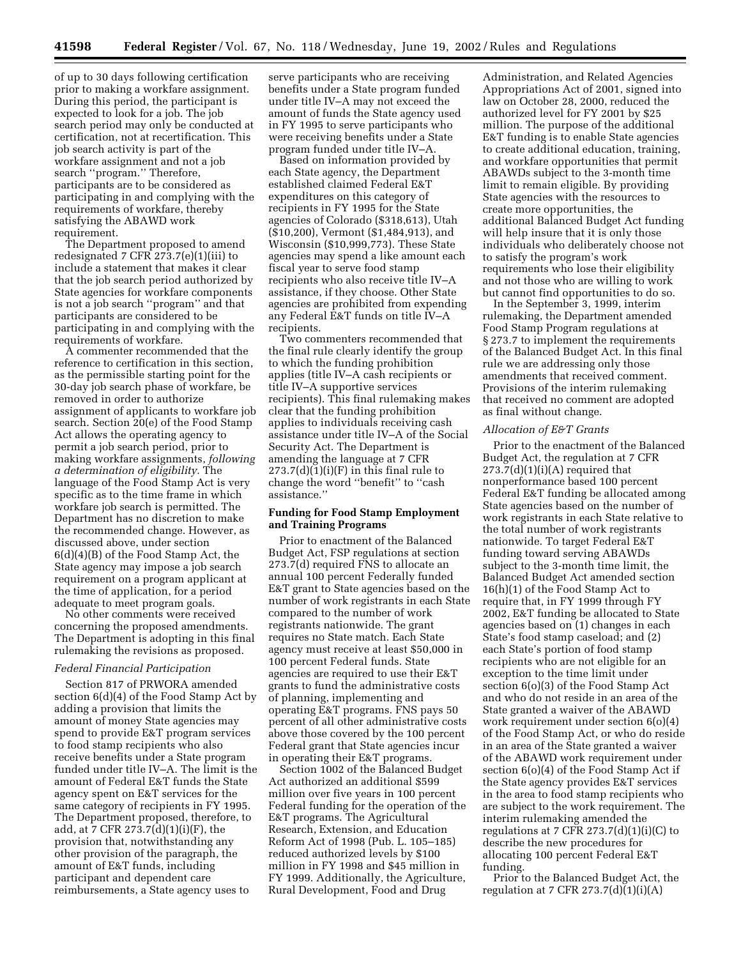of up to 30 days following certification prior to making a workfare assignment. During this period, the participant is expected to look for a job. The job search period may only be conducted at certification, not at recertification. This job search activity is part of the workfare assignment and not a job search ''program.'' Therefore, participants are to be considered as participating in and complying with the requirements of workfare, thereby satisfying the ABAWD work requirement.

The Department proposed to amend redesignated 7 CFR 273.7(e)(1)(iii) to include a statement that makes it clear that the job search period authorized by State agencies for workfare components is not a job search ''program'' and that participants are considered to be participating in and complying with the requirements of workfare.

A commenter recommended that the reference to certification in this section, as the permissible starting point for the 30-day job search phase of workfare, be removed in order to authorize assignment of applicants to workfare job search. Section 20(e) of the Food Stamp Act allows the operating agency to permit a job search period, prior to making workfare assignments, *following a determination of eligibility.* The language of the Food Stamp Act is very specific as to the time frame in which workfare job search is permitted. The Department has no discretion to make the recommended change. However, as discussed above, under section 6(d)(4)(B) of the Food Stamp Act, the State agency may impose a job search requirement on a program applicant at the time of application, for a period adequate to meet program goals.

No other comments were received concerning the proposed amendments. The Department is adopting in this final rulemaking the revisions as proposed.

#### *Federal Financial Participation*

Section 817 of PRWORA amended section 6(d)(4) of the Food Stamp Act by adding a provision that limits the amount of money State agencies may spend to provide E&T program services to food stamp recipients who also receive benefits under a State program funded under title IV–A. The limit is the amount of Federal E&T funds the State agency spent on E&T services for the same category of recipients in FY 1995. The Department proposed, therefore, to add, at 7 CFR 273.7(d)(1)(i)(F), the provision that, notwithstanding any other provision of the paragraph, the amount of E&T funds, including participant and dependent care reimbursements, a State agency uses to

serve participants who are receiving benefits under a State program funded under title IV–A may not exceed the amount of funds the State agency used in FY 1995 to serve participants who were receiving benefits under a State program funded under title IV–A.

Based on information provided by each State agency, the Department established claimed Federal E&T expenditures on this category of recipients in FY 1995 for the State agencies of Colorado (\$318,613), Utah (\$10,200), Vermont (\$1,484,913), and Wisconsin (\$10,999,773). These State agencies may spend a like amount each fiscal year to serve food stamp recipients who also receive title IV–A assistance, if they choose. Other State agencies are prohibited from expending any Federal E&T funds on title IV–A recipients.

Two commenters recommended that the final rule clearly identify the group to which the funding prohibition applies (title IV–A cash recipients or title IV–A supportive services recipients). This final rulemaking makes clear that the funding prohibition applies to individuals receiving cash assistance under title IV–A of the Social Security Act. The Department is amending the language at 7 CFR  $273.7(d)(1)(i)(F)$  in this final rule to change the word ''benefit'' to ''cash assistance.''

# **Funding for Food Stamp Employment and Training Programs**

Prior to enactment of the Balanced Budget Act, FSP regulations at section 273.7(d) required FNS to allocate an annual 100 percent Federally funded E&T grant to State agencies based on the number of work registrants in each State compared to the number of work registrants nationwide. The grant requires no State match. Each State agency must receive at least \$50,000 in 100 percent Federal funds. State agencies are required to use their E&T grants to fund the administrative costs of planning, implementing and operating E&T programs. FNS pays 50 percent of all other administrative costs above those covered by the 100 percent Federal grant that State agencies incur in operating their E&T programs.

Section 1002 of the Balanced Budget Act authorized an additional \$599 million over five years in 100 percent Federal funding for the operation of the E&T programs. The Agricultural Research, Extension, and Education Reform Act of 1998 (Pub. L. 105–185) reduced authorized levels by \$100 million in FY 1998 and \$45 million in FY 1999. Additionally, the Agriculture, Rural Development, Food and Drug

Administration, and Related Agencies Appropriations Act of 2001, signed into law on October 28, 2000, reduced the authorized level for FY 2001 by \$25 million. The purpose of the additional E&T funding is to enable State agencies to create additional education, training, and workfare opportunities that permit ABAWDs subject to the 3-month time limit to remain eligible. By providing State agencies with the resources to create more opportunities, the additional Balanced Budget Act funding will help insure that it is only those individuals who deliberately choose not to satisfy the program's work requirements who lose their eligibility and not those who are willing to work but cannot find opportunities to do so.

In the September 3, 1999, interim rulemaking, the Department amended Food Stamp Program regulations at § 273.7 to implement the requirements of the Balanced Budget Act. In this final rule we are addressing only those amendments that received comment. Provisions of the interim rulemaking that received no comment are adopted as final without change.

## *Allocation of E&T Grants*

Prior to the enactment of the Balanced Budget Act, the regulation at 7 CFR  $273.7(d)(1)(i)(A)$  required that nonperformance based 100 percent Federal E&T funding be allocated among State agencies based on the number of work registrants in each State relative to the total number of work registrants nationwide. To target Federal E&T funding toward serving ABAWDs subject to the 3-month time limit, the Balanced Budget Act amended section 16(h)(1) of the Food Stamp Act to require that, in FY 1999 through FY 2002, E&T funding be allocated to State agencies based on (1) changes in each State's food stamp caseload; and (2) each State's portion of food stamp recipients who are not eligible for an exception to the time limit under section 6(o)(3) of the Food Stamp Act and who do not reside in an area of the State granted a waiver of the ABAWD work requirement under section 6(o)(4) of the Food Stamp Act, or who do reside in an area of the State granted a waiver of the ABAWD work requirement under section 6(o)(4) of the Food Stamp Act if the State agency provides E&T services in the area to food stamp recipients who are subject to the work requirement. The interim rulemaking amended the regulations at 7 CFR  $273.7(d)(1)(i)(C)$  to describe the new procedures for allocating 100 percent Federal E&T funding.

Prior to the Balanced Budget Act, the regulation at 7 CFR  $273.7(d)(1)(i)(A)$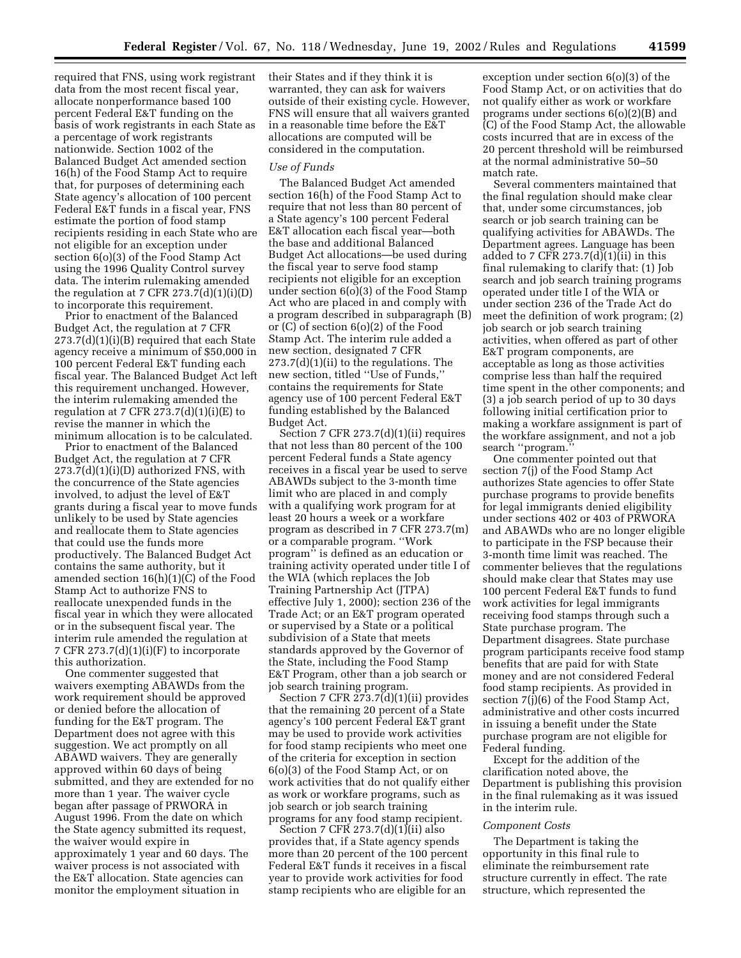required that FNS, using work registrant data from the most recent fiscal year, allocate nonperformance based 100 percent Federal E&T funding on the basis of work registrants in each State as a percentage of work registrants nationwide. Section 1002 of the Balanced Budget Act amended section 16(h) of the Food Stamp Act to require that, for purposes of determining each State agency's allocation of 100 percent Federal E&T funds in a fiscal year, FNS estimate the portion of food stamp recipients residing in each State who are not eligible for an exception under section 6(o)(3) of the Food Stamp Act using the 1996 Quality Control survey data. The interim rulemaking amended the regulation at 7 CFR  $273.7(d)(1)(i)(D)$ to incorporate this requirement.

Prior to enactment of the Balanced Budget Act, the regulation at 7 CFR 273.7(d)(1)(i)(B) required that each State agency receive a minimum of \$50,000 in 100 percent Federal E&T funding each fiscal year. The Balanced Budget Act left this requirement unchanged. However, the interim rulemaking amended the regulation at 7 CFR  $273.7(d)(1)(i)(E)$  to revise the manner in which the minimum allocation is to be calculated.

Prior to enactment of the Balanced Budget Act, the regulation at 7 CFR 273.7(d)(1)(i)(D) authorized FNS, with the concurrence of the State agencies involved, to adjust the level of E&T grants during a fiscal year to move funds unlikely to be used by State agencies and reallocate them to State agencies that could use the funds more productively. The Balanced Budget Act contains the same authority, but it amended section 16(h)(1)(C) of the Food Stamp Act to authorize FNS to reallocate unexpended funds in the fiscal year in which they were allocated or in the subsequent fiscal year. The interim rule amended the regulation at 7 CFR  $273.7(d)(1)(i)(F)$  to incorporate this authorization.

One commenter suggested that waivers exempting ABAWDs from the work requirement should be approved or denied before the allocation of funding for the E&T program. The Department does not agree with this suggestion. We act promptly on all ABAWD waivers. They are generally approved within 60 days of being submitted, and they are extended for no more than 1 year. The waiver cycle began after passage of PRWORA in August 1996. From the date on which the State agency submitted its request, the waiver would expire in approximately 1 year and 60 days. The waiver process is not associated with the E&T allocation. State agencies can monitor the employment situation in

their States and if they think it is warranted, they can ask for waivers outside of their existing cycle. However, FNS will ensure that all waivers granted in a reasonable time before the E&T allocations are computed will be considered in the computation.

# *Use of Funds*

The Balanced Budget Act amended section 16(h) of the Food Stamp Act to require that not less than 80 percent of a State agency's 100 percent Federal E&T allocation each fiscal year—both the base and additional Balanced Budget Act allocations—be used during the fiscal year to serve food stamp recipients not eligible for an exception under section 6(o)(3) of the Food Stamp Act who are placed in and comply with a program described in subparagraph (B) or (C) of section 6(o)(2) of the Food Stamp Act. The interim rule added a new section, designated 7 CFR 273.7(d)(1)(ii) to the regulations. The new section, titled ''Use of Funds,'' contains the requirements for State agency use of 100 percent Federal E&T funding established by the Balanced Budget Act.

Section 7 CFR 273.7(d)(1)(ii) requires that not less than 80 percent of the 100 percent Federal funds a State agency receives in a fiscal year be used to serve ABAWDs subject to the 3-month time limit who are placed in and comply with a qualifying work program for at least 20 hours a week or a workfare program as described in 7 CFR 273.7(m) or a comparable program. ''Work program'' is defined as an education or training activity operated under title I of the WIA (which replaces the Job Training Partnership Act (JTPA) effective July 1, 2000); section 236 of the Trade Act; or an E&T program operated or supervised by a State or a political subdivision of a State that meets standards approved by the Governor of the State, including the Food Stamp E&T Program, other than a job search or job search training program.

Section 7 CFR 273.7(d)(1)(ii) provides that the remaining 20 percent of a State agency's 100 percent Federal E&T grant may be used to provide work activities for food stamp recipients who meet one of the criteria for exception in section 6(o)(3) of the Food Stamp Act, or on work activities that do not qualify either as work or workfare programs, such as job search or job search training programs for any food stamp recipient.

Section 7 CFR  $273.7(d)(1)(ii)$  also provides that, if a State agency spends more than 20 percent of the 100 percent Federal E&T funds it receives in a fiscal year to provide work activities for food stamp recipients who are eligible for an

exception under section 6(o)(3) of the Food Stamp Act, or on activities that do not qualify either as work or workfare programs under sections 6(o)(2)(B) and (C) of the Food Stamp Act, the allowable costs incurred that are in excess of the 20 percent threshold will be reimbursed at the normal administrative 50–50 match rate.

Several commenters maintained that the final regulation should make clear that, under some circumstances, job search or job search training can be qualifying activities for ABAWDs. The Department agrees. Language has been added to 7 CFR  $273.7(d)(1)(ii)$  in this final rulemaking to clarify that: (1) Job search and job search training programs operated under title I of the WIA or under section 236 of the Trade Act do meet the definition of work program; (2) job search or job search training activities, when offered as part of other E&T program components, are acceptable as long as those activities comprise less than half the required time spent in the other components; and (3) a job search period of up to 30 days following initial certification prior to making a workfare assignment is part of the workfare assignment, and not a job search ''program.''

One commenter pointed out that section 7(j) of the Food Stamp Act authorizes State agencies to offer State purchase programs to provide benefits for legal immigrants denied eligibility under sections 402 or 403 of PRWORA and ABAWDs who are no longer eligible to participate in the FSP because their 3-month time limit was reached. The commenter believes that the regulations should make clear that States may use 100 percent Federal E&T funds to fund work activities for legal immigrants receiving food stamps through such a State purchase program. The Department disagrees. State purchase program participants receive food stamp benefits that are paid for with State money and are not considered Federal food stamp recipients. As provided in section 7(j)(6) of the Food Stamp Act, administrative and other costs incurred in issuing a benefit under the State purchase program are not eligible for Federal funding.

Except for the addition of the clarification noted above, the Department is publishing this provision in the final rulemaking as it was issued in the interim rule.

#### *Component Costs*

The Department is taking the opportunity in this final rule to eliminate the reimbursement rate structure currently in effect. The rate structure, which represented the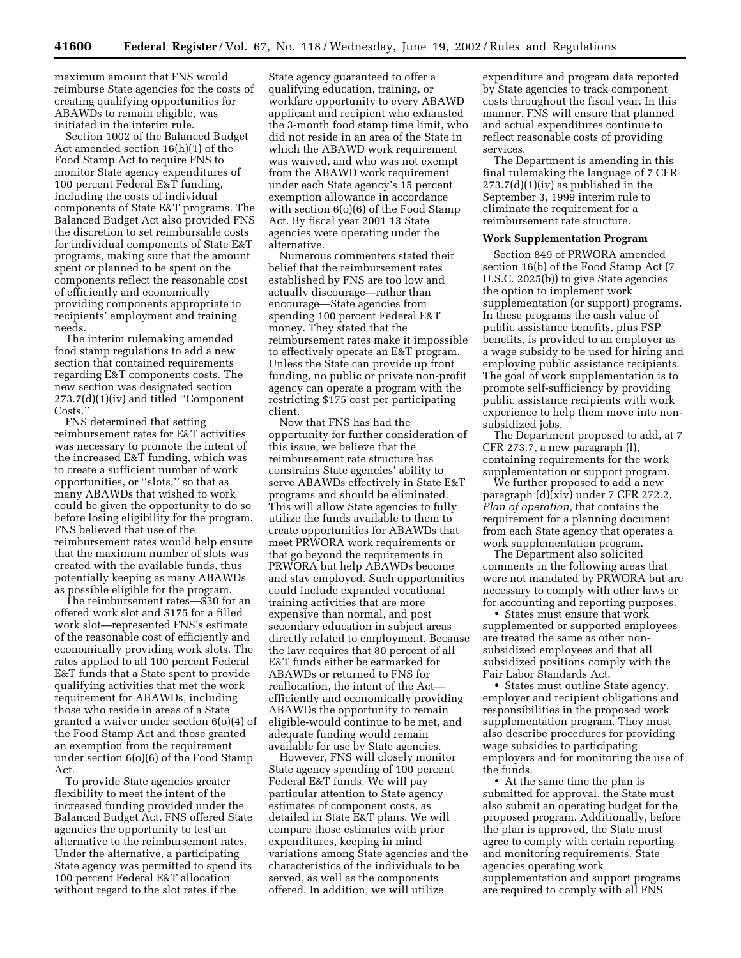maximum amount that FNS would reimburse State agencies for the costs of creating qualifying opportunities for ABAWDs to remain eligible, was initiated in the interim rule.

Section 1002 of the Balanced Budget Act amended section 16(h)(1) of the Food Stamp Act to require FNS to monitor State agency expenditures of 100 percent Federal E&T funding, including the costs of individual components of State E&T programs. The Balanced Budget Act also provided FNS the discretion to set reimbursable costs for individual components of State E&T programs, making sure that the amount spent or planned to be spent on the components reflect the reasonable cost of efficiently and economically providing components appropriate to recipients' employment and training needs.

The interim rulemaking amended food stamp regulations to add a new section that contained requirements regarding E&T components costs. The new section was designated section 273.7(d)(1)(iv) and titled ''Component Costs.''

FNS determined that setting reimbursement rates for E&T activities was necessary to promote the intent of the increased E&T funding, which was to create a sufficient number of work opportunities, or ''slots,'' so that as many ABAWDs that wished to work could be given the opportunity to do so before losing eligibility for the program. FNS believed that use of the reimbursement rates would help ensure that the maximum number of slots was created with the available funds, thus potentially keeping as many ABAWDs as possible eligible for the program.

The reimbursement rates—\$30 for an offered work slot and \$175 for a filled work slot—represented FNS's estimate of the reasonable cost of efficiently and economically providing work slots. The rates applied to all 100 percent Federal E&T funds that a State spent to provide qualifying activities that met the work requirement for ABAWDs, including those who reside in areas of a State granted a waiver under section 6(o)(4) of the Food Stamp Act and those granted an exemption from the requirement under section 6(o)(6) of the Food Stamp Act.

To provide State agencies greater flexibility to meet the intent of the increased funding provided under the Balanced Budget Act, FNS offered State agencies the opportunity to test an alternative to the reimbursement rates. Under the alternative, a participating State agency was permitted to spend its 100 percent Federal E&T allocation without regard to the slot rates if the

State agency guaranteed to offer a qualifying education, training, or workfare opportunity to every ABAWD applicant and recipient who exhausted the 3-month food stamp time limit, who did not reside in an area of the State in which the ABAWD work requirement was waived, and who was not exempt from the ABAWD work requirement under each State agency's 15 percent exemption allowance in accordance with section 6(o)(6) of the Food Stamp Act. By fiscal year 2001 13 State agencies were operating under the alternative.

Numerous commenters stated their belief that the reimbursement rates established by FNS are too low and actually discourage—rather than encourage—State agencies from spending 100 percent Federal E&T money. They stated that the reimbursement rates make it impossible to effectively operate an E&T program. Unless the State can provide up front funding, no public or private non-profit agency can operate a program with the restricting \$175 cost per participating client.

Now that FNS has had the opportunity for further consideration of this issue, we believe that the reimbursement rate structure has constrains State agencies' ability to serve ABAWDs effectively in State E&T programs and should be eliminated. This will allow State agencies to fully utilize the funds available to them to create opportunities for ABAWDs that meet PRWORA work requirements or that go beyond the requirements in PRWORA but help ABAWDs become and stay employed. Such opportunities could include expanded vocational training activities that are more expensive than normal, and post secondary education in subject areas directly related to employment. Because the law requires that 80 percent of all E&T funds either be earmarked for ABAWDs or returned to FNS for reallocation, the intent of the Act efficiently and economically providing ABAWDs the opportunity to remain eligible-would continue to be met, and adequate funding would remain available for use by State agencies.

However, FNS will closely monitor State agency spending of 100 percent Federal E&T funds. We will pay particular attention to State agency estimates of component costs, as detailed in State E&T plans. We will compare those estimates with prior expenditures, keeping in mind variations among State agencies and the characteristics of the individuals to be served, as well as the components offered. In addition, we will utilize

expenditure and program data reported by State agencies to track component costs throughout the fiscal year. In this manner, FNS will ensure that planned and actual expenditures continue to reflect reasonable costs of providing services.

The Department is amending in this final rulemaking the language of 7 CFR  $273.7(d)(1)(iv)$  as published in the September 3, 1999 interim rule to eliminate the requirement for a reimbursement rate structure.

## **Work Supplementation Program**

Section 849 of PRWORA amended section 16(b) of the Food Stamp Act (7 U.S.C. 2025(b)) to give State agencies the option to implement work supplementation (or support) programs. In these programs the cash value of public assistance benefits, plus FSP benefits, is provided to an employer as a wage subsidy to be used for hiring and employing public assistance recipients. The goal of work supplementation is to promote self-sufficiency by providing public assistance recipients with work experience to help them move into nonsubsidized jobs.

The Department proposed to add, at 7 CFR 273.7, a new paragraph (l), containing requirements for the work supplementation or support program.

We further proposed to add a new paragraph (d)(xiv) under 7 CFR 272.2, *Plan of operation,* that contains the requirement for a planning document from each State agency that operates a work supplementation program.

The Department also solicited comments in the following areas that were not mandated by PRWORA but are necessary to comply with other laws or for accounting and reporting purposes.

• States must ensure that work supplemented or supported employees are treated the same as other nonsubsidized employees and that all subsidized positions comply with the Fair Labor Standards Act.

• States must outline State agency, employer and recipient obligations and responsibilities in the proposed work supplementation program. They must also describe procedures for providing wage subsidies to participating employers and for monitoring the use of the funds.

• At the same time the plan is submitted for approval, the State must also submit an operating budget for the proposed program. Additionally, before the plan is approved, the State must agree to comply with certain reporting and monitoring requirements. State agencies operating work supplementation and support programs are required to comply with all FNS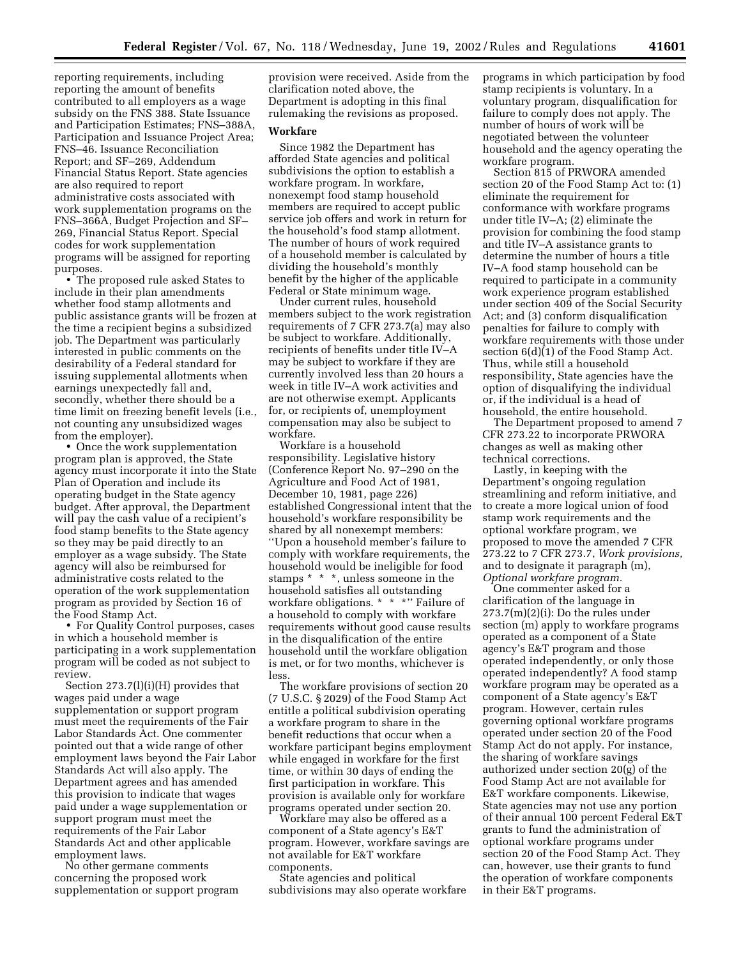reporting requirements, including reporting the amount of benefits contributed to all employers as a wage subsidy on the FNS 388. State Issuance and Participation Estimates; FNS–388A, Participation and Issuance Project Area; FNS–46. Issuance Reconciliation Report; and SF–269, Addendum Financial Status Report. State agencies are also required to report administrative costs associated with work supplementation programs on the FNS–366A, Budget Projection and SF– 269, Financial Status Report. Special codes for work supplementation programs will be assigned for reporting purposes.

• The proposed rule asked States to include in their plan amendments whether food stamp allotments and public assistance grants will be frozen at the time a recipient begins a subsidized job. The Department was particularly interested in public comments on the desirability of a Federal standard for issuing supplemental allotments when earnings unexpectedly fall and, secondly, whether there should be a time limit on freezing benefit levels (i.e., not counting any unsubsidized wages from the employer).

• Once the work supplementation program plan is approved, the State agency must incorporate it into the State Plan of Operation and include its operating budget in the State agency budget. After approval, the Department will pay the cash value of a recipient's food stamp benefits to the State agency so they may be paid directly to an employer as a wage subsidy. The State agency will also be reimbursed for administrative costs related to the operation of the work supplementation program as provided by Section 16 of the Food Stamp Act.

• For Quality Control purposes, cases in which a household member is participating in a work supplementation program will be coded as not subject to review.

Section 273.7(l)(i)(H) provides that wages paid under a wage supplementation or support program must meet the requirements of the Fair Labor Standards Act. One commenter pointed out that a wide range of other employment laws beyond the Fair Labor Standards Act will also apply. The Department agrees and has amended this provision to indicate that wages paid under a wage supplementation or support program must meet the requirements of the Fair Labor Standards Act and other applicable employment laws.

No other germane comments concerning the proposed work supplementation or support program

provision were received. Aside from the clarification noted above, the Department is adopting in this final rulemaking the revisions as proposed.

## **Workfare**

Since 1982 the Department has afforded State agencies and political subdivisions the option to establish a workfare program. In workfare, nonexempt food stamp household members are required to accept public service job offers and work in return for the household's food stamp allotment. The number of hours of work required of a household member is calculated by dividing the household's monthly benefit by the higher of the applicable Federal or State minimum wage.

Under current rules, household members subject to the work registration requirements of 7 CFR 273.7(a) may also be subject to workfare. Additionally, recipients of benefits under title IV–A may be subject to workfare if they are currently involved less than 20 hours a week in title IV–A work activities and are not otherwise exempt. Applicants for, or recipients of, unemployment compensation may also be subject to workfare.

Workfare is a household responsibility. Legislative history (Conference Report No. 97–290 on the Agriculture and Food Act of 1981, December 10, 1981, page 226) established Congressional intent that the household's workfare responsibility be shared by all nonexempt members: ''Upon a household member's failure to comply with workfare requirements, the household would be ineligible for food stamps \* \* \*, unless someone in the household satisfies all outstanding workfare obligations. \* \* \*'' Failure of a household to comply with workfare requirements without good cause results in the disqualification of the entire household until the workfare obligation is met, or for two months, whichever is less.

The workfare provisions of section 20 (7 U.S.C. § 2029) of the Food Stamp Act entitle a political subdivision operating a workfare program to share in the benefit reductions that occur when a workfare participant begins employment while engaged in workfare for the first time, or within 30 days of ending the first participation in workfare. This provision is available only for workfare programs operated under section 20.

Workfare may also be offered as a component of a State agency's E&T program. However, workfare savings are not available for E&T workfare components.

State agencies and political subdivisions may also operate workfare programs in which participation by food stamp recipients is voluntary. In a voluntary program, disqualification for failure to comply does not apply. The number of hours of work will be negotiated between the volunteer household and the agency operating the workfare program.

Section 815 of PRWORA amended section 20 of the Food Stamp Act to: (1) eliminate the requirement for conformance with workfare programs under title IV–A; (2) eliminate the provision for combining the food stamp and title IV–A assistance grants to determine the number of hours a title IV–A food stamp household can be required to participate in a community work experience program established under section 409 of the Social Security Act; and (3) conform disqualification penalties for failure to comply with workfare requirements with those under section  $6(d)(1)$  of the Food Stamp Act. Thus, while still a household responsibility, State agencies have the option of disqualifying the individual or, if the individual is a head of household, the entire household.

The Department proposed to amend 7 CFR 273.22 to incorporate PRWORA changes as well as making other technical corrections.

Lastly, in keeping with the Department's ongoing regulation streamlining and reform initiative, and to create a more logical union of food stamp work requirements and the optional workfare program, we proposed to move the amended 7 CFR 273.22 to 7 CFR 273.7, *Work provisions,* and to designate it paragraph (m), *Optional workfare program.*

One commenter asked for a clarification of the language in  $273.7(m)(2)(i)$ : Do the rules under section (m) apply to workfare programs operated as a component of a State agency's E&T program and those operated independently, or only those operated independently? A food stamp workfare program may be operated as a component of a State agency's E&T program. However, certain rules governing optional workfare programs operated under section 20 of the Food Stamp Act do not apply. For instance, the sharing of workfare savings authorized under section 20(g) of the Food Stamp Act are not available for E&T workfare components. Likewise, State agencies may not use any portion of their annual 100 percent Federal E&T grants to fund the administration of optional workfare programs under section 20 of the Food Stamp Act. They can, however, use their grants to fund the operation of workfare components in their E&T programs.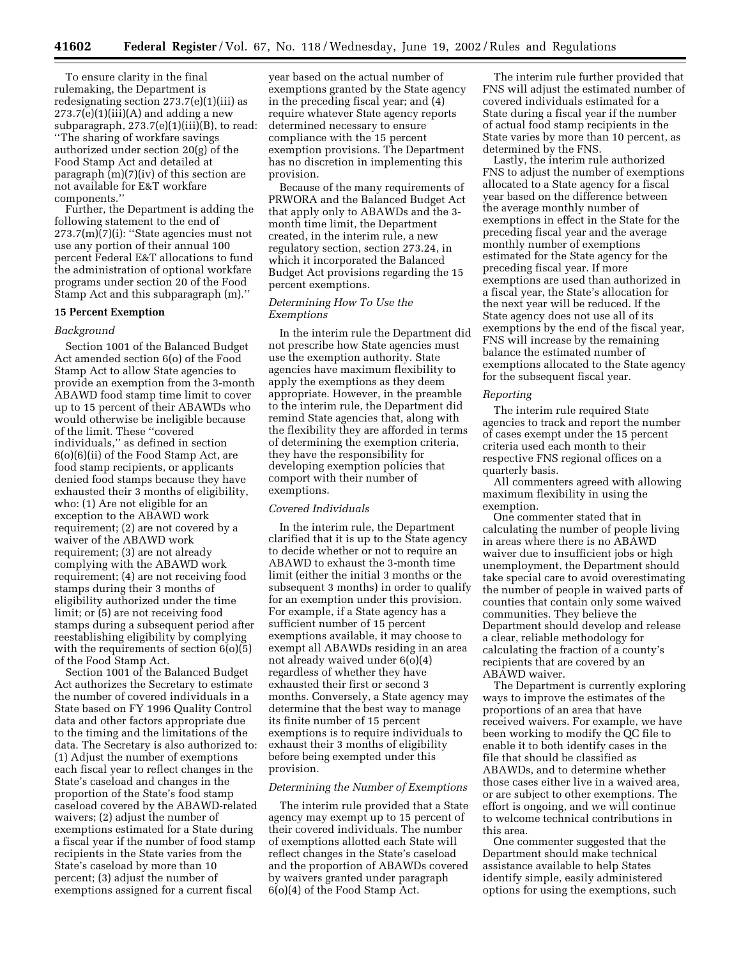To ensure clarity in the final rulemaking, the Department is redesignating section 273.7(e)(1)(iii) as  $273.7(e)(1)(iii)(A)$  and adding a new subparagraph, 273.7(e)(1)(iii)(B), to read: ''The sharing of workfare savings authorized under section 20(g) of the Food Stamp Act and detailed at paragraph (m)(7)(iv) of this section are not available for E&T workfare components.''

Further, the Department is adding the following statement to the end of  $273.7(m)(7)(i)$ : "State agencies must not use any portion of their annual 100 percent Federal E&T allocations to fund the administration of optional workfare programs under section 20 of the Food Stamp Act and this subparagraph (m).''

#### **15 Percent Exemption**

# *Background*

Section 1001 of the Balanced Budget Act amended section 6(o) of the Food Stamp Act to allow State agencies to provide an exemption from the 3-month ABAWD food stamp time limit to cover up to 15 percent of their ABAWDs who would otherwise be ineligible because of the limit. These ''covered individuals,'' as defined in section 6(o)(6)(ii) of the Food Stamp Act, are food stamp recipients, or applicants denied food stamps because they have exhausted their 3 months of eligibility, who: (1) Are not eligible for an exception to the ABAWD work requirement; (2) are not covered by a waiver of the ABAWD work requirement; (3) are not already complying with the ABAWD work requirement; (4) are not receiving food stamps during their 3 months of eligibility authorized under the time limit; or (5) are not receiving food stamps during a subsequent period after reestablishing eligibility by complying with the requirements of section  $6(0)(5)$ of the Food Stamp Act.

Section 1001 of the Balanced Budget Act authorizes the Secretary to estimate the number of covered individuals in a State based on FY 1996 Quality Control data and other factors appropriate due to the timing and the limitations of the data. The Secretary is also authorized to: (1) Adjust the number of exemptions each fiscal year to reflect changes in the State's caseload and changes in the proportion of the State's food stamp caseload covered by the ABAWD-related waivers; (2) adjust the number of exemptions estimated for a State during a fiscal year if the number of food stamp recipients in the State varies from the State's caseload by more than 10 percent; (3) adjust the number of exemptions assigned for a current fiscal

year based on the actual number of exemptions granted by the State agency in the preceding fiscal year; and (4) require whatever State agency reports determined necessary to ensure compliance with the 15 percent exemption provisions. The Department has no discretion in implementing this provision.

Because of the many requirements of PRWORA and the Balanced Budget Act that apply only to ABAWDs and the 3 month time limit, the Department created, in the interim rule, a new regulatory section, section 273.24, in which it incorporated the Balanced Budget Act provisions regarding the 15 percent exemptions.

## *Determining How To Use the Exemptions*

In the interim rule the Department did not prescribe how State agencies must use the exemption authority. State agencies have maximum flexibility to apply the exemptions as they deem appropriate. However, in the preamble to the interim rule, the Department did remind State agencies that, along with the flexibility they are afforded in terms of determining the exemption criteria, they have the responsibility for developing exemption policies that comport with their number of exemptions.

## *Covered Individuals*

In the interim rule, the Department clarified that it is up to the State agency to decide whether or not to require an ABAWD to exhaust the 3-month time limit (either the initial 3 months or the subsequent 3 months) in order to qualify for an exemption under this provision. For example, if a State agency has a sufficient number of 15 percent exemptions available, it may choose to exempt all ABAWDs residing in an area not already waived under 6(o)(4) regardless of whether they have exhausted their first or second 3 months. Conversely, a State agency may determine that the best way to manage its finite number of 15 percent exemptions is to require individuals to exhaust their 3 months of eligibility before being exempted under this provision.

#### *Determining the Number of Exemptions*

The interim rule provided that a State agency may exempt up to 15 percent of their covered individuals. The number of exemptions allotted each State will reflect changes in the State's caseload and the proportion of ABAWDs covered by waivers granted under paragraph 6(o)(4) of the Food Stamp Act.

The interim rule further provided that FNS will adjust the estimated number of covered individuals estimated for a State during a fiscal year if the number of actual food stamp recipients in the State varies by more than 10 percent, as determined by the FNS.

Lastly, the interim rule authorized FNS to adjust the number of exemptions allocated to a State agency for a fiscal year based on the difference between the average monthly number of exemptions in effect in the State for the preceding fiscal year and the average monthly number of exemptions estimated for the State agency for the preceding fiscal year. If more exemptions are used than authorized in a fiscal year, the State's allocation for the next year will be reduced. If the State agency does not use all of its exemptions by the end of the fiscal year, FNS will increase by the remaining balance the estimated number of exemptions allocated to the State agency for the subsequent fiscal year.

#### *Reporting*

The interim rule required State agencies to track and report the number of cases exempt under the 15 percent criteria used each month to their respective FNS regional offices on a quarterly basis.

All commenters agreed with allowing maximum flexibility in using the exemption.

One commenter stated that in calculating the number of people living in areas where there is no ABAWD waiver due to insufficient jobs or high unemployment, the Department should take special care to avoid overestimating the number of people in waived parts of counties that contain only some waived communities. They believe the Department should develop and release a clear, reliable methodology for calculating the fraction of a county's recipients that are covered by an ABAWD waiver.

The Department is currently exploring ways to improve the estimates of the proportions of an area that have received waivers. For example, we have been working to modify the QC file to enable it to both identify cases in the file that should be classified as ABAWDs, and to determine whether those cases either live in a waived area, or are subject to other exemptions. The effort is ongoing, and we will continue to welcome technical contributions in this area.

One commenter suggested that the Department should make technical assistance available to help States identify simple, easily administered options for using the exemptions, such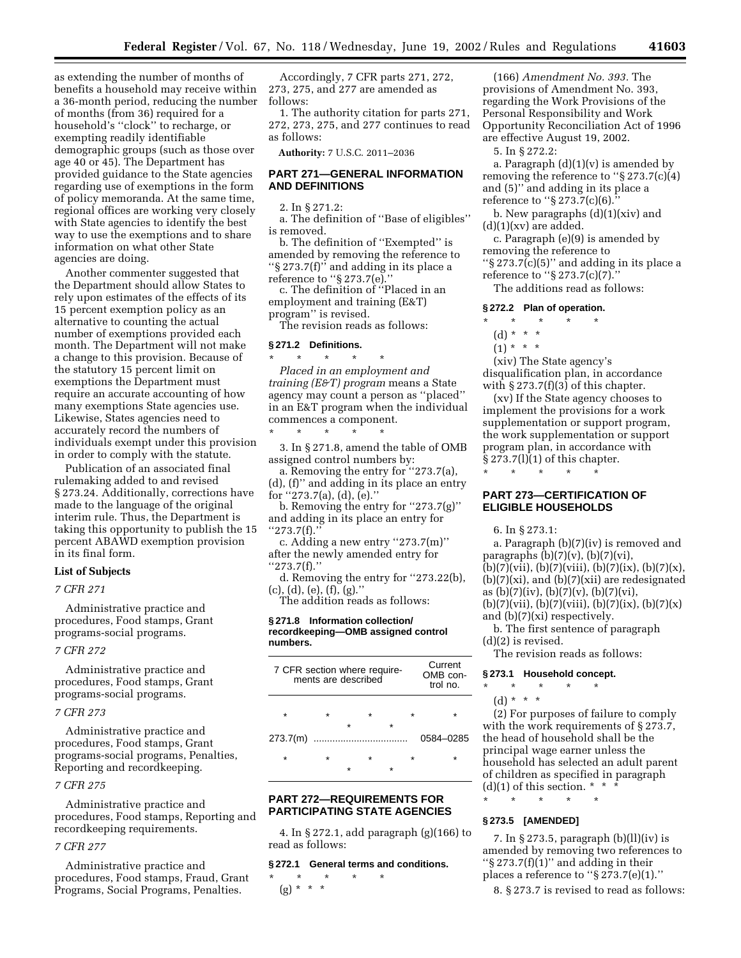as extending the number of months of benefits a household may receive within a 36-month period, reducing the number of months (from 36) required for a household's ''clock'' to recharge, or exempting readily identifiable demographic groups (such as those over age 40 or 45). The Department has provided guidance to the State agencies regarding use of exemptions in the form of policy memoranda. At the same time, regional offices are working very closely with State agencies to identify the best way to use the exemptions and to share information on what other State agencies are doing.

Another commenter suggested that the Department should allow States to rely upon estimates of the effects of its 15 percent exemption policy as an alternative to counting the actual number of exemptions provided each month. The Department will not make a change to this provision. Because of the statutory 15 percent limit on exemptions the Department must require an accurate accounting of how many exemptions State agencies use. Likewise, States agencies need to accurately record the numbers of individuals exempt under this provision in order to comply with the statute.

Publication of an associated final rulemaking added to and revised § 273.24. Additionally, corrections have made to the language of the original interim rule. Thus, the Department is taking this opportunity to publish the 15 percent ABAWD exemption provision in its final form.

#### **List of Subjects**

## *7 CFR 271*

Administrative practice and procedures, Food stamps, Grant programs-social programs.

#### *7 CFR 272*

Administrative practice and procedures, Food stamps, Grant programs-social programs.

## *7 CFR 273*

Administrative practice and procedures, Food stamps, Grant programs-social programs, Penalties, Reporting and recordkeeping.

#### *7 CFR 275*

Administrative practice and procedures, Food stamps, Reporting and recordkeeping requirements.

# *7 CFR 277*

Administrative practice and procedures, Food stamps, Fraud, Grant Programs, Social Programs, Penalties.

Accordingly, 7 CFR parts 271, 272, 273, 275, and 277 are amended as follows:

1. The authority citation for parts 271, 272, 273, 275, and 277 continues to read as follows:

**Authority:** 7 U.S.C. 2011–2036

# **PART 271—GENERAL INFORMATION AND DEFINITIONS**

2. In § 271.2:

a. The definition of ''Base of eligibles'' is removed.

b. The definition of ''Exempted'' is amended by removing the reference to ''§ 273.7(f)'' and adding in its place a reference to ''§ 273.7(e).''

c. The definition of ''Placed in an employment and training (E&T) program'' is revised.

The revision reads as follows:

# **§ 271.2 Definitions.**

\* \* \* \* \*

\* \* \* \* \* *Placed in an employment and training (E&T) program* means a State agency may count a person as ''placed'' in an E&T program when the individual commences a component.

3. In § 271.8, amend the table of OMB assigned control numbers by:

a. Removing the entry for ''273.7(a), (d), (f)'' and adding in its place an entry

for ''273.7(a), (d), (e).''

b. Removing the entry for ''273.7(g)'' and adding in its place an entry for ''273.7(f).''

c. Adding a new entry ''273.7(m)'' after the newly amended entry for ''273.7(f).''

d. Removing the entry for ''273.22(b), (c), (d), (e), (f), (g).''

The addition reads as follows:

# **§ 271.8 Information collection/ recordkeeping—OMB assigned control numbers.**

|   | Current<br>OMB con-<br>$t$ rol no. |         |                                                     |
|---|------------------------------------|---------|-----------------------------------------------------|
|   |                                    |         |                                                     |
|   |                                    |         |                                                     |
|   |                                    |         |                                                     |
|   |                                    |         | 0584-0285                                           |
| ÷ | $\star$                            | $\star$ |                                                     |
|   |                                    |         |                                                     |
|   |                                    |         | 7 CFR section where require-<br>ments are described |

# **PART 272—REQUIREMENTS FOR PARTICIPATING STATE AGENCIES**

4. In § 272.1, add paragraph (g)(166) to read as follows:

#### **§ 272.1 General terms and conditions.**

\* \* \* \* \*  $(g) * * * *$ 

(166) *Amendment No. 393.* The provisions of Amendment No. 393, regarding the Work Provisions of the Personal Responsibility and Work Opportunity Reconciliation Act of 1996 are effective August 19, 2002.

5. In § 272.2:

a. Paragraph  $(d)(1)(v)$  is amended by removing the reference to ''§ 273.7(c)(4) and (5)'' and adding in its place a reference to ''§ 273.7(c)(6).''

b. New paragraphs (d)(1)(xiv) and  $(d)(1)(xy)$  are added.

c. Paragraph (e)(9) is amended by removing the reference to ''§ 273.7(c)(5)'' and adding in its place a reference to ''§ 273.7(c)(7).''

The additions read as follows:

## **§ 272.2 Plan of operation.**

- \* \* \* \* \*
- (d) \* \* \*
- $(1) * * * *$

(xiv) The State agency's disqualification plan, in accordance with  $\S 273.7(f)(3)$  of this chapter.

(xv) If the State agency chooses to implement the provisions for a work supplementation or support program, the work supplementation or support program plan, in accordance with § 273.7(l)(1) of this chapter.

## **PART 273—CERTIFICATION OF ELIGIBLE HOUSEHOLDS**

6. In § 273.1:

\* \* \* \* \*

a. Paragraph (b)(7)(iv) is removed and paragraphs  $(b)(7)(v)$ ,  $(b)(7)(vi)$ ,  $(b)(7)(vii), (b)(7)(viii), (b)(7)(ix), (b)(7)(x),$ 

 $(b)(7)(xi)$ , and  $(b)(7)(xii)$  are redesignated as  $(b)(7)(iv)$ ,  $(b)(7)(v)$ ,  $(b)(7)(vi)$ ,

 $(b)(7)(vii), (b)(7)(viii), (b)(7)(ix), (b)(7)(x)$ and (b)(7)(xi) respectively.

b. The first sentence of paragraph (d)(2) is revised.

The revision reads as follows:

# **§ 273.1 Household concept.**

\* \* \* \* \* (d) \* \* \*

(2) For purposes of failure to comply with the work requirements of § 273.7, the head of household shall be the principal wage earner unless the household has selected an adult parent of children as specified in paragraph (d)(1) of this section.  $*$   $*$ \* \* \* \* \*

## **§ 273.5 [AMENDED]**

7. In § 273.5, paragraph (b)(ll)(iv) is amended by removing two references to " $\S 273.7(f)(1)$ " and adding in their places a reference to ''§ 273.7(e)(1).''

8. § 273.7 is revised to read as follows: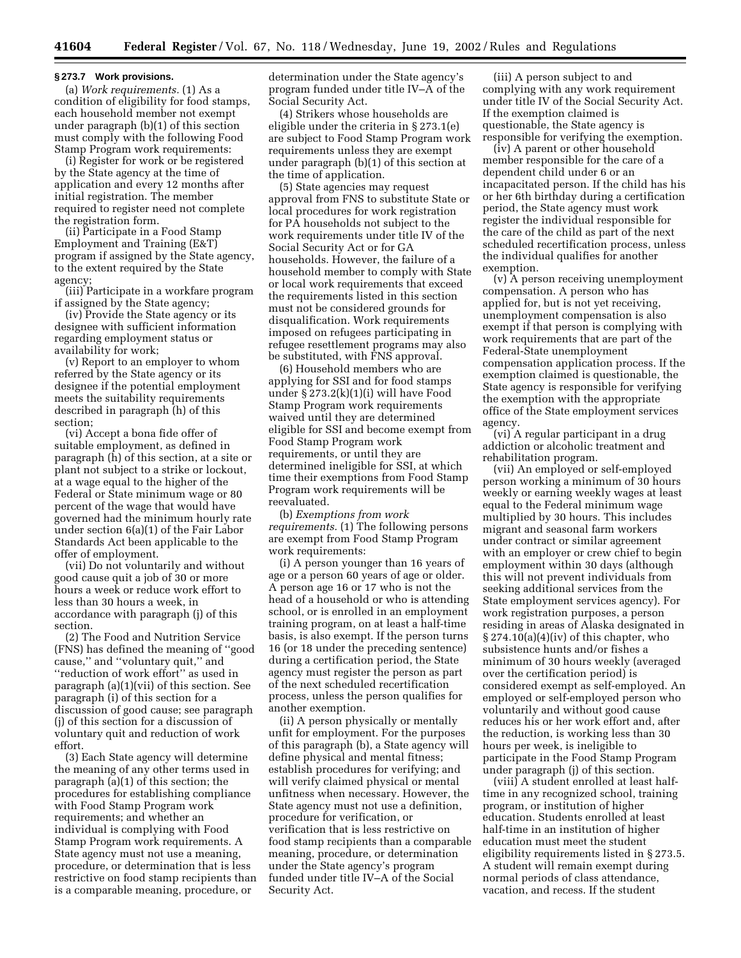#### **§ 273.7 Work provisions.**

(a) *Work requirements.* (1) As a condition of eligibility for food stamps, each household member not exempt under paragraph (b)(1) of this section must comply with the following Food Stamp Program work requirements:

(i) Register for work or be registered by the State agency at the time of application and every 12 months after initial registration. The member required to register need not complete the registration form.

(ii) Participate in a Food Stamp Employment and Training (E&T) program if assigned by the State agency, to the extent required by the State agency;

(iii) Participate in a workfare program if assigned by the State agency;

(iv) Provide the State agency or its designee with sufficient information regarding employment status or availability for work;

(v) Report to an employer to whom referred by the State agency or its designee if the potential employment meets the suitability requirements described in paragraph (h) of this section;

(vi) Accept a bona fide offer of suitable employment, as defined in paragraph (h) of this section, at a site or plant not subject to a strike or lockout, at a wage equal to the higher of the Federal or State minimum wage or 80 percent of the wage that would have governed had the minimum hourly rate under section 6(a)(1) of the Fair Labor Standards Act been applicable to the offer of employment.

(vii) Do not voluntarily and without good cause quit a job of 30 or more hours a week or reduce work effort to less than 30 hours a week, in accordance with paragraph (j) of this section.

(2) The Food and Nutrition Service (FNS) has defined the meaning of ''good cause,'' and ''voluntary quit,'' and ''reduction of work effort'' as used in paragraph (a)(1)(vii) of this section. See paragraph (i) of this section for a discussion of good cause; see paragraph (j) of this section for a discussion of voluntary quit and reduction of work effort.

(3) Each State agency will determine the meaning of any other terms used in paragraph (a)(1) of this section; the procedures for establishing compliance with Food Stamp Program work requirements; and whether an individual is complying with Food Stamp Program work requirements. A State agency must not use a meaning, procedure, or determination that is less restrictive on food stamp recipients than is a comparable meaning, procedure, or

determination under the State agency's program funded under title IV–A of the Social Security Act.

(4) Strikers whose households are eligible under the criteria in § 273.1(e) are subject to Food Stamp Program work requirements unless they are exempt under paragraph (b)(1) of this section at the time of application.

(5) State agencies may request approval from FNS to substitute State or local procedures for work registration for PA households not subject to the work requirements under title IV of the Social Security Act or for GA households. However, the failure of a household member to comply with State or local work requirements that exceed the requirements listed in this section must not be considered grounds for disqualification. Work requirements imposed on refugees participating in refugee resettlement programs may also be substituted, with FNS approval.

(6) Household members who are applying for SSI and for food stamps under § 273.2(k)(1)(i) will have Food Stamp Program work requirements waived until they are determined eligible for SSI and become exempt from Food Stamp Program work requirements, or until they are determined ineligible for SSI, at which time their exemptions from Food Stamp Program work requirements will be reevaluated.

(b) *Exemptions from work requirements.* (1) The following persons are exempt from Food Stamp Program work requirements:

(i) A person younger than 16 years of age or a person 60 years of age or older. A person age 16 or 17 who is not the head of a household or who is attending school, or is enrolled in an employment training program, on at least a half-time basis, is also exempt. If the person turns 16 (or 18 under the preceding sentence) during a certification period, the State agency must register the person as part of the next scheduled recertification process, unless the person qualifies for another exemption.

(ii) A person physically or mentally unfit for employment. For the purposes of this paragraph (b), a State agency will define physical and mental fitness; establish procedures for verifying; and will verify claimed physical or mental unfitness when necessary. However, the State agency must not use a definition, procedure for verification, or verification that is less restrictive on food stamp recipients than a comparable meaning, procedure, or determination under the State agency's program funded under title IV–A of the Social Security Act.

(iii) A person subject to and complying with any work requirement under title IV of the Social Security Act. If the exemption claimed is questionable, the State agency is responsible for verifying the exemption.

(iv) A parent or other household member responsible for the care of a dependent child under 6 or an incapacitated person. If the child has his or her 6th birthday during a certification period, the State agency must work register the individual responsible for the care of the child as part of the next scheduled recertification process, unless the individual qualifies for another exemption.

(v) A person receiving unemployment compensation. A person who has applied for, but is not yet receiving, unemployment compensation is also exempt if that person is complying with work requirements that are part of the Federal-State unemployment compensation application process. If the exemption claimed is questionable, the State agency is responsible for verifying the exemption with the appropriate office of the State employment services agency.

(vi) A regular participant in a drug addiction or alcoholic treatment and rehabilitation program.

(vii) An employed or self-employed person working a minimum of 30 hours weekly or earning weekly wages at least equal to the Federal minimum wage multiplied by 30 hours. This includes migrant and seasonal farm workers under contract or similar agreement with an employer or crew chief to begin employment within 30 days (although this will not prevent individuals from seeking additional services from the State employment services agency). For work registration purposes, a person residing in areas of Alaska designated in  $\S 274.10(a)(4)(iv)$  of this chapter, who subsistence hunts and/or fishes a minimum of 30 hours weekly (averaged over the certification period) is considered exempt as self-employed. An employed or self-employed person who voluntarily and without good cause reduces his or her work effort and, after the reduction, is working less than 30 hours per week, is ineligible to participate in the Food Stamp Program under paragraph (j) of this section.

(viii) A student enrolled at least halftime in any recognized school, training program, or institution of higher education. Students enrolled at least half-time in an institution of higher education must meet the student eligibility requirements listed in § 273.5. A student will remain exempt during normal periods of class attendance, vacation, and recess. If the student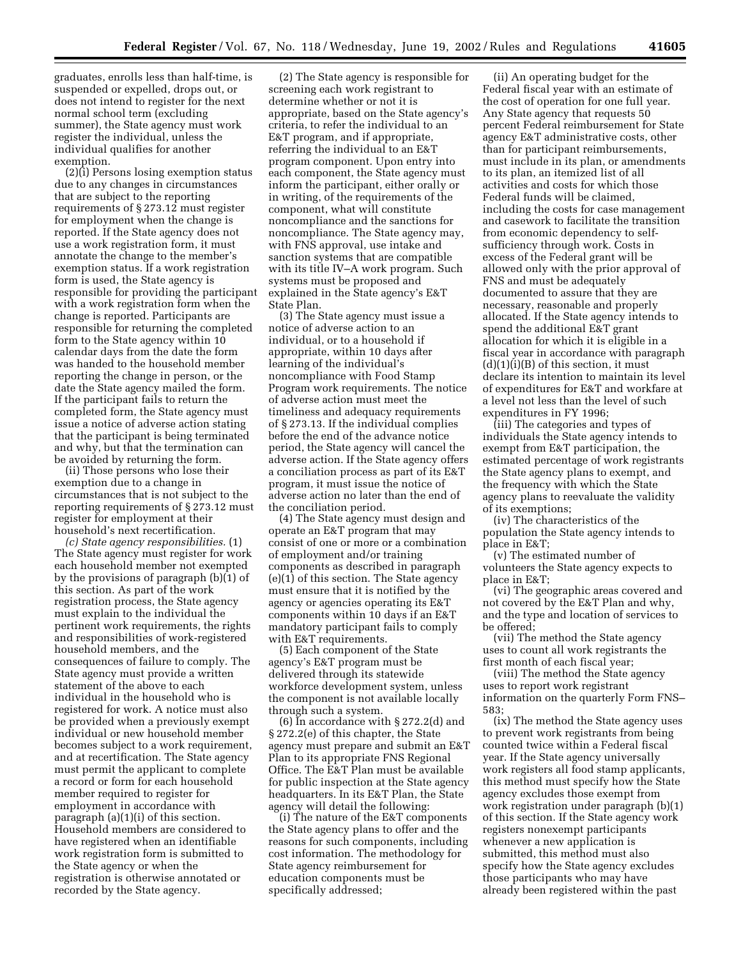graduates, enrolls less than half-time, is suspended or expelled, drops out, or does not intend to register for the next normal school term (excluding summer), the State agency must work register the individual, unless the individual qualifies for another exemption.

(2)(i) Persons losing exemption status due to any changes in circumstances that are subject to the reporting requirements of § 273.12 must register for employment when the change is reported. If the State agency does not use a work registration form, it must annotate the change to the member's exemption status. If a work registration form is used, the State agency is responsible for providing the participant with a work registration form when the change is reported. Participants are responsible for returning the completed form to the State agency within 10 calendar days from the date the form was handed to the household member reporting the change in person, or the date the State agency mailed the form. If the participant fails to return the completed form, the State agency must issue a notice of adverse action stating that the participant is being terminated and why, but that the termination can be avoided by returning the form.

(ii) Those persons who lose their exemption due to a change in circumstances that is not subject to the reporting requirements of § 273.12 must register for employment at their household's next recertification.

*(c) State agency responsibilities.* (1) The State agency must register for work each household member not exempted by the provisions of paragraph (b)(1) of this section. As part of the work registration process, the State agency must explain to the individual the pertinent work requirements, the rights and responsibilities of work-registered household members, and the consequences of failure to comply. The State agency must provide a written statement of the above to each individual in the household who is registered for work. A notice must also be provided when a previously exempt individual or new household member becomes subject to a work requirement, and at recertification. The State agency must permit the applicant to complete a record or form for each household member required to register for employment in accordance with paragraph (a)(1)(i) of this section. Household members are considered to have registered when an identifiable work registration form is submitted to the State agency or when the registration is otherwise annotated or recorded by the State agency.

(2) The State agency is responsible for screening each work registrant to determine whether or not it is appropriate, based on the State agency's criteria, to refer the individual to an E&T program, and if appropriate, referring the individual to an E&T program component. Upon entry into each component, the State agency must inform the participant, either orally or in writing, of the requirements of the component, what will constitute noncompliance and the sanctions for noncompliance. The State agency may, with FNS approval, use intake and sanction systems that are compatible with its title IV–A work program. Such systems must be proposed and explained in the State agency's E&T State Plan.

(3) The State agency must issue a notice of adverse action to an individual, or to a household if appropriate, within 10 days after learning of the individual's noncompliance with Food Stamp Program work requirements. The notice of adverse action must meet the timeliness and adequacy requirements of § 273.13. If the individual complies before the end of the advance notice period, the State agency will cancel the adverse action. If the State agency offers a conciliation process as part of its E&T program, it must issue the notice of adverse action no later than the end of the conciliation period.

(4) The State agency must design and operate an E&T program that may consist of one or more or a combination of employment and/or training components as described in paragraph (e)(1) of this section. The State agency must ensure that it is notified by the agency or agencies operating its E&T components within 10 days if an E&T mandatory participant fails to comply with E&T requirements.

(5) Each component of the State agency's E&T program must be delivered through its statewide workforce development system, unless the component is not available locally through such a system.

(6) In accordance with  $\S 272.2(d)$  and § 272.2(e) of this chapter, the State agency must prepare and submit an E&T Plan to its appropriate FNS Regional Office. The E&T Plan must be available for public inspection at the State agency headquarters. In its E&T Plan, the State agency will detail the following:

(i) The nature of the E&T components the State agency plans to offer and the reasons for such components, including cost information. The methodology for State agency reimbursement for education components must be specifically addressed;

(ii) An operating budget for the Federal fiscal year with an estimate of the cost of operation for one full year. Any State agency that requests 50 percent Federal reimbursement for State agency E&T administrative costs, other than for participant reimbursements, must include in its plan, or amendments to its plan, an itemized list of all activities and costs for which those Federal funds will be claimed, including the costs for case management and casework to facilitate the transition from economic dependency to selfsufficiency through work. Costs in excess of the Federal grant will be allowed only with the prior approval of FNS and must be adequately documented to assure that they are necessary, reasonable and properly allocated. If the State agency intends to spend the additional E&T grant allocation for which it is eligible in a fiscal year in accordance with paragraph  $(d)(1)(i)(B)$  of this section, it must declare its intention to maintain its level of expenditures for E&T and workfare at a level not less than the level of such expenditures in FY 1996;

(iii) The categories and types of individuals the State agency intends to exempt from E&T participation, the estimated percentage of work registrants the State agency plans to exempt, and the frequency with which the State agency plans to reevaluate the validity of its exemptions;

(iv) The characteristics of the population the State agency intends to place in E&T;

(v) The estimated number of volunteers the State agency expects to place in E&T;

(vi) The geographic areas covered and not covered by the E&T Plan and why, and the type and location of services to be offered;

(vii) The method the State agency uses to count all work registrants the first month of each fiscal year;

(viii) The method the State agency uses to report work registrant information on the quarterly Form FNS– 583;

(ix) The method the State agency uses to prevent work registrants from being counted twice within a Federal fiscal year. If the State agency universally work registers all food stamp applicants, this method must specify how the State agency excludes those exempt from work registration under paragraph (b)(1) of this section. If the State agency work registers nonexempt participants whenever a new application is submitted, this method must also specify how the State agency excludes those participants who may have already been registered within the past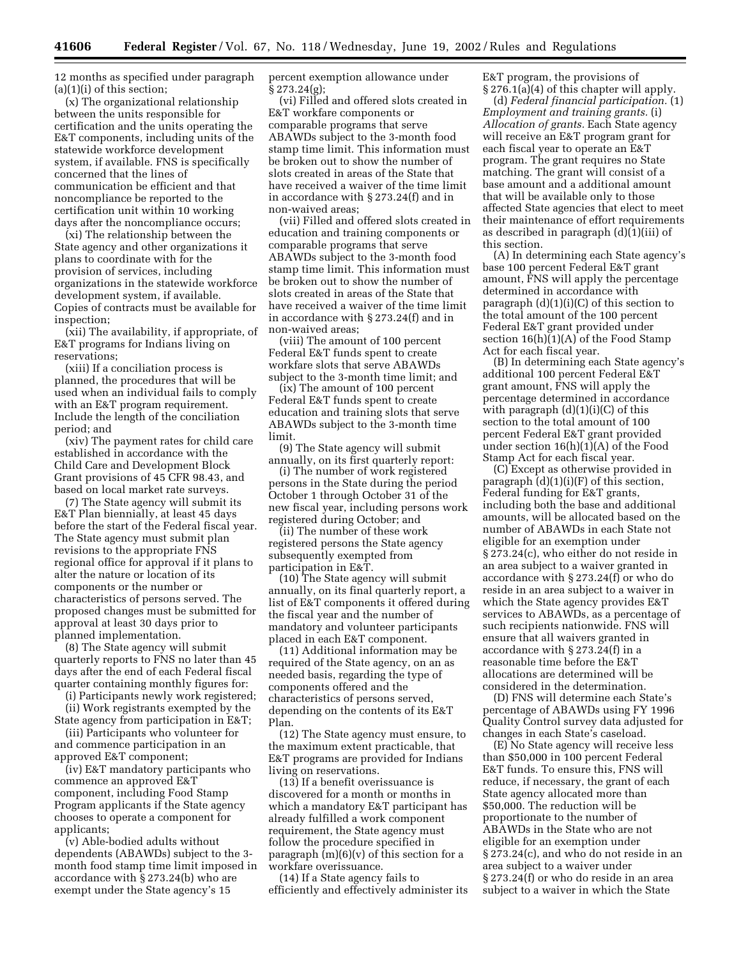12 months as specified under paragraph  $(a)(1)(i)$  of this section;

(x) The organizational relationship between the units responsible for certification and the units operating the E&T components, including units of the statewide workforce development system, if available. FNS is specifically concerned that the lines of communication be efficient and that noncompliance be reported to the certification unit within 10 working days after the noncompliance occurs;

(xi) The relationship between the State agency and other organizations it plans to coordinate with for the provision of services, including organizations in the statewide workforce development system, if available. Copies of contracts must be available for inspection;

(xii) The availability, if appropriate, of E&T programs for Indians living on reservations;

(xiii) If a conciliation process is planned, the procedures that will be used when an individual fails to comply with an E&T program requirement. Include the length of the conciliation period; and

(xiv) The payment rates for child care established in accordance with the Child Care and Development Block Grant provisions of 45 CFR 98.43, and based on local market rate surveys.

(7) The State agency will submit its E&T Plan biennially, at least 45 days before the start of the Federal fiscal year. The State agency must submit plan revisions to the appropriate FNS regional office for approval if it plans to alter the nature or location of its components or the number or characteristics of persons served. The proposed changes must be submitted for approval at least 30 days prior to planned implementation.

(8) The State agency will submit quarterly reports to FNS no later than 45 days after the end of each Federal fiscal quarter containing monthly figures for:

(i) Participants newly work registered;

(ii) Work registrants exempted by the State agency from participation in E&T;

(iii) Participants who volunteer for and commence participation in an approved E&T component;

(iv) E&T mandatory participants who commence an approved E&T component, including Food Stamp Program applicants if the State agency chooses to operate a component for applicants;

(v) Able-bodied adults without dependents (ABAWDs) subject to the 3 month food stamp time limit imposed in accordance with § 273.24(b) who are exempt under the State agency's 15

percent exemption allowance under § 273.24(g);

(vi) Filled and offered slots created in E&T workfare components or comparable programs that serve ABAWDs subject to the 3-month food stamp time limit. This information must be broken out to show the number of slots created in areas of the State that have received a waiver of the time limit in accordance with § 273.24(f) and in non-waived areas;

(vii) Filled and offered slots created in education and training components or comparable programs that serve ABAWDs subject to the 3-month food stamp time limit. This information must be broken out to show the number of slots created in areas of the State that have received a waiver of the time limit in accordance with § 273.24(f) and in non-waived areas;

(viii) The amount of 100 percent Federal E&T funds spent to create workfare slots that serve ABAWDs subject to the 3-month time limit; and

(ix) The amount of 100 percent Federal E&T funds spent to create education and training slots that serve ABAWDs subject to the 3-month time limit.

(9) The State agency will submit annually, on its first quarterly report:

(i) The number of work registered persons in the State during the period October 1 through October 31 of the new fiscal year, including persons work registered during October; and

(ii) The number of these work registered persons the State agency subsequently exempted from participation in E&T.

(10) The State agency will submit annually, on its final quarterly report, a list of E&T components it offered during the fiscal year and the number of mandatory and volunteer participants placed in each E&T component.

(11) Additional information may be required of the State agency, on an as needed basis, regarding the type of components offered and the characteristics of persons served, depending on the contents of its E&T Plan.

(12) The State agency must ensure, to the maximum extent practicable, that E&T programs are provided for Indians living on reservations.

(13) If a benefit overissuance is discovered for a month or months in which a mandatory E&T participant has already fulfilled a work component requirement, the State agency must follow the procedure specified in paragraph (m)(6)(v) of this section for a workfare overissuance.

(14) If a State agency fails to efficiently and effectively administer its E&T program, the provisions of § 276.1(a)(4) of this chapter will apply.

(d) *Federal financial participation.* (1) *Employment and training grants.* (i) *Allocation of grants.* Each State agency will receive an E&T program grant for each fiscal year to operate an E&T program. The grant requires no State matching. The grant will consist of a base amount and a additional amount that will be available only to those affected State agencies that elect to meet their maintenance of effort requirements as described in paragraph (d)(1)(iii) of this section.

(A) In determining each State agency's base 100 percent Federal E&T grant amount, FNS will apply the percentage determined in accordance with paragraph  $(d)(1)(i)(C)$  of this section to the total amount of the 100 percent Federal E&T grant provided under section  $16(h)(1)(A)$  of the Food Stamp Act for each fiscal year.

(B) In determining each State agency's additional 100 percent Federal E&T grant amount, FNS will apply the percentage determined in accordance with paragraph  $(d)(1)(i)(C)$  of this section to the total amount of 100 percent Federal E&T grant provided under section 16(h)(1)(A) of the Food Stamp Act for each fiscal year.

(C) Except as otherwise provided in paragraph  $(d)(1)(i)(F)$  of this section, Federal funding for E&T grants, including both the base and additional amounts, will be allocated based on the number of ABAWDs in each State not eligible for an exemption under § 273.24(c), who either do not reside in an area subject to a waiver granted in accordance with § 273.24(f) or who do reside in an area subject to a waiver in which the State agency provides E&T services to ABAWDs, as a percentage of such recipients nationwide. FNS will ensure that all waivers granted in accordance with § 273.24(f) in a reasonable time before the E&T allocations are determined will be considered in the determination.

(D) FNS will determine each State's percentage of ABAWDs using FY 1996 Quality Control survey data adjusted for changes in each State's caseload.

(E) No State agency will receive less than \$50,000 in 100 percent Federal E&T funds. To ensure this, FNS will reduce, if necessary, the grant of each State agency allocated more than \$50,000. The reduction will be proportionate to the number of ABAWDs in the State who are not eligible for an exemption under § 273.24(c), and who do not reside in an area subject to a waiver under § 273.24(f) or who do reside in an area subject to a waiver in which the State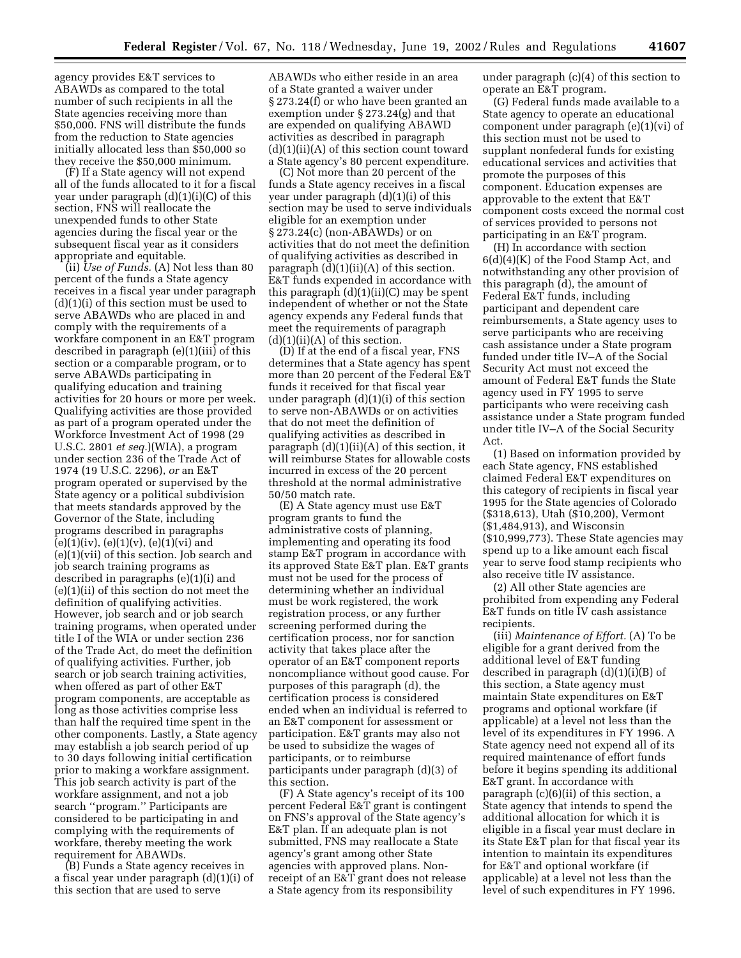agency provides E&T services to ABAWDs as compared to the total number of such recipients in all the State agencies receiving more than \$50,000. FNS will distribute the funds from the reduction to State agencies initially allocated less than \$50,000 so they receive the \$50,000 minimum.

(F) If a State agency will not expend all of the funds allocated to it for a fiscal year under paragraph (d)(1)(i)(C) of this section, FNS will reallocate the unexpended funds to other State agencies during the fiscal year or the subsequent fiscal year as it considers appropriate and equitable.

(ii) *Use of Funds.* (A) Not less than 80 percent of the funds a State agency receives in a fiscal year under paragraph (d)(1)(i) of this section must be used to serve ABAWDs who are placed in and comply with the requirements of a workfare component in an E&T program described in paragraph (e)(1)(iii) of this section or a comparable program, or to serve ABAWDs participating in qualifying education and training activities for 20 hours or more per week. Qualifying activities are those provided as part of a program operated under the Workforce Investment Act of 1998 (29 U.S.C. 2801 *et seq.*)(WIA), a program under section 236 of the Trade Act of 1974 (19 U.S.C. 2296), *or* an E&T program operated or supervised by the State agency or a political subdivision that meets standards approved by the Governor of the State, including programs described in paragraphs  $(e)(1)(iv), (e)(1)(v), (e)(1)(vi)$  and (e)(1)(vii) of this section. Job search and job search training programs as described in paragraphs (e)(1)(i) and (e)(1)(ii) of this section do not meet the definition of qualifying activities. However, job search and or job search training programs, when operated under title I of the WIA or under section 236 of the Trade Act, do meet the definition of qualifying activities. Further, job search or job search training activities, when offered as part of other E&T program components, are acceptable as long as those activities comprise less than half the required time spent in the other components. Lastly, a State agency may establish a job search period of up to 30 days following initial certification prior to making a workfare assignment. This job search activity is part of the workfare assignment, and not a job search ''program.'' Participants are considered to be participating in and complying with the requirements of workfare, thereby meeting the work requirement for ABAWDs.

(B) Funds a State agency receives in a fiscal year under paragraph (d)(1)(i) of this section that are used to serve

ABAWDs who either reside in an area of a State granted a waiver under § 273.24(f) or who have been granted an exemption under § 273.24(g) and that are expended on qualifying ABAWD activities as described in paragraph (d)(1)(ii)(A) of this section count toward a State agency's 80 percent expenditure.

(C) Not more than 20 percent of the funds a State agency receives in a fiscal year under paragraph (d)(1)(i) of this section may be used to serve individuals eligible for an exemption under § 273.24(c) (non-ABAWDs) or on activities that do not meet the definition of qualifying activities as described in paragraph  $(d)(1)(ii)(A)$  of this section. E&T funds expended in accordance with this paragraph (d)(1)(ii)(C) may be spent independent of whether or not the State agency expends any Federal funds that meet the requirements of paragraph  $(d)(1)(ii)(A)$  of this section.

(D) If at the end of a fiscal year, FNS determines that a State agency has spent more than 20 percent of the Federal E&T funds it received for that fiscal year under paragraph (d)(1)(i) of this section to serve non-ABAWDs or on activities that do not meet the definition of qualifying activities as described in paragraph (d)(1)(ii)(A) of this section, it will reimburse States for allowable costs incurred in excess of the 20 percent threshold at the normal administrative 50/50 match rate.

(E) A State agency must use E&T program grants to fund the administrative costs of planning, implementing and operating its food stamp E&T program in accordance with its approved State E&T plan. E&T grants must not be used for the process of determining whether an individual must be work registered, the work registration process, or any further screening performed during the certification process, nor for sanction activity that takes place after the operator of an E&T component reports noncompliance without good cause. For purposes of this paragraph (d), the certification process is considered ended when an individual is referred to an E&T component for assessment or participation. E&T grants may also not be used to subsidize the wages of participants, or to reimburse participants under paragraph (d)(3) of this section.

(F) A State agency's receipt of its 100 percent Federal E&T grant is contingent on FNS's approval of the State agency's E&T plan. If an adequate plan is not submitted, FNS may reallocate a State agency's grant among other State agencies with approved plans. Nonreceipt of an E&T grant does not release a State agency from its responsibility

under paragraph (c)(4) of this section to operate an E&T program.

(G) Federal funds made available to a State agency to operate an educational component under paragraph (e)(1)(vi) of this section must not be used to supplant nonfederal funds for existing educational services and activities that promote the purposes of this component. Education expenses are approvable to the extent that E&T component costs exceed the normal cost of services provided to persons not participating in an E&T program.

(H) In accordance with section 6(d)(4)(K) of the Food Stamp Act, and notwithstanding any other provision of this paragraph (d), the amount of Federal E&T funds, including participant and dependent care reimbursements, a State agency uses to serve participants who are receiving cash assistance under a State program funded under title IV–A of the Social Security Act must not exceed the amount of Federal E&T funds the State agency used in FY 1995 to serve participants who were receiving cash assistance under a State program funded under title IV–A of the Social Security Act.

(1) Based on information provided by each State agency, FNS established claimed Federal E&T expenditures on this category of recipients in fiscal year 1995 for the State agencies of Colorado (\$318,613), Utah (\$10,200), Vermont (\$1,484,913), and Wisconsin (\$10,999,773). These State agencies may spend up to a like amount each fiscal year to serve food stamp recipients who also receive title IV assistance.

(2) All other State agencies are prohibited from expending any Federal E&T funds on title IV cash assistance recipients.

(iii) *Maintenance of Effort.* (A) To be eligible for a grant derived from the additional level of E&T funding described in paragraph (d)(1)(i)(B) of this section, a State agency must maintain State expenditures on E&T programs and optional workfare (if applicable) at a level not less than the level of its expenditures in FY 1996. A State agency need not expend all of its required maintenance of effort funds before it begins spending its additional E&T grant. In accordance with paragraph (c)(6)(ii) of this section, a State agency that intends to spend the additional allocation for which it is eligible in a fiscal year must declare in its State E&T plan for that fiscal year its intention to maintain its expenditures for E&T and optional workfare (if applicable) at a level not less than the level of such expenditures in FY 1996.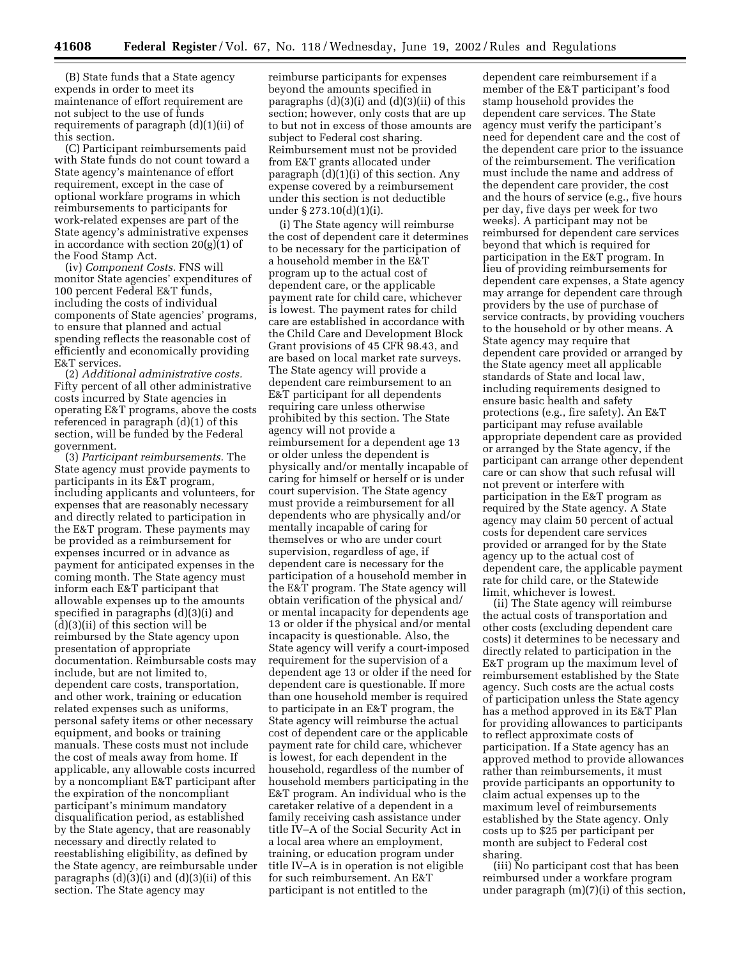(B) State funds that a State agency expends in order to meet its maintenance of effort requirement are not subject to the use of funds requirements of paragraph (d)(1)(ii) of this section.

(C) Participant reimbursements paid with State funds do not count toward a State agency's maintenance of effort requirement, except in the case of optional workfare programs in which reimbursements to participants for work-related expenses are part of the State agency's administrative expenses in accordance with section 20(g)(1) of the Food Stamp Act.

(iv) *Component Costs.* FNS will monitor State agencies' expenditures of 100 percent Federal E&T funds, including the costs of individual components of State agencies' programs, to ensure that planned and actual spending reflects the reasonable cost of efficiently and economically providing E&T services.

(2) *Additional administrative costs.* Fifty percent of all other administrative costs incurred by State agencies in operating E&T programs, above the costs referenced in paragraph (d)(1) of this section, will be funded by the Federal government.

(3) *Participant reimbursements.* The State agency must provide payments to participants in its E&T program, including applicants and volunteers, for expenses that are reasonably necessary and directly related to participation in the E&T program. These payments may be provided as a reimbursement for expenses incurred or in advance as payment for anticipated expenses in the coming month. The State agency must inform each E&T participant that allowable expenses up to the amounts specified in paragraphs (d)(3)(i) and (d)(3)(ii) of this section will be reimbursed by the State agency upon presentation of appropriate documentation. Reimbursable costs may include, but are not limited to, dependent care costs, transportation, and other work, training or education related expenses such as uniforms, personal safety items or other necessary equipment, and books or training manuals. These costs must not include the cost of meals away from home. If applicable, any allowable costs incurred by a noncompliant E&T participant after the expiration of the noncompliant participant's minimum mandatory disqualification period, as established by the State agency, that are reasonably necessary and directly related to reestablishing eligibility, as defined by the State agency, are reimbursable under paragraphs (d)(3)(i) and (d)(3)(ii) of this section. The State agency may

reimburse participants for expenses beyond the amounts specified in paragraphs (d)(3)(i) and (d)(3)(ii) of this section; however, only costs that are up to but not in excess of those amounts are subject to Federal cost sharing. Reimbursement must not be provided from E&T grants allocated under paragraph (d)(1)(i) of this section. Any expense covered by a reimbursement under this section is not deductible under § 273.10(d)(1)(i).

(i) The State agency will reimburse the cost of dependent care it determines to be necessary for the participation of a household member in the E&T program up to the actual cost of dependent care, or the applicable payment rate for child care, whichever is lowest. The payment rates for child care are established in accordance with the Child Care and Development Block Grant provisions of 45 CFR 98.43, and are based on local market rate surveys. The State agency will provide a dependent care reimbursement to an E&T participant for all dependents requiring care unless otherwise prohibited by this section. The State agency will not provide a reimbursement for a dependent age 13 or older unless the dependent is physically and/or mentally incapable of caring for himself or herself or is under court supervision. The State agency must provide a reimbursement for all dependents who are physically and/or mentally incapable of caring for themselves or who are under court supervision, regardless of age, if dependent care is necessary for the participation of a household member in the E&T program. The State agency will obtain verification of the physical and/ or mental incapacity for dependents age 13 or older if the physical and/or mental incapacity is questionable. Also, the State agency will verify a court-imposed requirement for the supervision of a dependent age 13 or older if the need for dependent care is questionable. If more than one household member is required to participate in an E&T program, the State agency will reimburse the actual cost of dependent care or the applicable payment rate for child care, whichever is lowest, for each dependent in the household, regardless of the number of household members participating in the E&T program. An individual who is the caretaker relative of a dependent in a family receiving cash assistance under title IV–A of the Social Security Act in a local area where an employment, training, or education program under title IV–A is in operation is not eligible for such reimbursement. An E&T participant is not entitled to the

dependent care reimbursement if a member of the E&T participant's food stamp household provides the dependent care services. The State agency must verify the participant's need for dependent care and the cost of the dependent care prior to the issuance of the reimbursement. The verification must include the name and address of the dependent care provider, the cost and the hours of service (e.g., five hours per day, five days per week for two weeks). A participant may not be reimbursed for dependent care services beyond that which is required for participation in the E&T program. In lieu of providing reimbursements for dependent care expenses, a State agency may arrange for dependent care through providers by the use of purchase of service contracts, by providing vouchers to the household or by other means. A State agency may require that dependent care provided or arranged by the State agency meet all applicable standards of State and local law, including requirements designed to ensure basic health and safety protections (e.g., fire safety). An E&T participant may refuse available appropriate dependent care as provided or arranged by the State agency, if the participant can arrange other dependent care or can show that such refusal will not prevent or interfere with participation in the E&T program as required by the State agency. A State agency may claim 50 percent of actual costs for dependent care services provided or arranged for by the State agency up to the actual cost of dependent care, the applicable payment rate for child care, or the Statewide limit, whichever is lowest.

(ii) The State agency will reimburse the actual costs of transportation and other costs (excluding dependent care costs) it determines to be necessary and directly related to participation in the E&T program up the maximum level of reimbursement established by the State agency. Such costs are the actual costs of participation unless the State agency has a method approved in its E&T Plan for providing allowances to participants to reflect approximate costs of participation. If a State agency has an approved method to provide allowances rather than reimbursements, it must provide participants an opportunity to claim actual expenses up to the maximum level of reimbursements established by the State agency. Only costs up to \$25 per participant per month are subject to Federal cost sharing.

(iii) No participant cost that has been reimbursed under a workfare program under paragraph (m)(7)(i) of this section,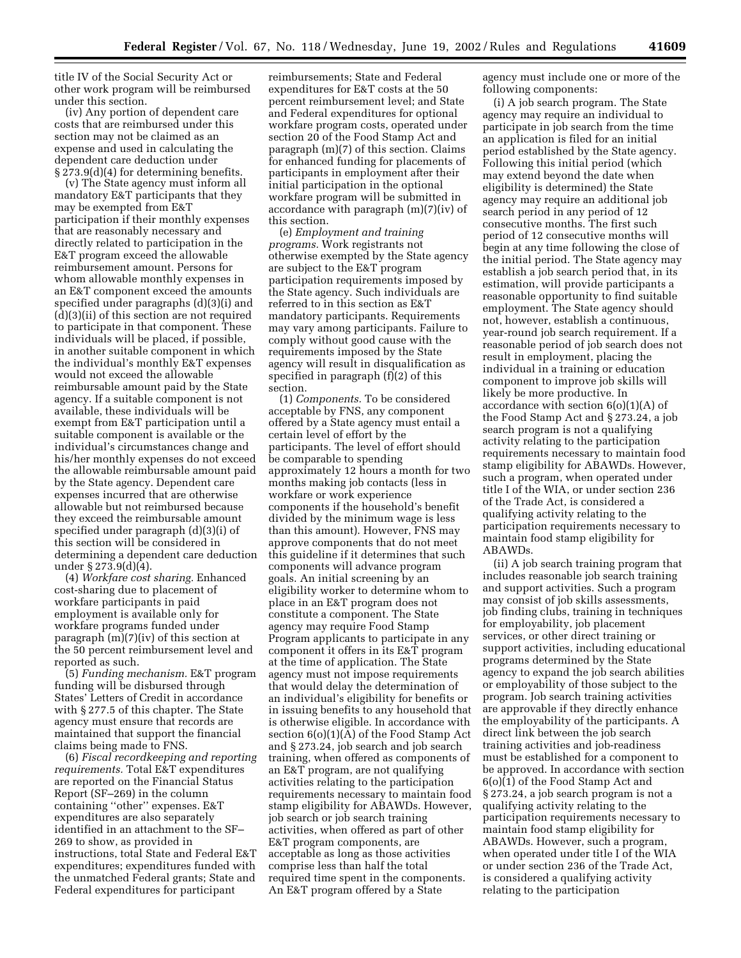title IV of the Social Security Act or other work program will be reimbursed under this section.

(iv) Any portion of dependent care costs that are reimbursed under this section may not be claimed as an expense and used in calculating the dependent care deduction under § 273.9(d)(4) for determining benefits.

(v) The State agency must inform all mandatory E&T participants that they may be exempted from E&T participation if their monthly expenses that are reasonably necessary and directly related to participation in the E&T program exceed the allowable reimbursement amount. Persons for whom allowable monthly expenses in an E&T component exceed the amounts specified under paragraphs (d)(3)(i) and (d)(3)(ii) of this section are not required to participate in that component. These individuals will be placed, if possible, in another suitable component in which the individual's monthly E&T expenses would not exceed the allowable reimbursable amount paid by the State agency. If a suitable component is not available, these individuals will be exempt from E&T participation until a suitable component is available or the individual's circumstances change and his/her monthly expenses do not exceed the allowable reimbursable amount paid by the State agency. Dependent care expenses incurred that are otherwise allowable but not reimbursed because they exceed the reimbursable amount specified under paragraph (d)(3)(i) of this section will be considered in determining a dependent care deduction under § 273.9(d)(4).

(4) *Workfare cost sharing.* Enhanced cost-sharing due to placement of workfare participants in paid employment is available only for workfare programs funded under paragraph (m)(7)(iv) of this section at the 50 percent reimbursement level and reported as such.

(5) *Funding mechanism.* E&T program funding will be disbursed through States' Letters of Credit in accordance with § 277.5 of this chapter. The State agency must ensure that records are maintained that support the financial claims being made to FNS.

(6) *Fiscal recordkeeping and reporting requirements.* Total E&T expenditures are reported on the Financial Status Report (SF–269) in the column containing ''other'' expenses. E&T expenditures are also separately identified in an attachment to the SF– 269 to show, as provided in instructions, total State and Federal E&T expenditures; expenditures funded with the unmatched Federal grants; State and Federal expenditures for participant

reimbursements; State and Federal expenditures for E&T costs at the 50 percent reimbursement level; and State and Federal expenditures for optional workfare program costs, operated under section 20 of the Food Stamp Act and paragraph (m)(7) of this section. Claims for enhanced funding for placements of participants in employment after their initial participation in the optional workfare program will be submitted in accordance with paragraph (m)(7)(iv) of this section.

(e) *Employment and training programs.* Work registrants not otherwise exempted by the State agency are subject to the E&T program participation requirements imposed by the State agency. Such individuals are referred to in this section as E&T mandatory participants. Requirements may vary among participants. Failure to comply without good cause with the requirements imposed by the State agency will result in disqualification as specified in paragraph (f)(2) of this section.

(1) *Components.* To be considered acceptable by FNS, any component offered by a State agency must entail a certain level of effort by the participants. The level of effort should be comparable to spending approximately 12 hours a month for two months making job contacts (less in workfare or work experience components if the household's benefit divided by the minimum wage is less than this amount). However, FNS may approve components that do not meet this guideline if it determines that such components will advance program goals. An initial screening by an eligibility worker to determine whom to place in an E&T program does not constitute a component. The State agency may require Food Stamp Program applicants to participate in any component it offers in its E&T program at the time of application. The State agency must not impose requirements that would delay the determination of an individual's eligibility for benefits or in issuing benefits to any household that is otherwise eligible. In accordance with section 6(o)(1)(A) of the Food Stamp Act and § 273.24, job search and job search training, when offered as components of an E&T program, are not qualifying activities relating to the participation requirements necessary to maintain food stamp eligibility for ABAWDs. However, job search or job search training activities, when offered as part of other E&T program components, are acceptable as long as those activities comprise less than half the total required time spent in the components. An E&T program offered by a State

agency must include one or more of the following components:

(i) A job search program. The State agency may require an individual to participate in job search from the time an application is filed for an initial period established by the State agency. Following this initial period (which may extend beyond the date when eligibility is determined) the State agency may require an additional job search period in any period of 12 consecutive months. The first such period of 12 consecutive months will begin at any time following the close of the initial period. The State agency may establish a job search period that, in its estimation, will provide participants a reasonable opportunity to find suitable employment. The State agency should not, however, establish a continuous, year-round job search requirement. If a reasonable period of job search does not result in employment, placing the individual in a training or education component to improve job skills will likely be more productive. In accordance with section  $6(0)(1)(A)$  of the Food Stamp Act and § 273.24, a job search program is not a qualifying activity relating to the participation requirements necessary to maintain food stamp eligibility for ABAWDs. However, such a program, when operated under title I of the WIA, or under section 236 of the Trade Act, is considered a qualifying activity relating to the participation requirements necessary to maintain food stamp eligibility for ABAWDs.

(ii) A job search training program that includes reasonable job search training and support activities. Such a program may consist of job skills assessments, job finding clubs, training in techniques for employability, job placement services, or other direct training or support activities, including educational programs determined by the State agency to expand the job search abilities or employability of those subject to the program. Job search training activities are approvable if they directly enhance the employability of the participants. A direct link between the job search training activities and job-readiness must be established for a component to be approved. In accordance with section 6(o)(1) of the Food Stamp Act and § 273.24, a job search program is not a qualifying activity relating to the participation requirements necessary to maintain food stamp eligibility for ABAWDs. However, such a program, when operated under title I of the WIA or under section 236 of the Trade Act, is considered a qualifying activity relating to the participation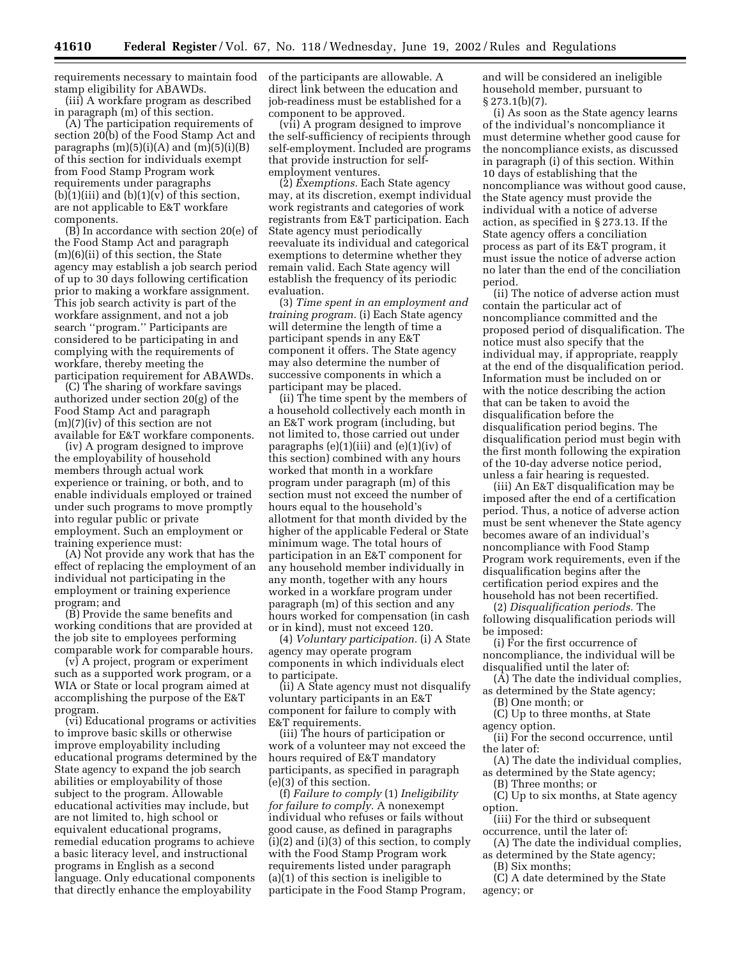requirements necessary to maintain food of the participants are allowable. A stamp eligibility for ABAWDs.

(iii) A workfare program as described in paragraph (m) of this section.

(A) The participation requirements of section 20(b) of the Food Stamp Act and paragraphs  $(m)(5)(i)(A)$  and  $(m)(5)(i)(B)$ of this section for individuals exempt from Food Stamp Program work requirements under paragraphs  $(b)(1)(iii)$  and  $(b)(1)(v)$  of this section, are not applicable to E&T workfare components.

(B) In accordance with section 20(e) of the Food Stamp Act and paragraph (m)(6)(ii) of this section, the State agency may establish a job search period of up to 30 days following certification prior to making a workfare assignment. This job search activity is part of the workfare assignment, and not a job search ''program.'' Participants are considered to be participating in and complying with the requirements of workfare, thereby meeting the participation requirement for ABAWDs.

(C) The sharing of workfare savings authorized under section 20(g) of the Food Stamp Act and paragraph (m)(7)(iv) of this section are not available for E&T workfare components.

(iv) A program designed to improve the employability of household members through actual work experience or training, or both, and to enable individuals employed or trained under such programs to move promptly into regular public or private employment. Such an employment or training experience must:

(A) Not provide any work that has the effect of replacing the employment of an individual not participating in the employment or training experience program; and

(B) Provide the same benefits and working conditions that are provided at the job site to employees performing comparable work for comparable hours.

(v) A project, program or experiment such as a supported work program, or a WIA or State or local program aimed at accomplishing the purpose of the E&T program.

(vi) Educational programs or activities to improve basic skills or otherwise improve employability including educational programs determined by the State agency to expand the job search abilities or employability of those subject to the program. Allowable educational activities may include, but are not limited to, high school or equivalent educational programs, remedial education programs to achieve a basic literacy level, and instructional programs in English as a second language. Only educational components that directly enhance the employability

direct link between the education and job-readiness must be established for a component to be approved.

(vii) A program designed to improve the self-sufficiency of recipients through self-employment. Included are programs that provide instruction for selfemployment ventures.

(2) *Exemptions.* Each State agency may, at its discretion, exempt individual work registrants and categories of work registrants from E&T participation. Each State agency must periodically reevaluate its individual and categorical exemptions to determine whether they remain valid. Each State agency will establish the frequency of its periodic evaluation.

(3) *Time spent in an employment and training program.* (i) Each State agency will determine the length of time a participant spends in any E&T component it offers. The State agency may also determine the number of successive components in which a participant may be placed.

(ii) The time spent by the members of a household collectively each month in an E&T work program (including, but not limited to, those carried out under paragraphs  $(e)(1)(iii)$  and  $(e)(1)(iv)$  of this section) combined with any hours worked that month in a workfare program under paragraph (m) of this section must not exceed the number of hours equal to the household's allotment for that month divided by the higher of the applicable Federal or State minimum wage. The total hours of participation in an E&T component for any household member individually in any month, together with any hours worked in a workfare program under paragraph (m) of this section and any hours worked for compensation (in cash or in kind), must not exceed 120.

(4) *Voluntary participation.* (i) A State agency may operate program components in which individuals elect to participate.

(ii) A State agency must not disqualify voluntary participants in an E&T component for failure to comply with E&T requirements.

(iii) The hours of participation or work of a volunteer may not exceed the hours required of E&T mandatory participants, as specified in paragraph (e)(3) of this section.

(f) *Failure to comply* (1) *Ineligibility for failure to comply.* A nonexempt individual who refuses or fails without good cause, as defined in paragraphs (i)(2) and (i)(3) of this section, to comply with the Food Stamp Program work requirements listed under paragraph (a)(1) of this section is ineligible to participate in the Food Stamp Program,

and will be considered an ineligible household member, pursuant to  $\S 273.1(b)(7)$ .

(i) As soon as the State agency learns of the individual's noncompliance it must determine whether good cause for the noncompliance exists, as discussed in paragraph (i) of this section. Within 10 days of establishing that the noncompliance was without good cause, the State agency must provide the individual with a notice of adverse action, as specified in § 273.13. If the State agency offers a conciliation process as part of its E&T program, it must issue the notice of adverse action no later than the end of the conciliation period.

(ii) The notice of adverse action must contain the particular act of noncompliance committed and the proposed period of disqualification. The notice must also specify that the individual may, if appropriate, reapply at the end of the disqualification period. Information must be included on or with the notice describing the action that can be taken to avoid the disqualification before the disqualification period begins. The disqualification period must begin with the first month following the expiration of the 10-day adverse notice period, unless a fair hearing is requested.

(iii) An E&T disqualification may be imposed after the end of a certification period. Thus, a notice of adverse action must be sent whenever the State agency becomes aware of an individual's noncompliance with Food Stamp Program work requirements, even if the disqualification begins after the certification period expires and the household has not been recertified.

(2) *Disqualification periods.* The following disqualification periods will be imposed:

(i) For the first occurrence of noncompliance, the individual will be disqualified until the later of:

(A) The date the individual complies, as determined by the State agency;

(B) One month; or

(C) Up to three months, at State agency option.

(ii) For the second occurrence, until

the later of: (A) The date the individual complies,

as determined by the State agency; (B) Three months; or

(C) Up to six months, at State agency option.

(iii) For the third or subsequent occurrence, until the later of:

(A) The date the individual complies, as determined by the State agency;

(B) Six months;

(C) A date determined by the State agency; or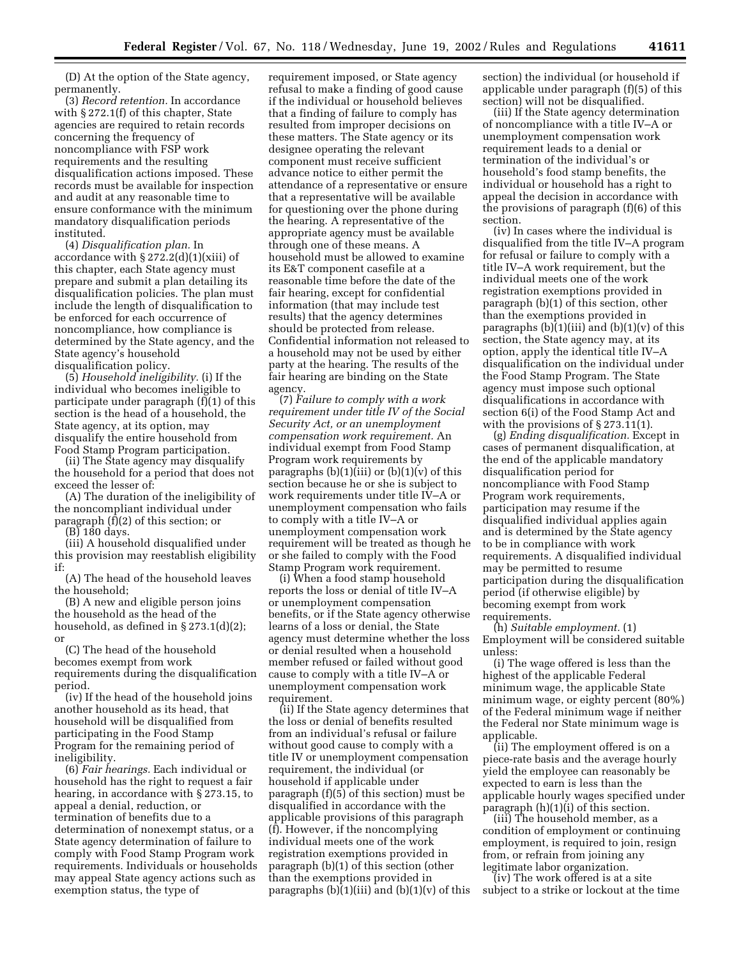(D) At the option of the State agency, permanently.

(3) *Record retention.* In accordance with § 272.1(f) of this chapter, State agencies are required to retain records concerning the frequency of noncompliance with FSP work requirements and the resulting disqualification actions imposed. These records must be available for inspection and audit at any reasonable time to ensure conformance with the minimum mandatory disqualification periods instituted.

(4) *Disqualification plan.* In accordance with  $\S 272.2(d)(1)(xiii)$  of this chapter, each State agency must prepare and submit a plan detailing its disqualification policies. The plan must include the length of disqualification to be enforced for each occurrence of noncompliance, how compliance is determined by the State agency, and the State agency's household disqualification policy.

(5) *Household ineligibility.* (i) If the individual who becomes ineligible to participate under paragraph (f)(1) of this section is the head of a household, the State agency, at its option, may disqualify the entire household from Food Stamp Program participation.

(ii) The State agency may disqualify the household for a period that does not exceed the lesser of:

(A) The duration of the ineligibility of the noncompliant individual under paragraph (f)(2) of this section; or

(B) 180 days.

(iii) A household disqualified under this provision may reestablish eligibility if:

(A) The head of the household leaves the household;

(B) A new and eligible person joins the household as the head of the household, as defined in § 273.1(d)(2); or

(C) The head of the household becomes exempt from work requirements during the disqualification period.

(iv) If the head of the household joins another household as its head, that household will be disqualified from participating in the Food Stamp Program for the remaining period of ineligibility.

(6) *Fair hearings.* Each individual or household has the right to request a fair hearing, in accordance with § 273.15, to appeal a denial, reduction, or termination of benefits due to a determination of nonexempt status, or a State agency determination of failure to comply with Food Stamp Program work requirements. Individuals or households may appeal State agency actions such as exemption status, the type of

requirement imposed, or State agency refusal to make a finding of good cause if the individual or household believes that a finding of failure to comply has resulted from improper decisions on these matters. The State agency or its designee operating the relevant component must receive sufficient advance notice to either permit the attendance of a representative or ensure that a representative will be available for questioning over the phone during the hearing. A representative of the appropriate agency must be available through one of these means. A household must be allowed to examine its E&T component casefile at a reasonable time before the date of the fair hearing, except for confidential information (that may include test results) that the agency determines should be protected from release. Confidential information not released to a household may not be used by either party at the hearing. The results of the fair hearing are binding on the State agency.

(7) *Failure to comply with a work requirement under title IV of the Social Security Act, or an unemployment compensation work requirement.* An individual exempt from Food Stamp Program work requirements by paragraphs  $(b)(1)(iii)$  or  $(b)(1)(v)$  of this section because he or she is subject to work requirements under title IV–A or unemployment compensation who fails to comply with a title IV–A or unemployment compensation work requirement will be treated as though he or she failed to comply with the Food Stamp Program work requirement.

(i) When a food stamp household reports the loss or denial of title IV–A or unemployment compensation benefits, or if the State agency otherwise learns of a loss or denial, the State agency must determine whether the loss or denial resulted when a household member refused or failed without good cause to comply with a title IV–A or unemployment compensation work requirement.

(ii) If the State agency determines that the loss or denial of benefits resulted from an individual's refusal or failure without good cause to comply with a title IV or unemployment compensation requirement, the individual (or household if applicable under paragraph (f)(5) of this section) must be disqualified in accordance with the applicable provisions of this paragraph (f). However, if the noncomplying individual meets one of the work registration exemptions provided in paragraph (b)(1) of this section (other than the exemptions provided in paragraphs  $(b)(1)(iii)$  and  $(b)(1)(v)$  of this section) the individual (or household if applicable under paragraph (f)(5) of this section) will not be disqualified.

(iii) If the State agency determination of noncompliance with a title IV–A or unemployment compensation work requirement leads to a denial or termination of the individual's or household's food stamp benefits, the individual or household has a right to appeal the decision in accordance with the provisions of paragraph (f)(6) of this section.

(iv) In cases where the individual is disqualified from the title IV–A program for refusal or failure to comply with a title IV–A work requirement, but the individual meets one of the work registration exemptions provided in paragraph (b)(1) of this section, other than the exemptions provided in paragraphs  $(b)(1)(iii)$  and  $(b)(1)(v)$  of this section, the State agency may, at its option, apply the identical title IV–A disqualification on the individual under the Food Stamp Program. The State agency must impose such optional disqualifications in accordance with section 6(i) of the Food Stamp Act and with the provisions of  $\S 273.11(1)$ .

(g) *Ending disqualification.* Except in cases of permanent disqualification, at the end of the applicable mandatory disqualification period for noncompliance with Food Stamp Program work requirements, participation may resume if the disqualified individual applies again and is determined by the State agency to be in compliance with work requirements. A disqualified individual may be permitted to resume participation during the disqualification period (if otherwise eligible) by becoming exempt from work requirements.

(h) *Suitable employment.* (1) Employment will be considered suitable unless:

(i) The wage offered is less than the highest of the applicable Federal minimum wage, the applicable State minimum wage, or eighty percent (80%) of the Federal minimum wage if neither the Federal nor State minimum wage is applicable.

(ii) The employment offered is on a piece-rate basis and the average hourly yield the employee can reasonably be expected to earn is less than the applicable hourly wages specified under paragraph (h)(1)(i) of this section.

(iii) The household member, as a condition of employment or continuing employment, is required to join, resign from, or refrain from joining any legitimate labor organization.

(iv) The work offered is at a site subject to a strike or lockout at the time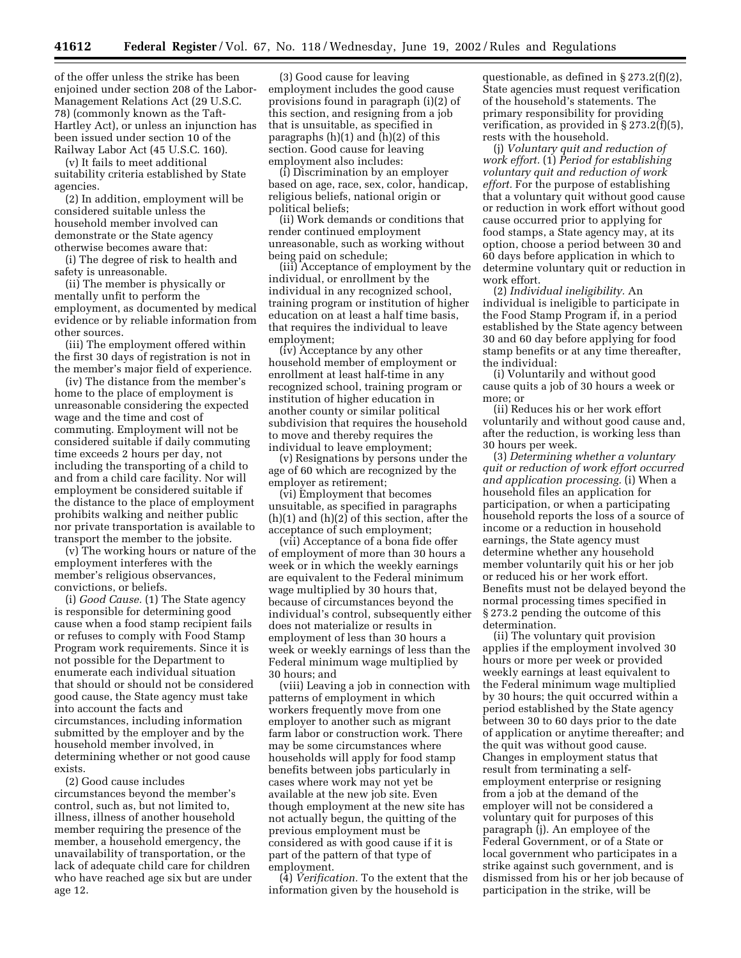of the offer unless the strike has been enjoined under section 208 of the Labor-Management Relations Act (29 U.S.C. 78) (commonly known as the Taft-Hartley Act), or unless an injunction has been issued under section 10 of the Railway Labor Act (45 U.S.C. 160).

(v) It fails to meet additional suitability criteria established by State agencies.

(2) In addition, employment will be considered suitable unless the household member involved can demonstrate or the State agency otherwise becomes aware that:

(i) The degree of risk to health and safety is unreasonable.

(ii) The member is physically or mentally unfit to perform the employment, as documented by medical evidence or by reliable information from other sources.

(iii) The employment offered within the first 30 days of registration is not in the member's major field of experience.

(iv) The distance from the member's home to the place of employment is unreasonable considering the expected wage and the time and cost of commuting. Employment will not be considered suitable if daily commuting time exceeds 2 hours per day, not including the transporting of a child to and from a child care facility. Nor will employment be considered suitable if the distance to the place of employment prohibits walking and neither public nor private transportation is available to transport the member to the jobsite.

(v) The working hours or nature of the employment interferes with the member's religious observances, convictions, or beliefs.

(i) *Good Cause.* (1) The State agency is responsible for determining good cause when a food stamp recipient fails or refuses to comply with Food Stamp Program work requirements. Since it is not possible for the Department to enumerate each individual situation that should or should not be considered good cause, the State agency must take into account the facts and circumstances, including information submitted by the employer and by the household member involved, in determining whether or not good cause exists.

(2) Good cause includes circumstances beyond the member's control, such as, but not limited to, illness, illness of another household member requiring the presence of the member, a household emergency, the unavailability of transportation, or the lack of adequate child care for children who have reached age six but are under age 12.

(3) Good cause for leaving employment includes the good cause provisions found in paragraph (i)(2) of this section, and resigning from a job that is unsuitable, as specified in paragraphs  $(h)(1)$  and  $(h)(2)$  of this section. Good cause for leaving employment also includes:

(i) Discrimination by an employer based on age, race, sex, color, handicap, religious beliefs, national origin or political beliefs;

(ii) Work demands or conditions that render continued employment unreasonable, such as working without being paid on schedule;

(iii) Acceptance of employment by the individual, or enrollment by the individual in any recognized school, training program or institution of higher education on at least a half time basis, that requires the individual to leave employment;

(iv) Acceptance by any other household member of employment or enrollment at least half-time in any recognized school, training program or institution of higher education in another county or similar political subdivision that requires the household to move and thereby requires the individual to leave employment;

(v) Resignations by persons under the age of 60 which are recognized by the employer as retirement;

(vi) Employment that becomes unsuitable, as specified in paragraphs (h)(1) and (h)(2) of this section, after the acceptance of such employment;

(vii) Acceptance of a bona fide offer of employment of more than 30 hours a week or in which the weekly earnings are equivalent to the Federal minimum wage multiplied by 30 hours that, because of circumstances beyond the individual's control, subsequently either does not materialize or results in employment of less than 30 hours a week or weekly earnings of less than the Federal minimum wage multiplied by 30 hours; and

(viii) Leaving a job in connection with patterns of employment in which workers frequently move from one employer to another such as migrant farm labor or construction work. There may be some circumstances where households will apply for food stamp benefits between jobs particularly in cases where work may not yet be available at the new job site. Even though employment at the new site has not actually begun, the quitting of the previous employment must be considered as with good cause if it is part of the pattern of that type of employment.

(4) *Verification.* To the extent that the information given by the household is

questionable, as defined in § 273.2(f)(2), State agencies must request verification of the household's statements. The primary responsibility for providing verification, as provided in § 273.2(f)(5), rests with the household.

(j) *Voluntary quit and reduction of work effort.* (1) *Period for establishing voluntary quit and reduction of work effort.* For the purpose of establishing that a voluntary quit without good cause or reduction in work effort without good cause occurred prior to applying for food stamps, a State agency may, at its option, choose a period between 30 and 60 days before application in which to determine voluntary quit or reduction in work effort.

(2) *Individual ineligibility.* An individual is ineligible to participate in the Food Stamp Program if, in a period established by the State agency between 30 and 60 day before applying for food stamp benefits or at any time thereafter, the individual:

(i) Voluntarily and without good cause quits a job of 30 hours a week or more; or

(ii) Reduces his or her work effort voluntarily and without good cause and, after the reduction, is working less than 30 hours per week.

(3) *Determining whether a voluntary quit or reduction of work effort occurred and application processing.* (i) When a household files an application for participation, or when a participating household reports the loss of a source of income or a reduction in household earnings, the State agency must determine whether any household member voluntarily quit his or her job or reduced his or her work effort. Benefits must not be delayed beyond the normal processing times specified in § 273.2 pending the outcome of this determination.

(ii) The voluntary quit provision applies if the employment involved 30 hours or more per week or provided weekly earnings at least equivalent to the Federal minimum wage multiplied by 30 hours; the quit occurred within a period established by the State agency between 30 to 60 days prior to the date of application or anytime thereafter; and the quit was without good cause. Changes in employment status that result from terminating a selfemployment enterprise or resigning from a job at the demand of the employer will not be considered a voluntary quit for purposes of this paragraph (j). An employee of the Federal Government, or of a State or local government who participates in a strike against such government, and is dismissed from his or her job because of participation in the strike, will be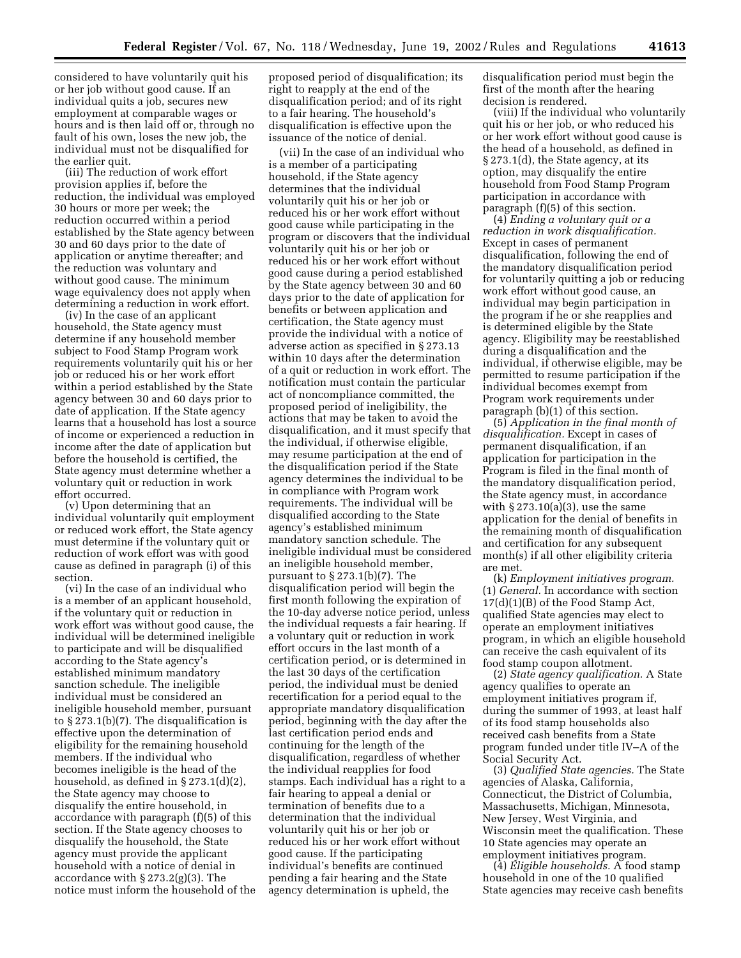considered to have voluntarily quit his or her job without good cause. If an individual quits a job, secures new employment at comparable wages or hours and is then laid off or, through no fault of his own, loses the new job, the individual must not be disqualified for the earlier quit.

(iii) The reduction of work effort provision applies if, before the reduction, the individual was employed 30 hours or more per week; the reduction occurred within a period established by the State agency between 30 and 60 days prior to the date of application or anytime thereafter; and the reduction was voluntary and without good cause. The minimum wage equivalency does not apply when determining a reduction in work effort.

(iv) In the case of an applicant household, the State agency must determine if any household member subject to Food Stamp Program work requirements voluntarily quit his or her job or reduced his or her work effort within a period established by the State agency between 30 and 60 days prior to date of application. If the State agency learns that a household has lost a source of income or experienced a reduction in income after the date of application but before the household is certified, the State agency must determine whether a voluntary quit or reduction in work effort occurred.

(v) Upon determining that an individual voluntarily quit employment or reduced work effort, the State agency must determine if the voluntary quit or reduction of work effort was with good cause as defined in paragraph (i) of this section.

(vi) In the case of an individual who is a member of an applicant household, if the voluntary quit or reduction in work effort was without good cause, the individual will be determined ineligible to participate and will be disqualified according to the State agency's established minimum mandatory sanction schedule. The ineligible individual must be considered an ineligible household member, pursuant to § 273.1(b)(7). The disqualification is effective upon the determination of eligibility for the remaining household members. If the individual who becomes ineligible is the head of the household, as defined in § 273.1(d)(2), the State agency may choose to disqualify the entire household, in accordance with paragraph (f)(5) of this section. If the State agency chooses to disqualify the household, the State agency must provide the applicant household with a notice of denial in accordance with § 273.2(g)(3). The notice must inform the household of the

proposed period of disqualification; its right to reapply at the end of the disqualification period; and of its right to a fair hearing. The household's disqualification is effective upon the issuance of the notice of denial.

(vii) In the case of an individual who is a member of a participating household, if the State agency determines that the individual voluntarily quit his or her job or reduced his or her work effort without good cause while participating in the program or discovers that the individual voluntarily quit his or her job or reduced his or her work effort without good cause during a period established by the State agency between 30 and 60 days prior to the date of application for benefits or between application and certification, the State agency must provide the individual with a notice of adverse action as specified in § 273.13 within 10 days after the determination of a quit or reduction in work effort. The notification must contain the particular act of noncompliance committed, the proposed period of ineligibility, the actions that may be taken to avoid the disqualification, and it must specify that the individual, if otherwise eligible, may resume participation at the end of the disqualification period if the State agency determines the individual to be in compliance with Program work requirements. The individual will be disqualified according to the State agency's established minimum mandatory sanction schedule. The ineligible individual must be considered an ineligible household member, pursuant to § 273.1(b)(7). The disqualification period will begin the first month following the expiration of the 10-day adverse notice period, unless the individual requests a fair hearing. If a voluntary quit or reduction in work effort occurs in the last month of a certification period, or is determined in the last 30 days of the certification period, the individual must be denied recertification for a period equal to the appropriate mandatory disqualification period, beginning with the day after the last certification period ends and continuing for the length of the disqualification, regardless of whether the individual reapplies for food stamps. Each individual has a right to a fair hearing to appeal a denial or termination of benefits due to a determination that the individual voluntarily quit his or her job or reduced his or her work effort without good cause. If the participating individual's benefits are continued pending a fair hearing and the State agency determination is upheld, the

disqualification period must begin the first of the month after the hearing decision is rendered.

(viii) If the individual who voluntarily quit his or her job, or who reduced his or her work effort without good cause is the head of a household, as defined in § 273.1(d), the State agency, at its option, may disqualify the entire household from Food Stamp Program participation in accordance with paragraph (f)(5) of this section.

(4) *Ending a voluntary quit or a reduction in work disqualification.* Except in cases of permanent disqualification, following the end of the mandatory disqualification period for voluntarily quitting a job or reducing work effort without good cause, an individual may begin participation in the program if he or she reapplies and is determined eligible by the State agency. Eligibility may be reestablished during a disqualification and the individual, if otherwise eligible, may be permitted to resume participation if the individual becomes exempt from Program work requirements under paragraph (b)(1) of this section.

(5) *Application in the final month of disqualification.* Except in cases of permanent disqualification, if an application for participation in the Program is filed in the final month of the mandatory disqualification period, the State agency must, in accordance with  $\S 273.10(a)(3)$ , use the same application for the denial of benefits in the remaining month of disqualification and certification for any subsequent month(s) if all other eligibility criteria are met.

(k) *Employment initiatives program.* (1) *General.* In accordance with section 17(d)(1)(B) of the Food Stamp Act, qualified State agencies may elect to operate an employment initiatives program, in which an eligible household can receive the cash equivalent of its food stamp coupon allotment.

(2) *State agency qualification.* A State agency qualifies to operate an employment initiatives program if, during the summer of 1993, at least half of its food stamp households also received cash benefits from a State program funded under title IV–A of the Social Security Act.

(3) *Qualified State agencies.* The State agencies of Alaska, California, Connecticut, the District of Columbia, Massachusetts, Michigan, Minnesota, New Jersey, West Virginia, and Wisconsin meet the qualification. These 10 State agencies may operate an employment initiatives program.

(4) *Eligible households.* A food stamp household in one of the 10 qualified State agencies may receive cash benefits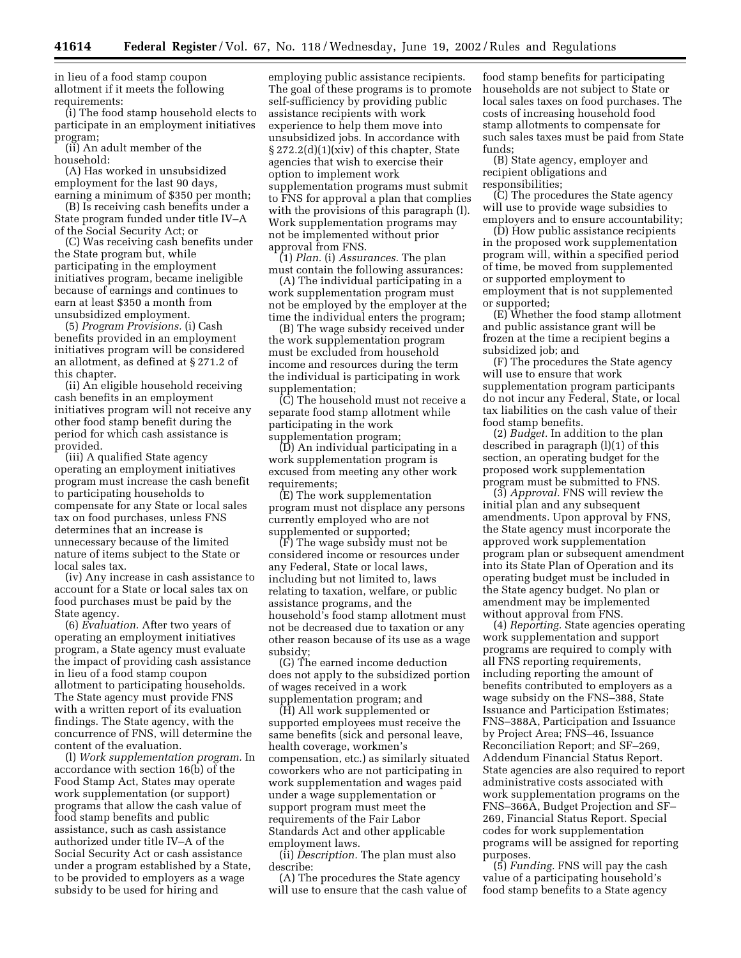in lieu of a food stamp coupon allotment if it meets the following requirements:

(i) The food stamp household elects to participate in an employment initiatives program;

(ii) An adult member of the household:

(A) Has worked in unsubsidized employment for the last 90 days, earning a minimum of \$350 per month;

(B) Is receiving cash benefits under a State program funded under title IV–A of the Social Security Act; or

(C) Was receiving cash benefits under the State program but, while participating in the employment initiatives program, became ineligible because of earnings and continues to earn at least \$350 a month from unsubsidized employment.

(5) *Program Provisions.* (i) Cash benefits provided in an employment initiatives program will be considered an allotment, as defined at § 271.2 of this chapter.

(ii) An eligible household receiving cash benefits in an employment initiatives program will not receive any other food stamp benefit during the period for which cash assistance is provided.

(iii) A qualified State agency operating an employment initiatives program must increase the cash benefit to participating households to compensate for any State or local sales tax on food purchases, unless FNS determines that an increase is unnecessary because of the limited nature of items subject to the State or local sales tax.

(iv) Any increase in cash assistance to account for a State or local sales tax on food purchases must be paid by the State agency.

(6) *Evaluation.* After two years of operating an employment initiatives program, a State agency must evaluate the impact of providing cash assistance in lieu of a food stamp coupon allotment to participating households. The State agency must provide FNS with a written report of its evaluation findings. The State agency, with the concurrence of FNS, will determine the content of the evaluation.

(l) *Work supplementation program.* In accordance with section 16(b) of the Food Stamp Act, States may operate work supplementation (or support) programs that allow the cash value of food stamp benefits and public assistance, such as cash assistance authorized under title IV–A of the Social Security Act or cash assistance under a program established by a State, to be provided to employers as a wage subsidy to be used for hiring and

employing public assistance recipients. The goal of these programs is to promote self-sufficiency by providing public assistance recipients with work experience to help them move into unsubsidized jobs. In accordance with § 272.2(d)(1)(xiv) of this chapter, State agencies that wish to exercise their option to implement work supplementation programs must submit to FNS for approval a plan that complies with the provisions of this paragraph (1). Work supplementation programs may not be implemented without prior approval from FNS.

(1) *Plan.* (i) *Assurances.* The plan must contain the following assurances:

(A) The individual participating in a work supplementation program must not be employed by the employer at the time the individual enters the program;

(B) The wage subsidy received under the work supplementation program must be excluded from household income and resources during the term the individual is participating in work supplementation;

(C) The household must not receive a separate food stamp allotment while participating in the work supplementation program;

(D) An individual participating in a work supplementation program is excused from meeting any other work requirements;

(E) The work supplementation program must not displace any persons currently employed who are not supplemented or supported;

(F) The wage subsidy must not be considered income or resources under any Federal, State or local laws, including but not limited to, laws relating to taxation, welfare, or public assistance programs, and the household's food stamp allotment must not be decreased due to taxation or any other reason because of its use as a wage subsidy;

(G) The earned income deduction does not apply to the subsidized portion of wages received in a work supplementation program; and

(H) All work supplemented or supported employees must receive the same benefits (sick and personal leave, health coverage, workmen's compensation, etc.) as similarly situated coworkers who are not participating in work supplementation and wages paid under a wage supplementation or support program must meet the requirements of the Fair Labor Standards Act and other applicable employment laws.

(ii) *Description.* The plan must also describe:

(A) The procedures the State agency will use to ensure that the cash value of

food stamp benefits for participating households are not subject to State or local sales taxes on food purchases. The costs of increasing household food stamp allotments to compensate for such sales taxes must be paid from State funds;

(B) State agency, employer and recipient obligations and responsibilities;

(C) The procedures the State agency will use to provide wage subsidies to employers and to ensure accountability;

(D) How public assistance recipients in the proposed work supplementation program will, within a specified period of time, be moved from supplemented or supported employment to employment that is not supplemented or supported;

(E) Whether the food stamp allotment and public assistance grant will be frozen at the time a recipient begins a subsidized job; and

(F) The procedures the State agency will use to ensure that work supplementation program participants do not incur any Federal, State, or local tax liabilities on the cash value of their food stamp benefits.

(2) *Budget.* In addition to the plan described in paragraph (l)(1) of this section, an operating budget for the proposed work supplementation program must be submitted to FNS.

(3) *Approval.* FNS will review the initial plan and any subsequent amendments. Upon approval by FNS, the State agency must incorporate the approved work supplementation program plan or subsequent amendment into its State Plan of Operation and its operating budget must be included in the State agency budget. No plan or amendment may be implemented without approval from FNS.

(4) *Reporting.* State agencies operating work supplementation and support programs are required to comply with all FNS reporting requirements, including reporting the amount of benefits contributed to employers as a wage subsidy on the FNS–388, State Issuance and Participation Estimates; FNS–388A, Participation and Issuance by Project Area; FNS–46, Issuance Reconciliation Report; and SF–269, Addendum Financial Status Report. State agencies are also required to report administrative costs associated with work supplementation programs on the FNS–366A, Budget Projection and SF– 269, Financial Status Report. Special codes for work supplementation programs will be assigned for reporting purposes.

(5) *Funding.* FNS will pay the cash value of a participating household's food stamp benefits to a State agency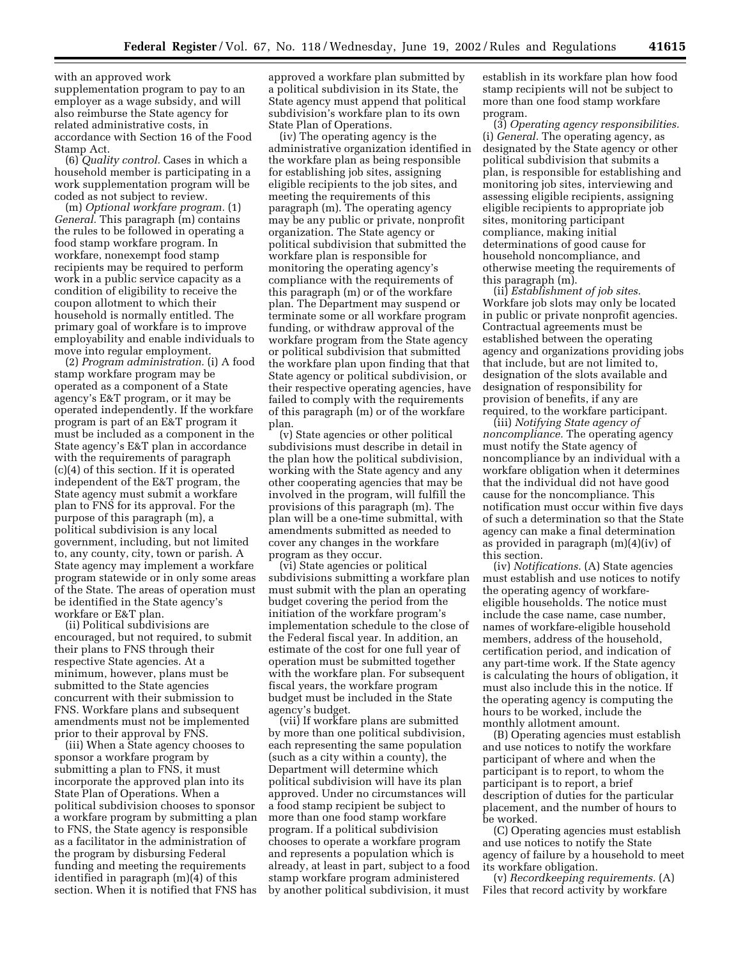with an approved work supplementation program to pay to an employer as a wage subsidy, and will also reimburse the State agency for related administrative costs, in accordance with Section 16 of the Food Stamp Act.

(6) *Quality control.* Cases in which a household member is participating in a work supplementation program will be coded as not subject to review.

(m) *Optional workfare program.* (1) *General.* This paragraph (m) contains the rules to be followed in operating a food stamp workfare program. In workfare, nonexempt food stamp recipients may be required to perform work in a public service capacity as a condition of eligibility to receive the coupon allotment to which their household is normally entitled. The primary goal of workfare is to improve employability and enable individuals to move into regular employment.

(2) *Program administration.* (i) A food stamp workfare program may be operated as a component of a State agency's E&T program, or it may be operated independently. If the workfare program is part of an E&T program it must be included as a component in the State agency's E&T plan in accordance with the requirements of paragraph (c)(4) of this section. If it is operated independent of the E&T program, the State agency must submit a workfare plan to FNS for its approval. For the purpose of this paragraph (m), a political subdivision is any local government, including, but not limited to, any county, city, town or parish. A State agency may implement a workfare program statewide or in only some areas of the State. The areas of operation must be identified in the State agency's workfare or E&T plan.

(ii) Political subdivisions are encouraged, but not required, to submit their plans to FNS through their respective State agencies. At a minimum, however, plans must be submitted to the State agencies concurrent with their submission to FNS. Workfare plans and subsequent amendments must not be implemented prior to their approval by FNS.

(iii) When a State agency chooses to sponsor a workfare program by submitting a plan to FNS, it must incorporate the approved plan into its State Plan of Operations. When a political subdivision chooses to sponsor a workfare program by submitting a plan to FNS, the State agency is responsible as a facilitator in the administration of the program by disbursing Federal funding and meeting the requirements identified in paragraph (m)(4) of this section. When it is notified that FNS has

approved a workfare plan submitted by a political subdivision in its State, the State agency must append that political subdivision's workfare plan to its own State Plan of Operations.

(iv) The operating agency is the administrative organization identified in the workfare plan as being responsible for establishing job sites, assigning eligible recipients to the job sites, and meeting the requirements of this paragraph (m). The operating agency may be any public or private, nonprofit organization. The State agency or political subdivision that submitted the workfare plan is responsible for monitoring the operating agency's compliance with the requirements of this paragraph (m) or of the workfare plan. The Department may suspend or terminate some or all workfare program funding, or withdraw approval of the workfare program from the State agency or political subdivision that submitted the workfare plan upon finding that that State agency or political subdivision, or their respective operating agencies, have failed to comply with the requirements of this paragraph (m) or of the workfare plan.

(v) State agencies or other political subdivisions must describe in detail in the plan how the political subdivision, working with the State agency and any other cooperating agencies that may be involved in the program, will fulfill the provisions of this paragraph (m). The plan will be a one-time submittal, with amendments submitted as needed to cover any changes in the workfare program as they occur.

(vi) State agencies or political subdivisions submitting a workfare plan must submit with the plan an operating budget covering the period from the initiation of the workfare program's implementation schedule to the close of the Federal fiscal year. In addition, an estimate of the cost for one full year of operation must be submitted together with the workfare plan. For subsequent fiscal years, the workfare program budget must be included in the State agency's budget.

(vii) If workfare plans are submitted by more than one political subdivision, each representing the same population (such as a city within a county), the Department will determine which political subdivision will have its plan approved. Under no circumstances will a food stamp recipient be subject to more than one food stamp workfare program. If a political subdivision chooses to operate a workfare program and represents a population which is already, at least in part, subject to a food stamp workfare program administered by another political subdivision, it must

establish in its workfare plan how food stamp recipients will not be subject to more than one food stamp workfare program.

(3) *Operating agency responsibilities.* (i) *General.* The operating agency, as designated by the State agency or other political subdivision that submits a plan, is responsible for establishing and monitoring job sites, interviewing and assessing eligible recipients, assigning eligible recipients to appropriate job sites, monitoring participant compliance, making initial determinations of good cause for household noncompliance, and otherwise meeting the requirements of this paragraph (m).

(ii) *Establishment of job sites.* Workfare job slots may only be located in public or private nonprofit agencies. Contractual agreements must be established between the operating agency and organizations providing jobs that include, but are not limited to, designation of the slots available and designation of responsibility for provision of benefits, if any are required, to the workfare participant.

(iii) *Notifying State agency of noncompliance.* The operating agency must notify the State agency of noncompliance by an individual with a workfare obligation when it determines that the individual did not have good cause for the noncompliance. This notification must occur within five days of such a determination so that the State agency can make a final determination as provided in paragraph (m)(4)(iv) of this section.

(iv) *Notifications.* (A) State agencies must establish and use notices to notify the operating agency of workfareeligible households. The notice must include the case name, case number, names of workfare-eligible household members, address of the household, certification period, and indication of any part-time work. If the State agency is calculating the hours of obligation, it must also include this in the notice. If the operating agency is computing the hours to be worked, include the monthly allotment amount.

(B) Operating agencies must establish and use notices to notify the workfare participant of where and when the participant is to report, to whom the participant is to report, a brief description of duties for the particular placement, and the number of hours to be worked.

(C) Operating agencies must establish and use notices to notify the State agency of failure by a household to meet its workfare obligation.

(v) *Recordkeeping requirements.* (A) Files that record activity by workfare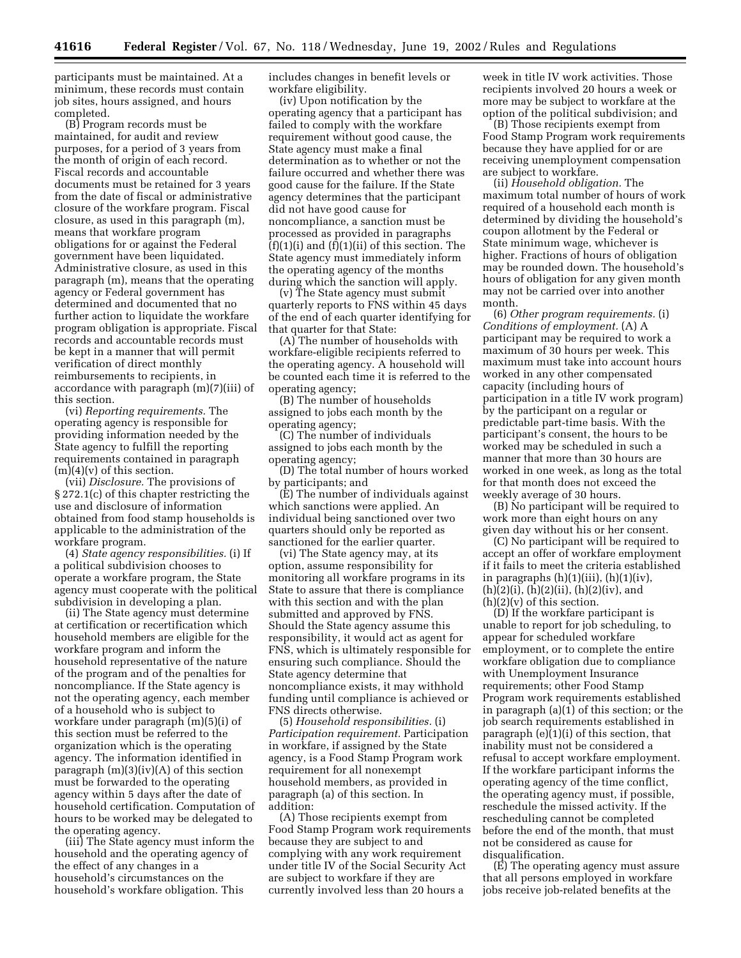participants must be maintained. At a minimum, these records must contain job sites, hours assigned, and hours completed.

(B) Program records must be maintained, for audit and review purposes, for a period of 3 years from the month of origin of each record. Fiscal records and accountable documents must be retained for 3 years from the date of fiscal or administrative closure of the workfare program. Fiscal closure, as used in this paragraph (m), means that workfare program obligations for or against the Federal government have been liquidated. Administrative closure, as used in this paragraph (m), means that the operating agency or Federal government has determined and documented that no further action to liquidate the workfare program obligation is appropriate. Fiscal records and accountable records must be kept in a manner that will permit verification of direct monthly reimbursements to recipients, in accordance with paragraph (m)(7)(iii) of this section.

(vi) *Reporting requirements.* The operating agency is responsible for providing information needed by the State agency to fulfill the reporting requirements contained in paragraph  $(m)(4)(v)$  of this section.

(vii) *Disclosure.* The provisions of § 272.1(c) of this chapter restricting the use and disclosure of information obtained from food stamp households is applicable to the administration of the workfare program.

(4) *State agency responsibilities.* (i) If a political subdivision chooses to operate a workfare program, the State agency must cooperate with the political subdivision in developing a plan.

(ii) The State agency must determine at certification or recertification which household members are eligible for the workfare program and inform the household representative of the nature of the program and of the penalties for noncompliance. If the State agency is not the operating agency, each member of a household who is subject to workfare under paragraph (m)(5)(i) of this section must be referred to the organization which is the operating agency. The information identified in paragraph (m)(3)(iv)(A) of this section must be forwarded to the operating agency within 5 days after the date of household certification. Computation of hours to be worked may be delegated to the operating agency.

(iii) The State agency must inform the household and the operating agency of the effect of any changes in a household's circumstances on the household's workfare obligation. This

includes changes in benefit levels or workfare eligibility.

(iv) Upon notification by the operating agency that a participant has failed to comply with the workfare requirement without good cause, the State agency must make a final determination as to whether or not the failure occurred and whether there was good cause for the failure. If the State agency determines that the participant did not have good cause for noncompliance, a sanction must be processed as provided in paragraphs  $(f)(1)(i)$  and  $(f)(1)(ii)$  of this section. The State agency must immediately inform the operating agency of the months during which the sanction will apply.

(v) The State agency must submit quarterly reports to FNS within 45 days of the end of each quarter identifying for that quarter for that State:

(A) The number of households with workfare-eligible recipients referred to the operating agency. A household will be counted each time it is referred to the operating agency;

(B) The number of households assigned to jobs each month by the operating agency;

(C) The number of individuals assigned to jobs each month by the operating agency;

(D) The total number of hours worked by participants; and

(E) The number of individuals against which sanctions were applied. An individual being sanctioned over two quarters should only be reported as sanctioned for the earlier quarter.

(vi) The State agency may, at its option, assume responsibility for monitoring all workfare programs in its State to assure that there is compliance with this section and with the plan submitted and approved by FNS. Should the State agency assume this responsibility, it would act as agent for FNS, which is ultimately responsible for ensuring such compliance. Should the State agency determine that noncompliance exists, it may withhold funding until compliance is achieved or FNS directs otherwise.

(5) *Household responsibilities.* (i) *Participation requirement.* Participation in workfare, if assigned by the State agency, is a Food Stamp Program work requirement for all nonexempt household members, as provided in paragraph (a) of this section. In addition:

(A) Those recipients exempt from Food Stamp Program work requirements because they are subject to and complying with any work requirement under title IV of the Social Security Act are subject to workfare if they are currently involved less than 20 hours a

week in title IV work activities. Those recipients involved 20 hours a week or more may be subject to workfare at the option of the political subdivision; and

(B) Those recipients exempt from Food Stamp Program work requirements because they have applied for or are receiving unemployment compensation are subject to workfare.

(ii) *Household obligation.* The maximum total number of hours of work required of a household each month is determined by dividing the household's coupon allotment by the Federal or State minimum wage, whichever is higher. Fractions of hours of obligation may be rounded down. The household's hours of obligation for any given month may not be carried over into another month.

(6) *Other program requirements.* (i) *Conditions of employment.* (A) A participant may be required to work a maximum of 30 hours per week. This maximum must take into account hours worked in any other compensated capacity (including hours of participation in a title IV work program) by the participant on a regular or predictable part-time basis. With the participant's consent, the hours to be worked may be scheduled in such a manner that more than 30 hours are worked in one week, as long as the total for that month does not exceed the weekly average of 30 hours.

(B) No participant will be required to work more than eight hours on any given day without his or her consent.

(C) No participant will be required to accept an offer of workfare employment if it fails to meet the criteria established in paragraphs  $(h)(1)(iii)$ ,  $(h)(1)(iv)$ ,  $(h)(2)(i)$ ,  $(h)(2)(ii)$ ,  $(h)(2)(iv)$ , and  $(h)(2)(v)$  of this section.

(D) If the workfare participant is unable to report for job scheduling, to appear for scheduled workfare employment, or to complete the entire workfare obligation due to compliance with Unemployment Insurance requirements; other Food Stamp Program work requirements established in paragraph (a)(1) of this section; or the job search requirements established in paragraph (e)(1)(i) of this section, that inability must not be considered a refusal to accept workfare employment. If the workfare participant informs the operating agency of the time conflict, the operating agency must, if possible, reschedule the missed activity. If the rescheduling cannot be completed before the end of the month, that must not be considered as cause for disqualification.

(E) The operating agency must assure that all persons employed in workfare jobs receive job-related benefits at the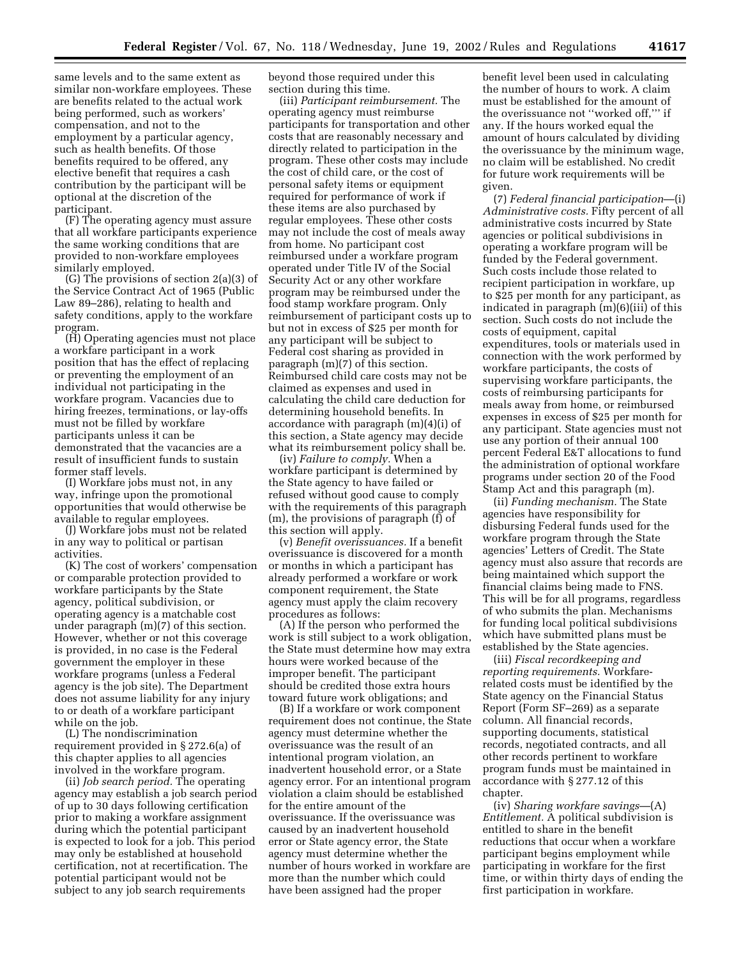same levels and to the same extent as similar non-workfare employees. These are benefits related to the actual work being performed, such as workers' compensation, and not to the employment by a particular agency, such as health benefits. Of those benefits required to be offered, any elective benefit that requires a cash contribution by the participant will be optional at the discretion of the participant.

(F) The operating agency must assure that all workfare participants experience the same working conditions that are provided to non-workfare employees similarly employed.

(G) The provisions of section 2(a)(3) of the Service Contract Act of 1965 (Public Law 89–286), relating to health and safety conditions, apply to the workfare program.

(H) Operating agencies must not place a workfare participant in a work position that has the effect of replacing or preventing the employment of an individual not participating in the workfare program. Vacancies due to hiring freezes, terminations, or lay-offs must not be filled by workfare participants unless it can be demonstrated that the vacancies are a result of insufficient funds to sustain former staff levels.

(I) Workfare jobs must not, in any way, infringe upon the promotional opportunities that would otherwise be available to regular employees.

(J) Workfare jobs must not be related in any way to political or partisan activities.

(K) The cost of workers' compensation or comparable protection provided to workfare participants by the State agency, political subdivision, or operating agency is a matchable cost under paragraph (m)(7) of this section. However, whether or not this coverage is provided, in no case is the Federal government the employer in these workfare programs (unless a Federal agency is the job site). The Department does not assume liability for any injury to or death of a workfare participant while on the job.

(L) The nondiscrimination requirement provided in § 272.6(a) of this chapter applies to all agencies involved in the workfare program.

(ii) *Job search period.* The operating agency may establish a job search period of up to 30 days following certification prior to making a workfare assignment during which the potential participant is expected to look for a job. This period may only be established at household certification, not at recertification. The potential participant would not be subject to any job search requirements

beyond those required under this section during this time.

(iii) *Participant reimbursement.* The operating agency must reimburse participants for transportation and other costs that are reasonably necessary and directly related to participation in the program. These other costs may include the cost of child care, or the cost of personal safety items or equipment required for performance of work if these items are also purchased by regular employees. These other costs may not include the cost of meals away from home. No participant cost reimbursed under a workfare program operated under Title IV of the Social Security Act or any other workfare program may be reimbursed under the food stamp workfare program. Only reimbursement of participant costs up to but not in excess of \$25 per month for any participant will be subject to Federal cost sharing as provided in paragraph (m)(7) of this section. Reimbursed child care costs may not be claimed as expenses and used in calculating the child care deduction for determining household benefits. In accordance with paragraph (m)(4)(i) of this section, a State agency may decide what its reimbursement policy shall be.

(iv) *Failure to comply.* When a workfare participant is determined by the State agency to have failed or refused without good cause to comply with the requirements of this paragraph (m), the provisions of paragraph (f) of this section will apply.

(v) *Benefit overissuances.* If a benefit overissuance is discovered for a month or months in which a participant has already performed a workfare or work component requirement, the State agency must apply the claim recovery procedures as follows:

(A) If the person who performed the work is still subject to a work obligation, the State must determine how may extra hours were worked because of the improper benefit. The participant should be credited those extra hours toward future work obligations; and

(B) If a workfare or work component requirement does not continue, the State agency must determine whether the overissuance was the result of an intentional program violation, an inadvertent household error, or a State agency error. For an intentional program violation a claim should be established for the entire amount of the overissuance. If the overissuance was caused by an inadvertent household error or State agency error, the State agency must determine whether the number of hours worked in workfare are more than the number which could have been assigned had the proper

benefit level been used in calculating the number of hours to work. A claim must be established for the amount of the overissuance not ''worked off,''' if any. If the hours worked equal the amount of hours calculated by dividing the overissuance by the minimum wage, no claim will be established. No credit for future work requirements will be given.

(7) *Federal financial participation*—(i) *Administrative costs.* Fifty percent of all administrative costs incurred by State agencies or political subdivisions in operating a workfare program will be funded by the Federal government. Such costs include those related to recipient participation in workfare, up to \$25 per month for any participant, as indicated in paragraph (m)(6)(iii) of this section. Such costs do not include the costs of equipment, capital expenditures, tools or materials used in connection with the work performed by workfare participants, the costs of supervising workfare participants, the costs of reimbursing participants for meals away from home, or reimbursed expenses in excess of \$25 per month for any participant. State agencies must not use any portion of their annual 100 percent Federal E&T allocations to fund the administration of optional workfare programs under section 20 of the Food Stamp Act and this paragraph (m).

(ii) *Funding mechanism.* The State agencies have responsibility for disbursing Federal funds used for the workfare program through the State agencies' Letters of Credit. The State agency must also assure that records are being maintained which support the financial claims being made to FNS. This will be for all programs, regardless of who submits the plan. Mechanisms for funding local political subdivisions which have submitted plans must be established by the State agencies.

(iii) *Fiscal recordkeeping and reporting requirements.* Workfarerelated costs must be identified by the State agency on the Financial Status Report (Form SF–269) as a separate column. All financial records, supporting documents, statistical records, negotiated contracts, and all other records pertinent to workfare program funds must be maintained in accordance with § 277.12 of this chapter.

(iv) *Sharing workfare savings*—(A) *Entitlement.* A political subdivision is entitled to share in the benefit reductions that occur when a workfare participant begins employment while participating in workfare for the first time, or within thirty days of ending the first participation in workfare.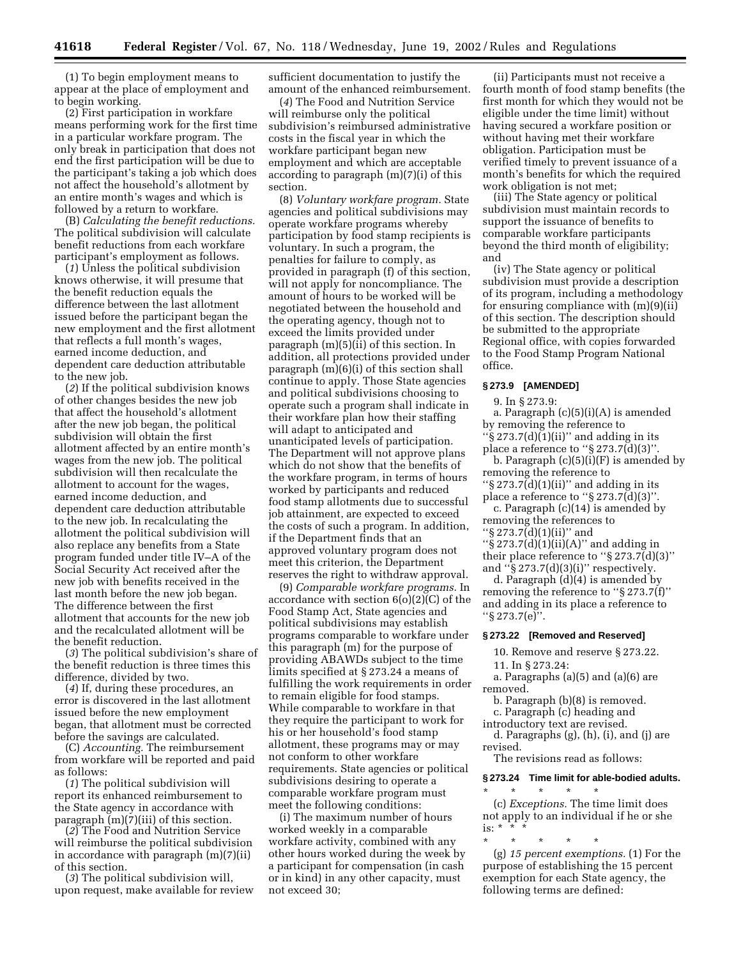(1) To begin employment means to appear at the place of employment and to begin working.

(2) First participation in workfare means performing work for the first time in a particular workfare program. The only break in participation that does not end the first participation will be due to the participant's taking a job which does not affect the household's allotment by an entire month's wages and which is followed by a return to workfare.

(B) *Calculating the benefit reductions.* The political subdivision will calculate benefit reductions from each workfare participant's employment as follows.

(*1*) Unless the political subdivision knows otherwise, it will presume that the benefit reduction equals the difference between the last allotment issued before the participant began the new employment and the first allotment that reflects a full month's wages, earned income deduction, and dependent care deduction attributable to the new job.

(*2*) If the political subdivision knows of other changes besides the new job that affect the household's allotment after the new job began, the political subdivision will obtain the first allotment affected by an entire month's wages from the new job. The political subdivision will then recalculate the allotment to account for the wages, earned income deduction, and dependent care deduction attributable to the new job. In recalculating the allotment the political subdivision will also replace any benefits from a State program funded under title IV–A of the Social Security Act received after the new job with benefits received in the last month before the new job began. The difference between the first allotment that accounts for the new job and the recalculated allotment will be the benefit reduction.

(*3*) The political subdivision's share of the benefit reduction is three times this difference, divided by two.

(*4*) If, during these procedures, an error is discovered in the last allotment issued before the new employment began, that allotment must be corrected before the savings are calculated.

(C) *Accounting.* The reimbursement from workfare will be reported and paid as follows:

(*1*) The political subdivision will report its enhanced reimbursement to the State agency in accordance with paragraph (m)(7)(iii) of this section.

(*2*) The Food and Nutrition Service will reimburse the political subdivision in accordance with paragraph (m)(7)(ii) of this section.

(*3*) The political subdivision will, upon request, make available for review sufficient documentation to justify the amount of the enhanced reimbursement.

(*4*) The Food and Nutrition Service will reimburse only the political subdivision's reimbursed administrative costs in the fiscal year in which the workfare participant began new employment and which are acceptable according to paragraph (m)(7)(i) of this section.

(8) *Voluntary workfare program.* State agencies and political subdivisions may operate workfare programs whereby participation by food stamp recipients is voluntary. In such a program, the penalties for failure to comply, as provided in paragraph (f) of this section, will not apply for noncompliance. The amount of hours to be worked will be negotiated between the household and the operating agency, though not to exceed the limits provided under paragraph (m)(5)(ii) of this section. In addition, all protections provided under paragraph (m)(6)(i) of this section shall continue to apply. Those State agencies and political subdivisions choosing to operate such a program shall indicate in their workfare plan how their staffing will adapt to anticipated and unanticipated levels of participation. The Department will not approve plans which do not show that the benefits of the workfare program, in terms of hours worked by participants and reduced food stamp allotments due to successful job attainment, are expected to exceed the costs of such a program. In addition, if the Department finds that an approved voluntary program does not meet this criterion, the Department reserves the right to withdraw approval.

(9) *Comparable workfare programs.* In accordance with section 6(o)(2)(C) of the Food Stamp Act, State agencies and political subdivisions may establish programs comparable to workfare under this paragraph (m) for the purpose of providing ABAWDs subject to the time limits specified at § 273.24 a means of fulfilling the work requirements in order to remain eligible for food stamps. While comparable to workfare in that they require the participant to work for his or her household's food stamp allotment, these programs may or may not conform to other workfare requirements. State agencies or political subdivisions desiring to operate a comparable workfare program must meet the following conditions:

(i) The maximum number of hours worked weekly in a comparable workfare activity, combined with any other hours worked during the week by a participant for compensation (in cash or in kind) in any other capacity, must not exceed 30;

(ii) Participants must not receive a fourth month of food stamp benefits (the first month for which they would not be eligible under the time limit) without having secured a workfare position or without having met their workfare obligation. Participation must be verified timely to prevent issuance of a month's benefits for which the required work obligation is not met;

(iii) The State agency or political subdivision must maintain records to support the issuance of benefits to comparable workfare participants beyond the third month of eligibility; and

(iv) The State agency or political subdivision must provide a description of its program, including a methodology for ensuring compliance with (m)(9)(ii) of this section. The description should be submitted to the appropriate Regional office, with copies forwarded to the Food Stamp Program National office.

## **§ 273.9 [AMENDED]**

9. In § 273.9:

a. Paragraph (c)(5)(i)(A) is amended by removing the reference to  $\sqrt{\frac{273.7(d)(1)(ii)}{6}}$  and adding in its place a reference to " $\S 273.7(d)(3)$ ".

b. Paragraph  $(c)(5)(i)(F)$  is amended by removing the reference to

" $\S 273.7(d)(1)(ii)$ " and adding in its place a reference to " $\S 273.7\text{d}(3)$ ".

c. Paragraph (c)(14) is amended by removing the references to

''§ 273.7(d)(1)(ii)'' and

''§ 273.7(d)(1)(ii)(A)'' and adding in their place reference to ''§ 273.7(d)(3)'' and  $\sqrt[4]{s}$  273.7(d)(3)(i)" respectively.

d. Paragraph (d)(4) is amended by removing the reference to ''§ 273.7(f)'' and adding in its place a reference to ''§ 273.7(e)''.

#### **§ 273.22 [Removed and Reserved]**

10. Remove and reserve § 273.22.

11. In § 273.24:

a. Paragraphs (a)(5) and (a)(6) are

removed.

b. Paragraph (b)(8) is removed.

c. Paragraph (c) heading and

introductory text are revised.

d. Paragraphs (g), (h), (i), and (j) are revised.

The revisions read as follows:

#### **§ 273.24 Time limit for able-bodied adults.**

\* \* \* \* \* (c) *Exceptions.* The time limit does not apply to an individual if he or she is:  $*$   $*$ 

\* \* \* \* \* (g) *15 percent exemptions.* (1) For the purpose of establishing the 15 percent exemption for each State agency, the following terms are defined: